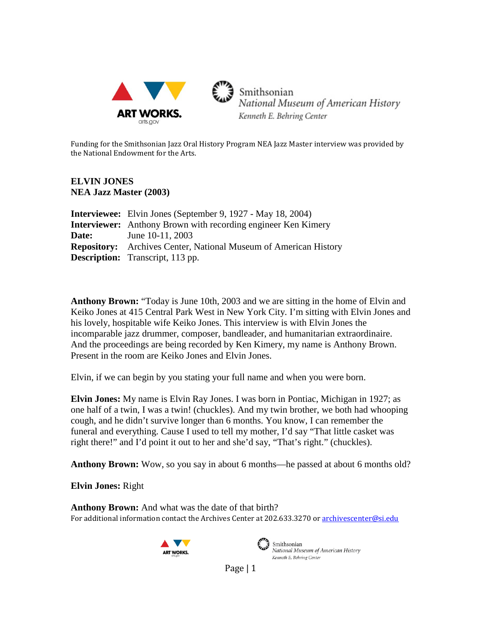

3 Smithsonian National Museum of American History Kenneth E. Behring Center

Funding for the Smithsonian Jazz Oral History Program NEA Jazz Master interview was provided by the National Endowment for the Arts.

## **ELVIN JONES NEA Jazz Master (2003)**

|       | <b>Interviewee:</b> Elvin Jones (September 9, 1927 - May 18, 2004)      |
|-------|-------------------------------------------------------------------------|
|       | <b>Interviewer:</b> Anthony Brown with recording engineer Ken Kimery    |
| Date: | June 10-11, 2003                                                        |
|       | <b>Repository:</b> Archives Center, National Museum of American History |
|       | <b>Description:</b> Transcript, 113 pp.                                 |

**Anthony Brown:** "Today is June 10th, 2003 and we are sitting in the home of Elvin and Keiko Jones at 415 Central Park West in New York City. I'm sitting with Elvin Jones and his lovely, hospitable wife Keiko Jones. This interview is with Elvin Jones the incomparable jazz drummer, composer, bandleader, and humanitarian extraordinaire. And the proceedings are being recorded by Ken Kimery, my name is Anthony Brown. Present in the room are Keiko Jones and Elvin Jones.

Elvin, if we can begin by you stating your full name and when you were born.

**Elvin Jones:** My name is Elvin Ray Jones. I was born in Pontiac, Michigan in 1927; as one half of a twin, I was a twin! (chuckles). And my twin brother, we both had whooping cough, and he didn't survive longer than 6 months. You know, I can remember the funeral and everything. Cause I used to tell my mother, I'd say "That little casket was right there!" and I'd point it out to her and she'd say, "That's right." (chuckles).

**Anthony Brown:** Wow, so you say in about 6 months—he passed at about 6 months old?

**Elvin Jones:** Right

For additional information contact the Archives Center at 202.633.3270 o[r archivescenter@si.edu](mailto:archivescenter@si.edu) **Anthony Brown:** And what was the date of that birth?





 $\mathcal{L}$  Smithsonian National Museum of American History Kenneth E. Behring Center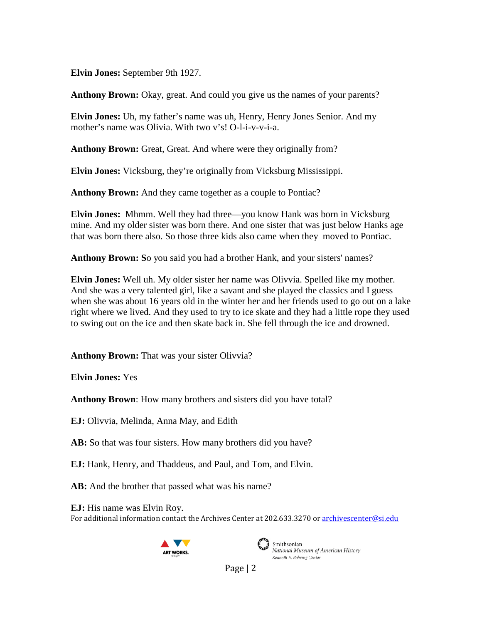**Elvin Jones:** September 9th 1927.

**Anthony Brown:** Okay, great. And could you give us the names of your parents?

**Elvin Jones:** Uh, my father's name was uh, Henry, Henry Jones Senior. And my mother's name was Olivia. With two v's! O-l-i-v-v-i-a.

**Anthony Brown:** Great, Great. And where were they originally from?

**Elvin Jones:** Vicksburg, they're originally from Vicksburg Mississippi.

**Anthony Brown:** And they came together as a couple to Pontiac?

**Elvin Jones:** Mhmm. Well they had three—you know Hank was born in Vicksburg mine. And my older sister was born there. And one sister that was just below Hanks age that was born there also. So those three kids also came when they moved to Pontiac.

**Anthony Brown: S**o you said you had a brother Hank, and your sisters' names?

**Elvin Jones:** Well uh. My older sister her name was Olivvia. Spelled like my mother. And she was a very talented girl, like a savant and she played the classics and I guess when she was about 16 years old in the winter her and her friends used to go out on a lake right where we lived. And they used to try to ice skate and they had a little rope they used to swing out on the ice and then skate back in. She fell through the ice and drowned.

**Anthony Brown:** That was your sister Olivvia?

**Elvin Jones:** Yes

**Anthony Brown**: How many brothers and sisters did you have total?

**EJ:** Olivvia, Melinda, Anna May, and Edith

AB: So that was four sisters. How many brothers did you have?

**EJ:** Hank, Henry, and Thaddeus, and Paul, and Tom, and Elvin.

AB: And the brother that passed what was his name?

For additional information contact the Archives Center at 202.633.3270 o[r archivescenter@si.edu](mailto:archivescenter@si.edu) **EJ:** His name was Elvin Roy.





Smithsonian National Museum of American History Kenneth E. Behring Center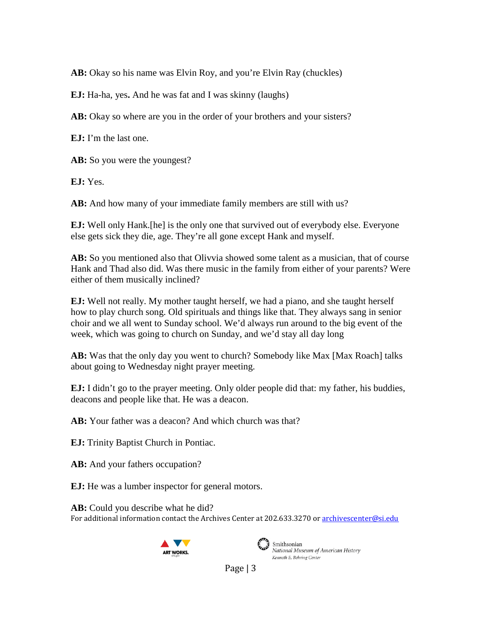AB: Okay so his name was Elvin Roy, and you're Elvin Ray (chuckles)

**EJ:** Ha-ha, yes**.** And he was fat and I was skinny (laughs)

AB: Okay so where are you in the order of your brothers and your sisters?

**EJ:** I'm the last one.

AB: So you were the youngest?

**EJ:** Yes.

**AB:** And how many of your immediate family members are still with us?

**EJ:** Well only Hank.[he] is the only one that survived out of everybody else. Everyone else gets sick they die, age. They're all gone except Hank and myself.

**AB:** So you mentioned also that Olivvia showed some talent as a musician, that of course Hank and Thad also did. Was there music in the family from either of your parents? Were either of them musically inclined?

**EJ:** Well not really. My mother taught herself, we had a piano, and she taught herself how to play church song. Old spirituals and things like that. They always sang in senior choir and we all went to Sunday school. We'd always run around to the big event of the week, which was going to church on Sunday, and we'd stay all day long

**AB:** Was that the only day you went to church? Somebody like Max [Max Roach] talks about going to Wednesday night prayer meeting.

**EJ:** I didn't go to the prayer meeting. Only older people did that: my father, his buddies, deacons and people like that. He was a deacon.

**AB:** Your father was a deacon? And which church was that?

**EJ:** Trinity Baptist Church in Pontiac.

AB: And your fathers occupation?

**EJ:** He was a lumber inspector for general motors.

For additional information contact the Archives Center at 202.633.3270 o[r archivescenter@si.edu](mailto:archivescenter@si.edu) AB: Could you describe what he did?





Smithsonian National Museum of American History Kenneth E. Behring Center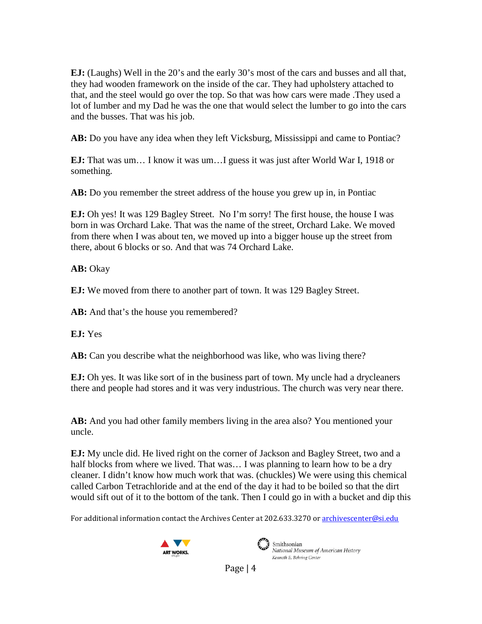**EJ:** (Laughs) Well in the 20's and the early 30's most of the cars and busses and all that, they had wooden framework on the inside of the car. They had upholstery attached to that, and the steel would go over the top. So that was how cars were made .They used a lot of lumber and my Dad he was the one that would select the lumber to go into the cars and the busses. That was his job.

**AB:** Do you have any idea when they left Vicksburg, Mississippi and came to Pontiac?

**EJ:** That was um… I know it was um…I guess it was just after World War I, 1918 or something.

**AB:** Do you remember the street address of the house you grew up in, in Pontiac

**EJ:** Oh yes! It was 129 Bagley Street. No I'm sorry! The first house, the house I was born in was Orchard Lake. That was the name of the street, Orchard Lake. We moved from there when I was about ten, we moved up into a bigger house up the street from there, about 6 blocks or so. And that was 74 Orchard Lake.

AB: Okay

**EJ:** We moved from there to another part of town. It was 129 Bagley Street.

AB: And that's the house you remembered?

**EJ:** Yes

AB: Can you describe what the neighborhood was like, who was living there?

**EJ:** Oh yes. It was like sort of in the business part of town. My uncle had a drycleaners there and people had stores and it was very industrious. The church was very near there.

**AB:** And you had other family members living in the area also? You mentioned your uncle.

**EJ:** My uncle did. He lived right on the corner of Jackson and Bagley Street, two and a half blocks from where we lived. That was... I was planning to learn how to be a dry cleaner. I didn't know how much work that was. (chuckles) We were using this chemical called Carbon Tetrachloride and at the end of the day it had to be boiled so that the dirt would sift out of it to the bottom of the tank. Then I could go in with a bucket and dip this

For additional information contact the Archives Center at 202.633.3270 o[r archivescenter@si.edu](mailto:archivescenter@si.edu)





National Museum of American History Kenneth E. Behring Center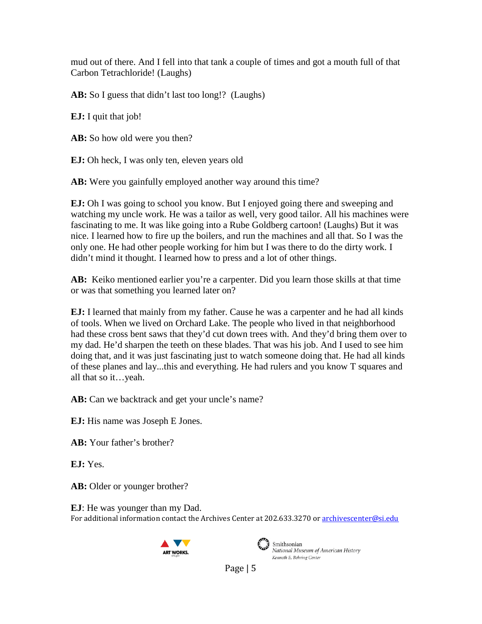mud out of there. And I fell into that tank a couple of times and got a mouth full of that Carbon Tetrachloride! (Laughs)

AB: So I guess that didn't last too long!? (Laughs)

**EJ:** I quit that job!

AB: So how old were you then?

**EJ:** Oh heck, I was only ten, eleven years old

AB: Were you gainfully employed another way around this time?

**EJ:** Oh I was going to school you know. But I enjoyed going there and sweeping and watching my uncle work. He was a tailor as well, very good tailor. All his machines were fascinating to me. It was like going into a Rube Goldberg cartoon! (Laughs) But it was nice. I learned how to fire up the boilers, and run the machines and all that. So I was the only one. He had other people working for him but I was there to do the dirty work. I didn't mind it thought. I learned how to press and a lot of other things.

**AB:** Keiko mentioned earlier you're a carpenter. Did you learn those skills at that time or was that something you learned later on?

**EJ:** I learned that mainly from my father. Cause he was a carpenter and he had all kinds of tools. When we lived on Orchard Lake. The people who lived in that neighborhood had these cross bent saws that they'd cut down trees with. And they'd bring them over to my dad. He'd sharpen the teeth on these blades. That was his job. And I used to see him doing that, and it was just fascinating just to watch someone doing that. He had all kinds of these planes and lay...this and everything. He had rulers and you know T squares and all that so it…yeah.

AB: Can we backtrack and get your uncle's name?

**EJ:** His name was Joseph E Jones.

**AB:** Your father's brother?

**EJ:** Yes.

AB: Older or younger brother?

For additional information contact the Archives Center at 202.633.3270 o[r archivescenter@si.edu](mailto:archivescenter@si.edu) **EJ**: He was younger than my Dad.





Smithsonian National Museum of American History Kenneth E. Behring Center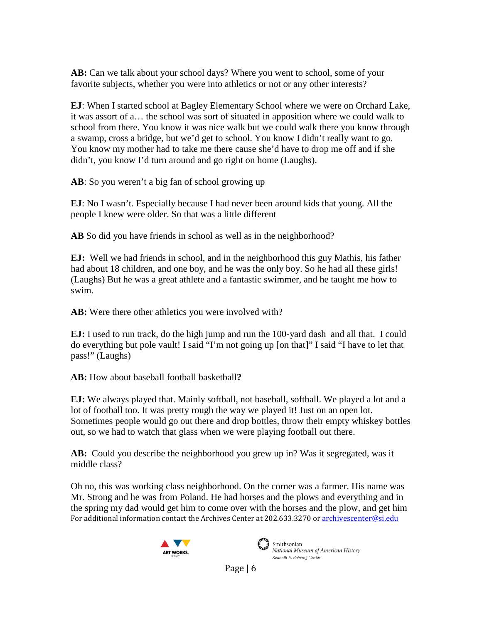AB: Can we talk about your school days? Where you went to school, some of your favorite subjects, whether you were into athletics or not or any other interests?

**EJ**: When I started school at Bagley Elementary School where we were on Orchard Lake, it was assort of a… the school was sort of situated in apposition where we could walk to school from there. You know it was nice walk but we could walk there you know through a swamp, cross a bridge, but we'd get to school. You know I didn't really want to go. You know my mother had to take me there cause she'd have to drop me off and if she didn't, you know I'd turn around and go right on home (Laughs).

**AB**: So you weren't a big fan of school growing up

**EJ**: No I wasn't. Especially because I had never been around kids that young. All the people I knew were older. So that was a little different

**AB** So did you have friends in school as well as in the neighborhood?

**EJ:** Well we had friends in school, and in the neighborhood this guy Mathis, his father had about 18 children, and one boy, and he was the only boy. So he had all these girls! (Laughs) But he was a great athlete and a fantastic swimmer, and he taught me how to swim.

AB: Were there other athletics you were involved with?

**EJ:** I used to run track, do the high jump and run the 100-yard dash and all that. I could do everything but pole vault! I said "I'm not going up [on that]" I said "I have to let that pass!" (Laughs)

**AB:** How about baseball football basketball**?**

**EJ:** We always played that. Mainly softball, not baseball, softball. We played a lot and a lot of football too. It was pretty rough the way we played it! Just on an open lot. Sometimes people would go out there and drop bottles, throw their empty whiskey bottles out, so we had to watch that glass when we were playing football out there.

**AB:** Could you describe the neighborhood you grew up in? Was it segregated, was it middle class?

For additional information contact the Archives Center at 202.633.3270 o[r archivescenter@si.edu](mailto:archivescenter@si.edu) Oh no, this was working class neighborhood. On the corner was a farmer. His name was Mr. Strong and he was from Poland. He had horses and the plows and everything and in the spring my dad would get him to come over with the horses and the plow, and get him





 $\sum_{i=1}^{n}$  Smithsonian National Museum of American History Kenneth E. Behring Center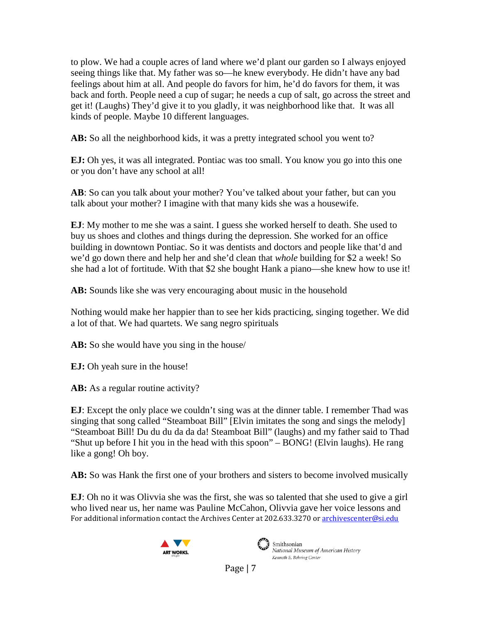to plow. We had a couple acres of land where we'd plant our garden so I always enjoyed seeing things like that. My father was so—he knew everybody. He didn't have any bad feelings about him at all. And people do favors for him, he'd do favors for them, it was back and forth. People need a cup of sugar; he needs a cup of salt, go across the street and get it! (Laughs) They'd give it to you gladly, it was neighborhood like that. It was all kinds of people. Maybe 10 different languages.

AB: So all the neighborhood kids, it was a pretty integrated school you went to?

**EJ:** Oh yes, it was all integrated. Pontiac was too small. You know you go into this one or you don't have any school at all!

**AB**: So can you talk about your mother? You've talked about your father, but can you talk about your mother? I imagine with that many kids she was a housewife.

**EJ**: My mother to me she was a saint. I guess she worked herself to death. She used to buy us shoes and clothes and things during the depression. She worked for an office building in downtown Pontiac. So it was dentists and doctors and people like that'd and we'd go down there and help her and she'd clean that *whole* building for \$2 a week! So she had a lot of fortitude. With that \$2 she bought Hank a piano—she knew how to use it!

**AB:** Sounds like she was very encouraging about music in the household

Nothing would make her happier than to see her kids practicing, singing together. We did a lot of that. We had quartets. We sang negro spirituals

**AB:** So she would have you sing in the house/

**EJ:** Oh yeah sure in the house!

**AB:** As a regular routine activity?

**EJ**: Except the only place we couldn't sing was at the dinner table. I remember Thad was singing that song called "Steamboat Bill" [Elvin imitates the song and sings the melody] "Steamboat Bill! Du du du da da da! Steamboat Bill" (laughs) and my father said to Thad "Shut up before I hit you in the head with this spoon" – BONG! (Elvin laughs). He rang like a gong! Oh boy.

**AB:** So was Hank the first one of your brothers and sisters to become involved musically

For additional information contact the Archives Center at 202.633.3270 o[r archivescenter@si.edu](mailto:archivescenter@si.edu) **EJ**: Oh no it was Olivvia she was the first, she was so talented that she used to give a girl who lived near us, her name was Pauline McCahon, Olivvia gave her voice lessons and





National Museum of American History Kenneth E. Behring Center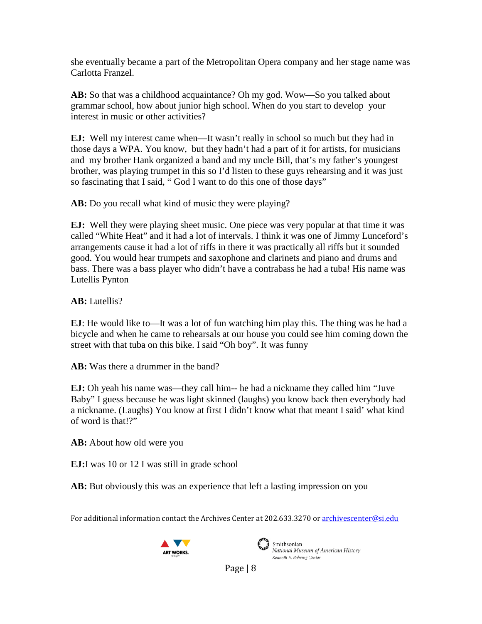she eventually became a part of the Metropolitan Opera company and her stage name was Carlotta Franzel.

**AB:** So that was a childhood acquaintance? Oh my god. Wow—So you talked about grammar school, how about junior high school. When do you start to develop your interest in music or other activities?

**EJ:** Well my interest came when—It wasn't really in school so much but they had in those days a WPA. You know, but they hadn't had a part of it for artists, for musicians and my brother Hank organized a band and my uncle Bill, that's my father's youngest brother, was playing trumpet in this so I'd listen to these guys rehearsing and it was just so fascinating that I said, " God I want to do this one of those days"

**AB:** Do you recall what kind of music they were playing?

**EJ:** Well they were playing sheet music. One piece was very popular at that time it was called "White Heat" and it had a lot of intervals. I think it was one of Jimmy Lunceford's arrangements cause it had a lot of riffs in there it was practically all riffs but it sounded good. You would hear trumpets and saxophone and clarinets and piano and drums and bass. There was a bass player who didn't have a contrabass he had a tuba! His name was Lutellis Pynton

**AB:** Lutellis?

**EJ**: He would like to—It was a lot of fun watching him play this. The thing was he had a bicycle and when he came to rehearsals at our house you could see him coming down the street with that tuba on this bike. I said "Oh boy". It was funny

**AB:** Was there a drummer in the band?

**EJ:** Oh yeah his name was—they call him-- he had a nickname they called him "Juve" Baby" I guess because he was light skinned (laughs) you know back then everybody had a nickname. (Laughs) You know at first I didn't know what that meant I said' what kind of word is that!?"

**AB:** About how old were you

**EJ:**I was 10 or 12 I was still in grade school

**AB:** But obviously this was an experience that left a lasting impression on you

For additional information contact the Archives Center at 202.633.3270 o[r archivescenter@si.edu](mailto:archivescenter@si.edu)





Smithsonian National Museum of American History Kenneth E. Behring Center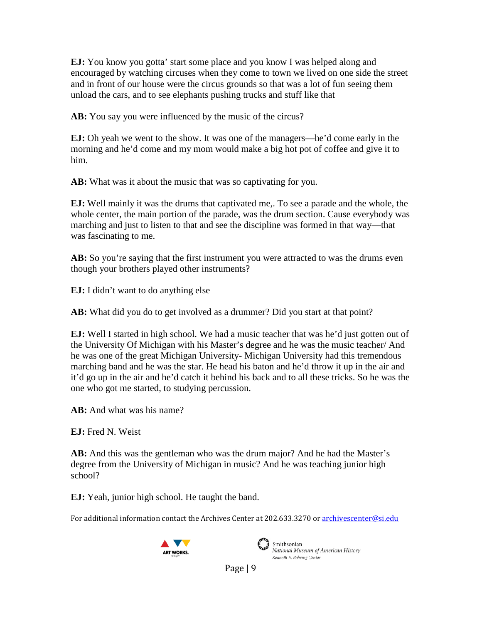**EJ:** You know you gotta' start some place and you know I was helped along and encouraged by watching circuses when they come to town we lived on one side the street and in front of our house were the circus grounds so that was a lot of fun seeing them unload the cars, and to see elephants pushing trucks and stuff like that

AB: You say you were influenced by the music of the circus?

**EJ:** Oh yeah we went to the show. It was one of the managers—he'd come early in the morning and he'd come and my mom would make a big hot pot of coffee and give it to him.

**AB:** What was it about the music that was so captivating for you.

**EJ:** Well mainly it was the drums that captivated me,. To see a parade and the whole, the whole center, the main portion of the parade, was the drum section. Cause everybody was marching and just to listen to that and see the discipline was formed in that way—that was fascinating to me.

AB: So you're saying that the first instrument you were attracted to was the drums even though your brothers played other instruments?

**EJ:** I didn't want to do anything else

**AB:** What did you do to get involved as a drummer? Did you start at that point?

**EJ:** Well I started in high school. We had a music teacher that was he'd just gotten out of the University Of Michigan with his Master's degree and he was the music teacher/ And he was one of the great Michigan University- Michigan University had this tremendous marching band and he was the star. He head his baton and he'd throw it up in the air and it'd go up in the air and he'd catch it behind his back and to all these tricks. So he was the one who got me started, to studying percussion.

**AB:** And what was his name?

**EJ:** Fred N. Weist

**AB:** And this was the gentleman who was the drum major? And he had the Master's degree from the University of Michigan in music? And he was teaching junior high school?

**EJ:** Yeah, junior high school. He taught the band.

For additional information contact the Archives Center at 202.633.3270 o[r archivescenter@si.edu](mailto:archivescenter@si.edu)





 $\sum_{i=1}^{\infty}$  Smithsonian National Museum of American History Kenneth E. Behring Center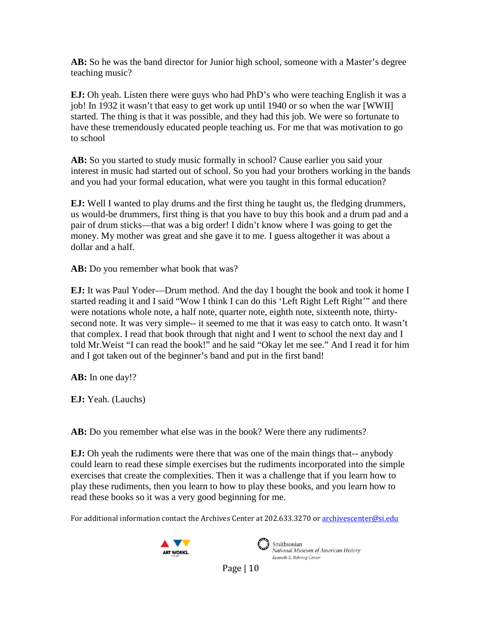**AB:** So he was the band director for Junior high school, someone with a Master's degree teaching music?

**EJ:** Oh yeah. Listen there were guys who had PhD's who were teaching English it was a job! In 1932 it wasn't that easy to get work up until 1940 or so when the war [WWII] started. The thing is that it was possible, and they had this job. We were so fortunate to have these tremendously educated people teaching us. For me that was motivation to go to school

**AB:** So you started to study music formally in school? Cause earlier you said your interest in music had started out of school. So you had your brothers working in the bands and you had your formal education, what were you taught in this formal education?

**EJ:** Well I wanted to play drums and the first thing he taught us, the fledging drummers, us would-be drummers, first thing is that you have to buy this book and a drum pad and a pair of drum sticks—that was a big order! I didn't know where I was going to get the money. My mother was great and she gave it to me. I guess altogether it was about a dollar and a half.

AB: Do you remember what book that was?

**EJ:** It was Paul Yoder—Drum method. And the day I bought the book and took it home I started reading it and I said "Wow I think I can do this 'Left Right Left Right'" and there were notations whole note, a half note, quarter note, eighth note, sixteenth note, thirtysecond note. It was very simple-- it seemed to me that it was easy to catch onto. It wasn't that complex. I read that book through that night and I went to school the next day and I told Mr.Weist "I can read the book!" and he said "Okay let me see." And I read it for him and I got taken out of the beginner's band and put in the first band!

**AB:** In one day!?

**EJ:** Yeah. (Lauchs)

AB: Do you remember what else was in the book? Were there any rudiments?

**EJ:** Oh yeah the rudiments were there that was one of the main things that-- anybody could learn to read these simple exercises but the rudiments incorporated into the simple exercises that create the complexities. Then it was a challenge that if you learn how to play these rudiments, then you learn to how to play these books, and you learn how to read these books so it was a very good beginning for me.

For additional information contact the Archives Center at 202.633.3270 o[r archivescenter@si.edu](mailto:archivescenter@si.edu)





Smithsonian National Museum of American History Kenneth E. Behring Center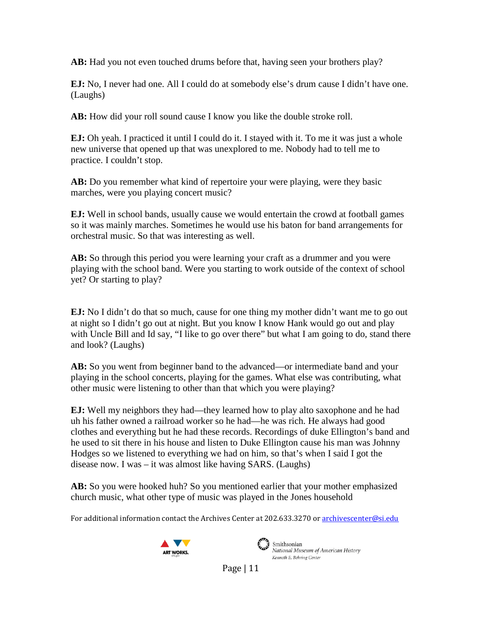**AB:** Had you not even touched drums before that, having seen your brothers play?

**EJ:** No, I never had one. All I could do at somebody else's drum cause I didn't have one. (Laughs)

**AB:** How did your roll sound cause I know you like the double stroke roll.

**EJ:** Oh yeah. I practiced it until I could do it. I stayed with it. To me it was just a whole new universe that opened up that was unexplored to me. Nobody had to tell me to practice. I couldn't stop.

**AB:** Do you remember what kind of repertoire your were playing, were they basic marches, were you playing concert music?

**EJ:** Well in school bands, usually cause we would entertain the crowd at football games so it was mainly marches. Sometimes he would use his baton for band arrangements for orchestral music. So that was interesting as well.

**AB:** So through this period you were learning your craft as a drummer and you were playing with the school band. Were you starting to work outside of the context of school yet? Or starting to play?

**EJ:** No I didn't do that so much, cause for one thing my mother didn't want me to go out at night so I didn't go out at night. But you know I know Hank would go out and play with Uncle Bill and Id say, "I like to go over there" but what I am going to do, stand there and look? (Laughs)

**AB:** So you went from beginner band to the advanced—or intermediate band and your playing in the school concerts, playing for the games. What else was contributing, what other music were listening to other than that which you were playing?

**EJ:** Well my neighbors they had—they learned how to play alto saxophone and he had uh his father owned a railroad worker so he had—he was rich. He always had good clothes and everything but he had these records. Recordings of duke Ellington's band and he used to sit there in his house and listen to Duke Ellington cause his man was Johnny Hodges so we listened to everything we had on him, so that's when I said I got the disease now. I was – it was almost like having SARS. (Laughs)

**AB:** So you were hooked huh? So you mentioned earlier that your mother emphasized church music, what other type of music was played in the Jones household

For additional information contact the Archives Center at 202.633.3270 o[r archivescenter@si.edu](mailto:archivescenter@si.edu)





Smithsonian National Museum of American History Kenneth E. Behring Center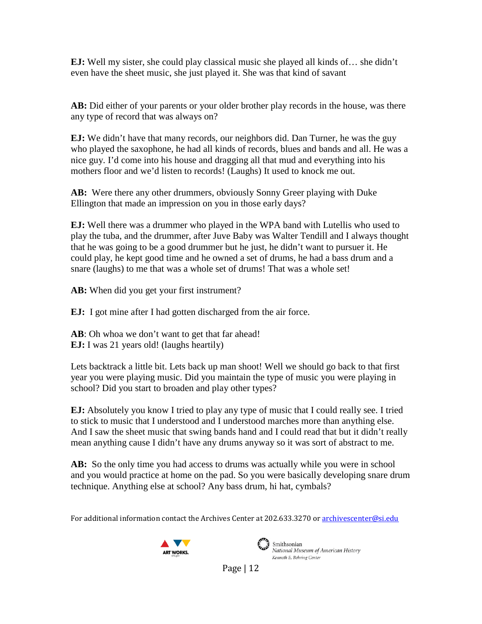**EJ:** Well my sister, she could play classical music she played all kinds of… she didn't even have the sheet music, she just played it. She was that kind of savant

**AB:** Did either of your parents or your older brother play records in the house, was there any type of record that was always on?

**EJ:** We didn't have that many records, our neighbors did. Dan Turner, he was the guy who played the saxophone, he had all kinds of records, blues and bands and all. He was a nice guy. I'd come into his house and dragging all that mud and everything into his mothers floor and we'd listen to records! (Laughs) It used to knock me out.

**AB:** Were there any other drummers, obviously Sonny Greer playing with Duke Ellington that made an impression on you in those early days?

**EJ:** Well there was a drummer who played in the WPA band with Lutellis who used to play the tuba, and the drummer, after Juve Baby was Walter Tendill and I always thought that he was going to be a good drummer but he just, he didn't want to pursuer it. He could play, he kept good time and he owned a set of drums, he had a bass drum and a snare (laughs) to me that was a whole set of drums! That was a whole set!

**AB:** When did you get your first instrument?

**EJ:** I got mine after I had gotten discharged from the air force.

AB: Oh whoa we don't want to get that far ahead! **EJ:** I was 21 years old! (laughs heartily)

Lets backtrack a little bit. Lets back up man shoot! Well we should go back to that first year you were playing music. Did you maintain the type of music you were playing in school? Did you start to broaden and play other types?

**EJ:** Absolutely you know I tried to play any type of music that I could really see. I tried to stick to music that I understood and I understood marches more than anything else. And I saw the sheet music that swing bands hand and I could read that but it didn't really mean anything cause I didn't have any drums anyway so it was sort of abstract to me.

**AB:** So the only time you had access to drums was actually while you were in school and you would practice at home on the pad. So you were basically developing snare drum technique. Anything else at school? Any bass drum, hi hat, cymbals?

For additional information contact the Archives Center at 202.633.3270 o[r archivescenter@si.edu](mailto:archivescenter@si.edu)





Smithsonian National Museum of American History Kenneth E. Behring Center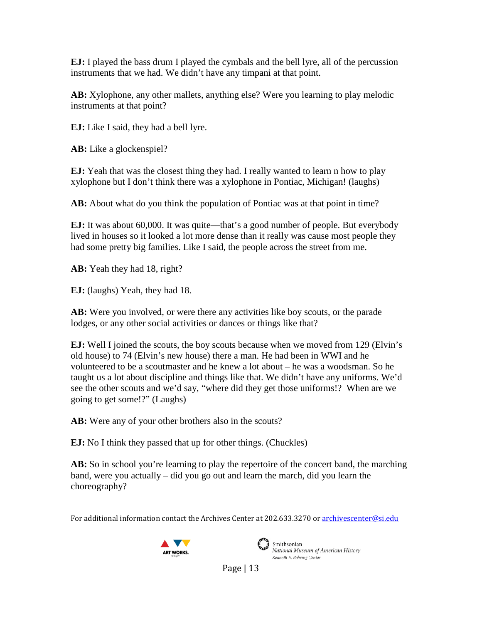**EJ:** I played the bass drum I played the cymbals and the bell lyre, all of the percussion instruments that we had. We didn't have any timpani at that point.

**AB:** Xylophone, any other mallets, anything else? Were you learning to play melodic instruments at that point?

**EJ:** Like I said, they had a bell lyre.

**AB:** Like a glockenspiel?

**EJ:** Yeah that was the closest thing they had. I really wanted to learn n how to play xylophone but I don't think there was a xylophone in Pontiac, Michigan! (laughs)

**AB:** About what do you think the population of Pontiac was at that point in time?

**EJ:** It was about 60,000. It was quite—that's a good number of people. But everybody lived in houses so it looked a lot more dense than it really was cause most people they had some pretty big families. Like I said, the people across the street from me.

**AB:** Yeah they had 18, right?

**EJ:** (laughs) Yeah, they had 18.

**AB:** Were you involved, or were there any activities like boy scouts, or the parade lodges, or any other social activities or dances or things like that?

**EJ:** Well I joined the scouts, the boy scouts because when we moved from 129 (Elvin's old house) to 74 (Elvin's new house) there a man. He had been in WWI and he volunteered to be a scoutmaster and he knew a lot about – he was a woodsman. So he taught us a lot about discipline and things like that. We didn't have any uniforms. We'd see the other scouts and we'd say, "where did they get those uniforms!? When are we going to get some!?" (Laughs)

**AB:** Were any of your other brothers also in the scouts?

**EJ:** No I think they passed that up for other things. (Chuckles)

**AB:** So in school you're learning to play the repertoire of the concert band, the marching band, were you actually – did you go out and learn the march, did you learn the choreography?

For additional information contact the Archives Center at 202.633.3270 o[r archivescenter@si.edu](mailto:archivescenter@si.edu)





Smithsonian National Museum of American History Kenneth E. Behring Center

Page  $|13|$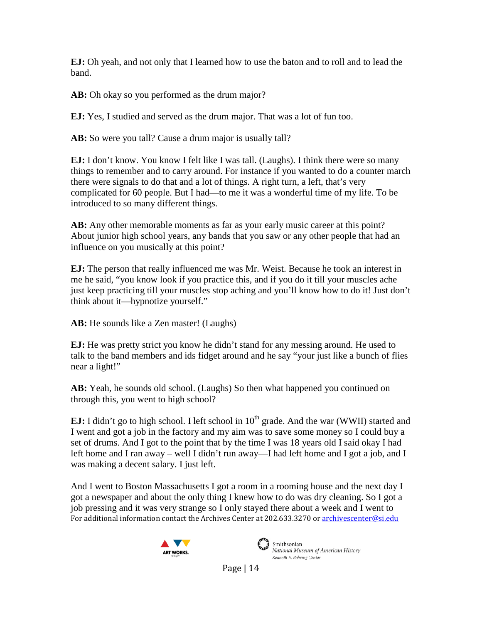**EJ:** Oh yeah, and not only that I learned how to use the baton and to roll and to lead the band.

**AB:** Oh okay so you performed as the drum major?

**EJ:** Yes, I studied and served as the drum major. That was a lot of fun too.

AB: So were you tall? Cause a drum major is usually tall?

**EJ:** I don't know. You know I felt like I was tall. (Laughs). I think there were so many things to remember and to carry around. For instance if you wanted to do a counter march there were signals to do that and a lot of things. A right turn, a left, that's very complicated for 60 people. But I had—to me it was a wonderful time of my life. To be introduced to so many different things.

**AB:** Any other memorable moments as far as your early music career at this point? About junior high school years, any bands that you saw or any other people that had an influence on you musically at this point?

**EJ:** The person that really influenced me was Mr. Weist. Because he took an interest in me he said, "you know look if you practice this, and if you do it till your muscles ache just keep practicing till your muscles stop aching and you'll know how to do it! Just don't think about it—hypnotize yourself."

**AB:** He sounds like a Zen master! (Laughs)

**EJ:** He was pretty strict you know he didn't stand for any messing around. He used to talk to the band members and ids fidget around and he say "your just like a bunch of flies near a light!"

**AB:** Yeah, he sounds old school. (Laughs) So then what happened you continued on through this, you went to high school?

**EJ:** I didn't go to high school. I left school in  $10<sup>th</sup>$  grade. And the war (WWII) started and I went and got a job in the factory and my aim was to save some money so I could buy a set of drums. And I got to the point that by the time I was 18 years old I said okay I had left home and I ran away – well I didn't run away—I had left home and I got a job, and I was making a decent salary. I just left.

For additional information contact the Archives Center at 202.633.3270 o[r archivescenter@si.edu](mailto:archivescenter@si.edu) And I went to Boston Massachusetts I got a room in a rooming house and the next day I got a newspaper and about the only thing I knew how to do was dry cleaning. So I got a job pressing and it was very strange so I only stayed there about a week and I went to





Smithsonian National Museum of American History Kenneth E. Behring Center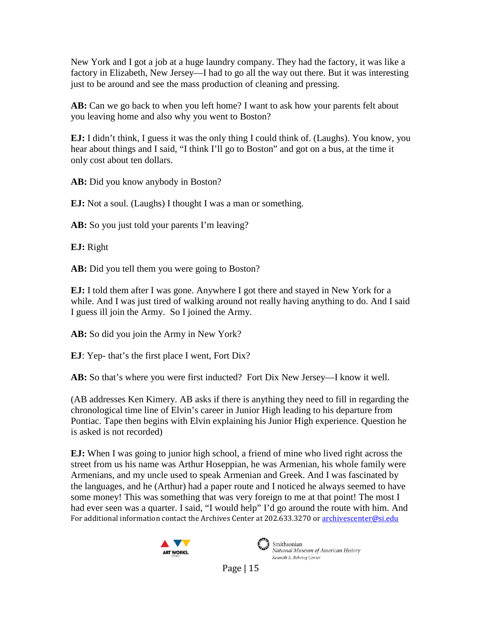New York and I got a job at a huge laundry company. They had the factory, it was like a factory in Elizabeth, New Jersey—I had to go all the way out there. But it was interesting just to be around and see the mass production of cleaning and pressing.

**AB:** Can we go back to when you left home? I want to ask how your parents felt about you leaving home and also why you went to Boston?

**EJ:** I didn't think, I guess it was the only thing I could think of. (Laughs). You know, you hear about things and I said, "I think I'll go to Boston" and got on a bus, at the time it only cost about ten dollars.

AB: Did you know anybody in Boston?

**EJ:** Not a soul. (Laughs) I thought I was a man or something.

AB: So you just told your parents I'm leaving?

**EJ:** Right

AB: Did you tell them you were going to Boston?

**EJ:** I told them after I was gone. Anywhere I got there and stayed in New York for a while. And I was just tired of walking around not really having anything to do. And I said I guess ill join the Army. So I joined the Army.

**AB:** So did you join the Army in New York?

**EJ**: Yep- that's the first place I went, Fort Dix?

**AB:** So that's where you were first inducted? Fort Dix New Jersey—I know it well.

(AB addresses Ken Kimery. AB asks if there is anything they need to fill in regarding the chronological time line of Elvin's career in Junior High leading to his departure from Pontiac. Tape then begins with Elvin explaining his Junior High experience. Question he is asked is not recorded)

For additional information contact the Archives Center at 202.633.3270 o[r archivescenter@si.edu](mailto:archivescenter@si.edu) **EJ:** When I was going to junior high school, a friend of mine who lived right across the street from us his name was Arthur Hoseppian, he was Armenian, his whole family were Armenians, and my uncle used to speak Armenian and Greek. And I was fascinated by the languages, and he (Arthur) had a paper route and I noticed he always seemed to have some money! This was something that was very foreign to me at that point! The most I had ever seen was a quarter. I said, "I would help" I'd go around the route with him. And





National Museum of American History Kenneth E. Behring Center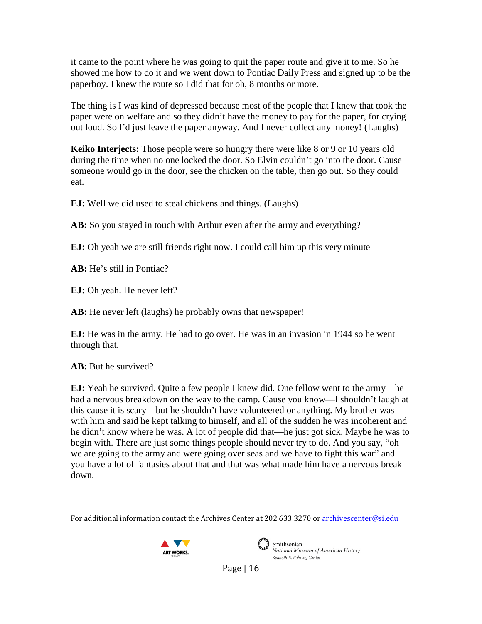it came to the point where he was going to quit the paper route and give it to me. So he showed me how to do it and we went down to Pontiac Daily Press and signed up to be the paperboy. I knew the route so I did that for oh, 8 months or more.

The thing is I was kind of depressed because most of the people that I knew that took the paper were on welfare and so they didn't have the money to pay for the paper, for crying out loud. So I'd just leave the paper anyway. And I never collect any money! (Laughs)

**Keiko Interjects:** Those people were so hungry there were like 8 or 9 or 10 years old during the time when no one locked the door. So Elvin couldn't go into the door. Cause someone would go in the door, see the chicken on the table, then go out. So they could eat.

**EJ:** Well we did used to steal chickens and things. (Laughs)

AB: So you stayed in touch with Arthur even after the army and everything?

**EJ:** Oh yeah we are still friends right now. I could call him up this very minute

**AB:** He's still in Pontiac?

**EJ:** Oh yeah. He never left?

**AB:** He never left (laughs) he probably owns that newspaper!

**EJ:** He was in the army. He had to go over. He was in an invasion in 1944 so he went through that.

**AB:** But he survived?

**EJ:** Yeah he survived. Quite a few people I knew did. One fellow went to the army—he had a nervous breakdown on the way to the camp. Cause you know—I shouldn't laugh at this cause it is scary—but he shouldn't have volunteered or anything. My brother was with him and said he kept talking to himself, and all of the sudden he was incoherent and he didn't know where he was. A lot of people did that—he just got sick. Maybe he was to begin with. There are just some things people should never try to do. And you say, "oh we are going to the army and were going over seas and we have to fight this war" and you have a lot of fantasies about that and that was what made him have a nervous break down.

For additional information contact the Archives Center at 202.633.3270 o[r archivescenter@si.edu](mailto:archivescenter@si.edu)





Smithsonian National Museum of American History Kenneth E. Behring Center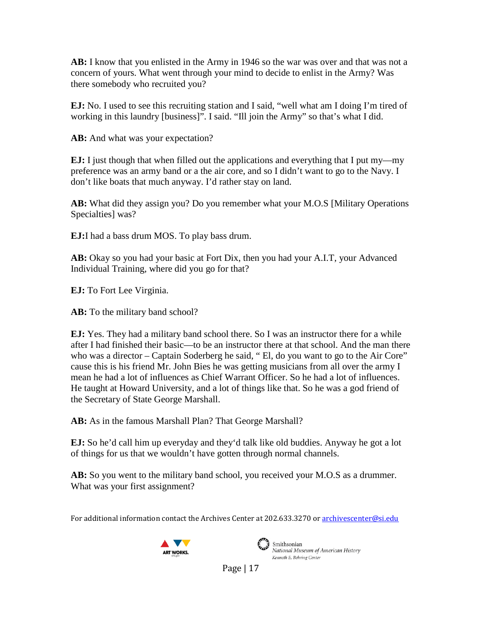**AB:** I know that you enlisted in the Army in 1946 so the war was over and that was not a concern of yours. What went through your mind to decide to enlist in the Army? Was there somebody who recruited you?

**EJ:** No. I used to see this recruiting station and I said, "well what am I doing I'm tired of working in this laundry [business]". I said. "Ill join the Army" so that's what I did.

AB: And what was your expectation?

**EJ:** I just though that when filled out the applications and everything that I put my—my preference was an army band or a the air core, and so I didn't want to go to the Navy. I don't like boats that much anyway. I'd rather stay on land.

**AB:** What did they assign you? Do you remember what your M.O.S [Military Operations Specialties] was?

**EJ:**I had a bass drum MOS. To play bass drum.

**AB:** Okay so you had your basic at Fort Dix, then you had your A.I.T, your Advanced Individual Training, where did you go for that?

**EJ:** To Fort Lee Virginia.

AB: To the military band school?

**EJ:** Yes. They had a military band school there. So I was an instructor there for a while after I had finished their basic—to be an instructor there at that school. And the man there who was a director – Captain Soderberg he said, "El, do you want to go to the Air Core" cause this is his friend Mr. John Bies he was getting musicians from all over the army I mean he had a lot of influences as Chief Warrant Officer. So he had a lot of influences. He taught at Howard University, and a lot of things like that. So he was a god friend of the Secretary of State George Marshall.

**AB:** As in the famous Marshall Plan? That George Marshall?

**EJ:** So he'd call him up everyday and they'd talk like old buddies. Anyway he got a lot of things for us that we wouldn't have gotten through normal channels.

**AB:** So you went to the military band school, you received your M.O.S as a drummer. What was your first assignment?

For additional information contact the Archives Center at 202.633.3270 o[r archivescenter@si.edu](mailto:archivescenter@si.edu)





Smithsonian National Museum of American History Kenneth E. Behring Center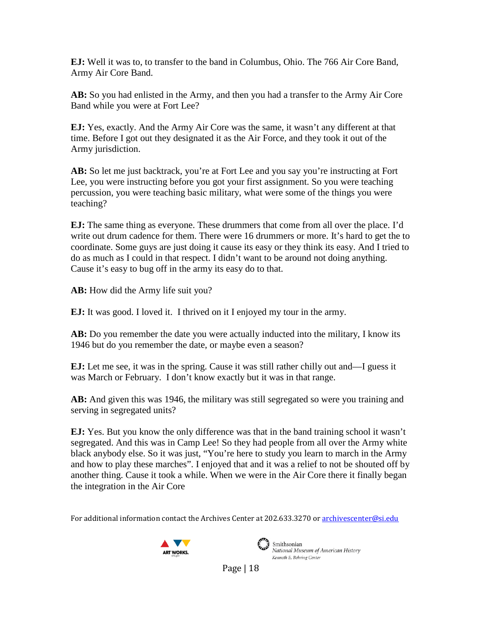**EJ:** Well it was to, to transfer to the band in Columbus, Ohio. The 766 Air Core Band, Army Air Core Band.

**AB:** So you had enlisted in the Army, and then you had a transfer to the Army Air Core Band while you were at Fort Lee?

**EJ:** Yes, exactly. And the Army Air Core was the same, it wasn't any different at that time. Before I got out they designated it as the Air Force, and they took it out of the Army jurisdiction.

**AB:** So let me just backtrack, you're at Fort Lee and you say you're instructing at Fort Lee, you were instructing before you got your first assignment. So you were teaching percussion, you were teaching basic military, what were some of the things you were teaching?

**EJ:** The same thing as everyone. These drummers that come from all over the place. I'd write out drum cadence for them. There were 16 drummers or more. It's hard to get the to coordinate. Some guys are just doing it cause its easy or they think its easy. And I tried to do as much as I could in that respect. I didn't want to be around not doing anything. Cause it's easy to bug off in the army its easy do to that.

AB: How did the Army life suit you?

**EJ:** It was good. I loved it. I thrived on it I enjoyed my tour in the army.

**AB:** Do you remember the date you were actually inducted into the military, I know its 1946 but do you remember the date, or maybe even a season?

**EJ:** Let me see, it was in the spring. Cause it was still rather chilly out and—I guess it was March or February. I don't know exactly but it was in that range.

**AB:** And given this was 1946, the military was still segregated so were you training and serving in segregated units?

**EJ:** Yes. But you know the only difference was that in the band training school it wasn't segregated. And this was in Camp Lee! So they had people from all over the Army white black anybody else. So it was just, "You're here to study you learn to march in the Army and how to play these marches". I enjoyed that and it was a relief to not be shouted off by another thing. Cause it took a while. When we were in the Air Core there it finally began the integration in the Air Core

For additional information contact the Archives Center at 202.633.3270 o[r archivescenter@si.edu](mailto:archivescenter@si.edu)





Smithsonian National Museum of American History Kenneth E. Behring Center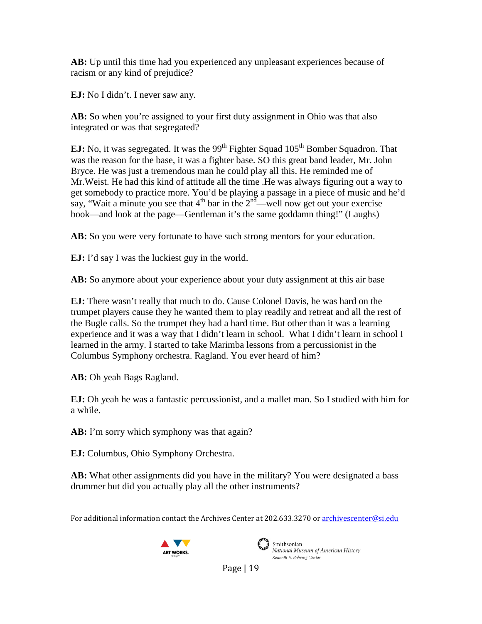**AB:** Up until this time had you experienced any unpleasant experiences because of racism or any kind of prejudice?

**EJ:** No I didn't. I never saw any.

AB: So when you're assigned to your first duty assignment in Ohio was that also integrated or was that segregated?

**EJ:** No, it was segregated. It was the 99<sup>th</sup> Fighter Squad 105<sup>th</sup> Bomber Squadron. That was the reason for the base, it was a fighter base. SO this great band leader, Mr. John Bryce. He was just a tremendous man he could play all this. He reminded me of Mr.Weist. He had this kind of attitude all the time .He was always figuring out a way to get somebody to practice more. You'd be playing a passage in a piece of music and he'd say, "Wait a minute you see that  $4<sup>th</sup>$  bar in the  $2<sup>nd</sup>$ —well now get out your exercise book—and look at the page—Gentleman it's the same goddamn thing!" (Laughs)

**AB:** So you were very fortunate to have such strong mentors for your education.

**EJ:** I'd say I was the luckiest guy in the world.

**AB:** So anymore about your experience about your duty assignment at this air base

**EJ:** There wasn't really that much to do. Cause Colonel Davis, he was hard on the trumpet players cause they he wanted them to play readily and retreat and all the rest of the Bugle calls. So the trumpet they had a hard time. But other than it was a learning experience and it was a way that I didn't learn in school. What I didn't learn in school I learned in the army. I started to take Marimba lessons from a percussionist in the Columbus Symphony orchestra. Ragland. You ever heard of him?

**AB:** Oh yeah Bags Ragland.

**EJ:** Oh yeah he was a fantastic percussionist, and a mallet man. So I studied with him for a while.

AB: I'm sorry which symphony was that again?

**EJ:** Columbus, Ohio Symphony Orchestra.

**AB:** What other assignments did you have in the military? You were designated a bass drummer but did you actually play all the other instruments?

For additional information contact the Archives Center at 202.633.3270 o[r archivescenter@si.edu](mailto:archivescenter@si.edu)





Smithsonian National Museum of American History Kenneth E. Behring Center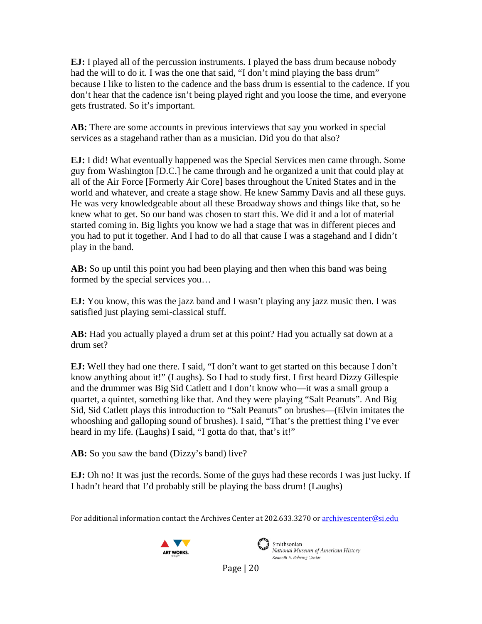**EJ:** I played all of the percussion instruments. I played the bass drum because nobody had the will to do it. I was the one that said, "I don't mind playing the bass drum" because I like to listen to the cadence and the bass drum is essential to the cadence. If you don't hear that the cadence isn't being played right and you loose the time, and everyone gets frustrated. So it's important.

**AB:** There are some accounts in previous interviews that say you worked in special services as a stagehand rather than as a musician. Did you do that also?

**EJ:** I did! What eventually happened was the Special Services men came through. Some guy from Washington [D.C.] he came through and he organized a unit that could play at all of the Air Force [Formerly Air Core] bases throughout the United States and in the world and whatever, and create a stage show. He knew Sammy Davis and all these guys. He was very knowledgeable about all these Broadway shows and things like that, so he knew what to get. So our band was chosen to start this. We did it and a lot of material started coming in. Big lights you know we had a stage that was in different pieces and you had to put it together. And I had to do all that cause I was a stagehand and I didn't play in the band.

**AB:** So up until this point you had been playing and then when this band was being formed by the special services you…

**EJ:** You know, this was the jazz band and I wasn't playing any jazz music then. I was satisfied just playing semi-classical stuff.

**AB:** Had you actually played a drum set at this point? Had you actually sat down at a drum set?

**EJ:** Well they had one there. I said, "I don't want to get started on this because I don't know anything about it!" (Laughs). So I had to study first. I first heard Dizzy Gillespie and the drummer was Big Sid Catlett and I don't know who—it was a small group a quartet, a quintet, something like that. And they were playing "Salt Peanuts". And Big Sid, Sid Catlett plays this introduction to "Salt Peanuts" on brushes—(Elvin imitates the whooshing and galloping sound of brushes). I said, "That's the prettiest thing I've ever heard in my life. (Laughs) I said, "I gotta do that, that's it!"

AB: So you saw the band (Dizzy's band) live?

**EJ:** Oh no! It was just the records. Some of the guys had these records I was just lucky. If I hadn't heard that I'd probably still be playing the bass drum! (Laughs)

For additional information contact the Archives Center at 202.633.3270 o[r archivescenter@si.edu](mailto:archivescenter@si.edu)





Smithsonian National Museum of American History Kenneth E. Behring Center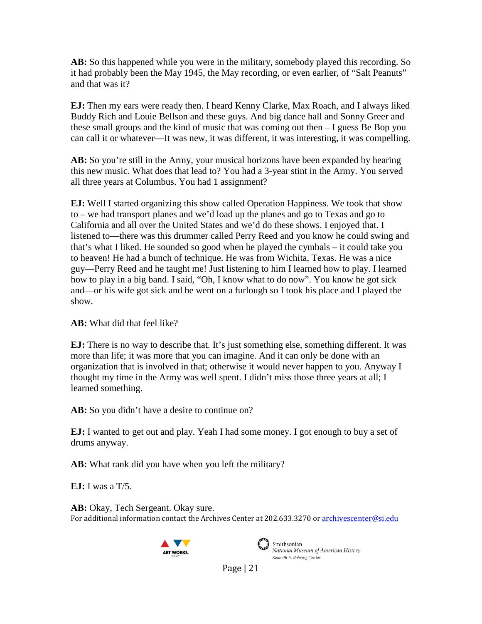**AB:** So this happened while you were in the military, somebody played this recording. So it had probably been the May 1945, the May recording, or even earlier, of "Salt Peanuts" and that was it?

**EJ:** Then my ears were ready then. I heard Kenny Clarke, Max Roach, and I always liked Buddy Rich and Louie Bellson and these guys. And big dance hall and Sonny Greer and these small groups and the kind of music that was coming out then – I guess Be Bop you can call it or whatever—It was new, it was different, it was interesting, it was compelling.

AB: So you're still in the Army, your musical horizons have been expanded by hearing this new music. What does that lead to? You had a 3-year stint in the Army. You served all three years at Columbus. You had 1 assignment?

**EJ:** Well I started organizing this show called Operation Happiness. We took that show to – we had transport planes and we'd load up the planes and go to Texas and go to California and all over the United States and we'd do these shows. I enjoyed that. I listened to—there was this drummer called Perry Reed and you know he could swing and that's what I liked. He sounded so good when he played the cymbals – it could take you to heaven! He had a bunch of technique. He was from Wichita, Texas. He was a nice guy—Perry Reed and he taught me! Just listening to him I learned how to play. I learned how to play in a big band. I said, "Oh, I know what to do now". You know he got sick and—or his wife got sick and he went on a furlough so I took his place and I played the show.

**AB:** What did that feel like?

**EJ:** There is no way to describe that. It's just something else, something different. It was more than life; it was more that you can imagine. And it can only be done with an organization that is involved in that; otherwise it would never happen to you. Anyway I thought my time in the Army was well spent. I didn't miss those three years at all; I learned something.

AB: So you didn't have a desire to continue on?

**EJ:** I wanted to get out and play. Yeah I had some money. I got enough to buy a set of drums anyway.

**AB:** What rank did you have when you left the military?

**EJ:** I was a T/5.

For additional information contact the Archives Center at 202.633.3270 o[r archivescenter@si.edu](mailto:archivescenter@si.edu) AB: Okay, Tech Sergeant. Okay sure.





Smithsonian National Museum of American History Kenneth E. Behring Center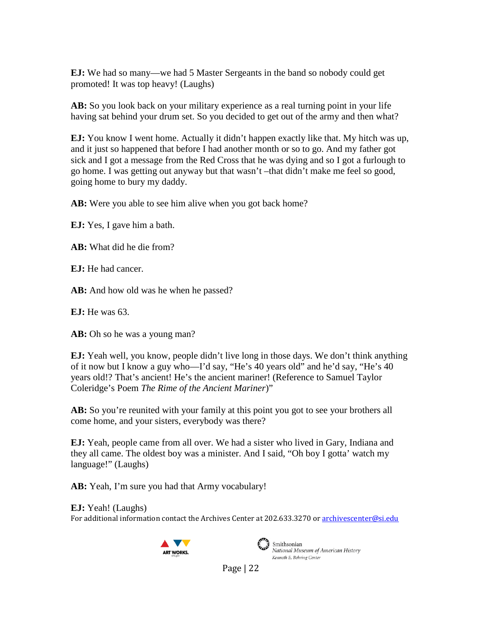**EJ:** We had so many—we had 5 Master Sergeants in the band so nobody could get promoted! It was top heavy! (Laughs)

**AB:** So you look back on your military experience as a real turning point in your life having sat behind your drum set. So you decided to get out of the army and then what?

**EJ:** You know I went home. Actually it didn't happen exactly like that. My hitch was up, and it just so happened that before I had another month or so to go. And my father got sick and I got a message from the Red Cross that he was dying and so I got a furlough to go home. I was getting out anyway but that wasn't –that didn't make me feel so good, going home to bury my daddy.

**AB:** Were you able to see him alive when you got back home?

**EJ:** Yes, I gave him a bath.

**AB:** What did he die from?

**EJ:** He had cancer.

AB: And how old was he when he passed?

**EJ:** He was 63.

AB: Oh so he was a young man?

**EJ:** Yeah well, you know, people didn't live long in those days. We don't think anything of it now but I know a guy who—I'd say, "He's 40 years old" and he'd say, "He's 40 years old!? That's ancient! He's the ancient mariner! (Reference to Samuel Taylor Coleridge's Poem *The Rime of the Ancient Mariner*)"

**AB:** So you're reunited with your family at this point you got to see your brothers all come home, and your sisters, everybody was there?

**EJ:** Yeah, people came from all over. We had a sister who lived in Gary, Indiana and they all came. The oldest boy was a minister. And I said, "Oh boy I gotta' watch my language!" (Laughs)

AB: Yeah, I'm sure you had that Army vocabulary!

For additional information contact the Archives Center at 202.633.3270 o[r archivescenter@si.edu](mailto:archivescenter@si.edu) **EJ:** Yeah! (Laughs)





Smithsonian National Museum of American History Kenneth E. Behring Center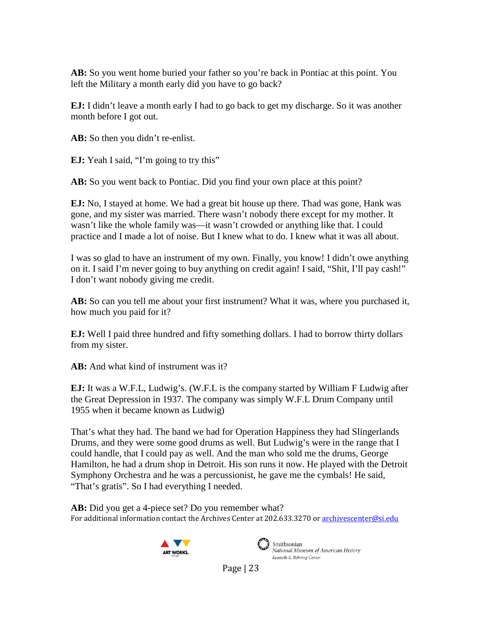**AB:** So you went home buried your father so you're back in Pontiac at this point. You left the Military a month early did you have to go back?

**EJ:** I didn't leave a month early I had to go back to get my discharge. So it was another month before I got out.

AB: So then you didn't re-enlist.

**EJ:** Yeah I said, "I'm going to try this"

**AB:** So you went back to Pontiac. Did you find your own place at this point?

**EJ:** No, I stayed at home. We had a great bit house up there. Thad was gone, Hank was gone, and my sister was married. There wasn't nobody there except for my mother. It wasn't like the whole family was—it wasn't crowded or anything like that. I could practice and I made a lot of noise. But I knew what to do. I knew what it was all about.

I was so glad to have an instrument of my own. Finally, you know! I didn't owe anything on it. I said I'm never going to buy anything on credit again! I said, "Shit, I'll pay cash!" I don't want nobody giving me credit.

**AB:** So can you tell me about your first instrument? What it was, where you purchased it, how much you paid for it?

**EJ:** Well I paid three hundred and fifty something dollars. I had to borrow thirty dollars from my sister.

**AB:** And what kind of instrument was it?

**EJ:** It was a W.F.L, Ludwig's. (W.F.L is the company started by William F Ludwig after the Great Depression in 1937. The company was simply W.F.L Drum Company until 1955 when it became known as Ludwig)

That's what they had. The band we had for Operation Happiness they had Slingerlands Drums, and they were some good drums as well. But Ludwig's were in the range that I could handle, that I could pay as well. And the man who sold me the drums, George Hamilton, he had a drum shop in Detroit. His son runs it now. He played with the Detroit Symphony Orchestra and he was a percussionist, he gave me the cymbals! He said, "That's gratis". So I had everything I needed.

For additional information contact the Archives Center at 202.633.3270 o[r archivescenter@si.edu](mailto:archivescenter@si.edu) AB: Did you get a 4-piece set? Do you remember what?





Smithsonian National Museum of American History Kenneth E. Behring Center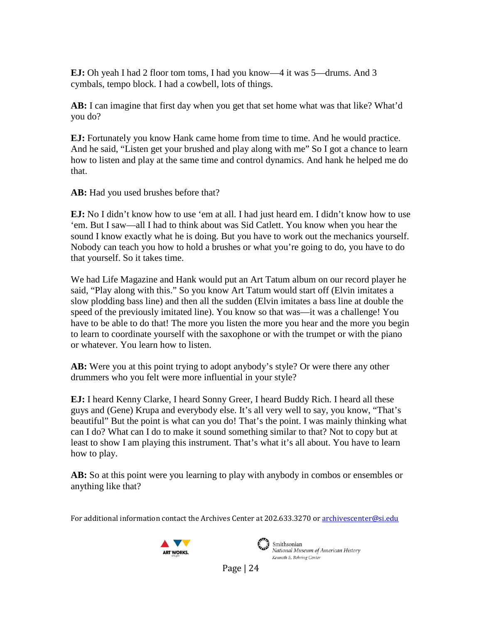**EJ:** Oh yeah I had 2 floor tom toms, I had you know—4 it was 5—drums. And 3 cymbals, tempo block. I had a cowbell, lots of things.

**AB:** I can imagine that first day when you get that set home what was that like? What'd you do?

**EJ:** Fortunately you know Hank came home from time to time. And he would practice. And he said, "Listen get your brushed and play along with me" So I got a chance to learn how to listen and play at the same time and control dynamics. And hank he helped me do that.

AB: Had you used brushes before that?

**EJ:** No I didn't know how to use 'em at all. I had just heard em. I didn't know how to use 'em. But I saw—all I had to think about was Sid Catlett. You know when you hear the sound I know exactly what he is doing. But you have to work out the mechanics yourself. Nobody can teach you how to hold a brushes or what you're going to do, you have to do that yourself. So it takes time.

We had Life Magazine and Hank would put an Art Tatum album on our record player he said, "Play along with this." So you know Art Tatum would start off (Elvin imitates a slow plodding bass line) and then all the sudden (Elvin imitates a bass line at double the speed of the previously imitated line). You know so that was—it was a challenge! You have to be able to do that! The more you listen the more you hear and the more you begin to learn to coordinate yourself with the saxophone or with the trumpet or with the piano or whatever. You learn how to listen.

**AB:** Were you at this point trying to adopt anybody's style? Or were there any other drummers who you felt were more influential in your style?

**EJ:** I heard Kenny Clarke, I heard Sonny Greer, I heard Buddy Rich. I heard all these guys and (Gene) Krupa and everybody else. It's all very well to say, you know, "That's beautiful" But the point is what can you do! That's the point. I was mainly thinking what can I do? What can I do to make it sound something similar to that? Not to copy but at least to show I am playing this instrument. That's what it's all about. You have to learn how to play.

AB: So at this point were you learning to play with anybody in combos or ensembles or anything like that?

For additional information contact the Archives Center at 202.633.3270 o[r archivescenter@si.edu](mailto:archivescenter@si.edu)





 $\left(\begin{array}{c}\right)$  Smithsonian National Museum of American History Kenneth E. Behring Center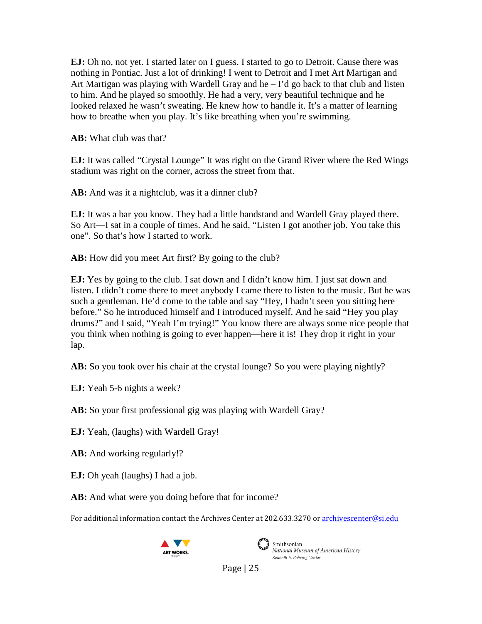**EJ:** Oh no, not yet. I started later on I guess. I started to go to Detroit. Cause there was nothing in Pontiac. Just a lot of drinking! I went to Detroit and I met Art Martigan and Art Martigan was playing with Wardell Gray and  $he - I'd$  go back to that club and listen to him. And he played so smoothly. He had a very, very beautiful technique and he looked relaxed he wasn't sweating. He knew how to handle it. It's a matter of learning how to breathe when you play. It's like breathing when you're swimming.

**AB:** What club was that?

**EJ:** It was called "Crystal Lounge" It was right on the Grand River where the Red Wings stadium was right on the corner, across the street from that.

AB: And was it a nightclub, was it a dinner club?

**EJ:** It was a bar you know. They had a little bandstand and Wardell Gray played there. So Art—I sat in a couple of times. And he said, "Listen I got another job. You take this one". So that's how I started to work.

AB: How did you meet Art first? By going to the club?

**EJ:** Yes by going to the club. I sat down and I didn't know him. I just sat down and listen. I didn't come there to meet anybody I came there to listen to the music. But he was such a gentleman. He'd come to the table and say "Hey, I hadn't seen you sitting here before." So he introduced himself and I introduced myself. And he said "Hey you play drums?" and I said, "Yeah I'm trying!" You know there are always some nice people that you think when nothing is going to ever happen—here it is! They drop it right in your lap.

**AB:** So you took over his chair at the crystal lounge? So you were playing nightly?

**EJ:** Yeah 5-6 nights a week?

**AB:** So your first professional gig was playing with Wardell Gray?

**EJ:** Yeah, (laughs) with Wardell Gray!

- **AB:** And working regularly!?
- **EJ:** Oh yeah (laughs) I had a job.
- AB: And what were you doing before that for income?

For additional information contact the Archives Center at 202.633.3270 o[r archivescenter@si.edu](mailto:archivescenter@si.edu)





Smithsonian National Museum of American History Kenneth E. Behring Center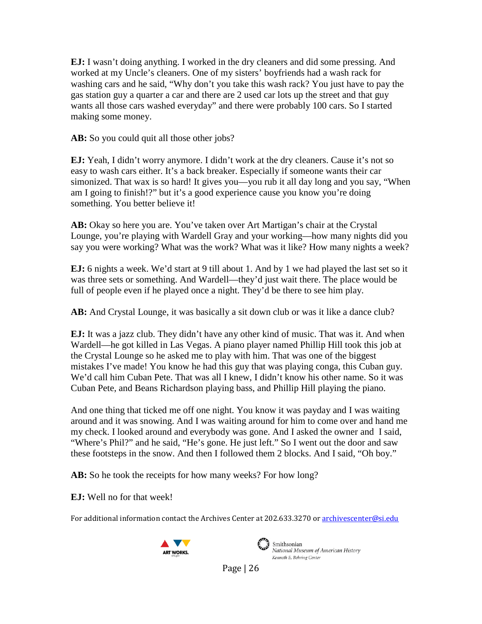**EJ:** I wasn't doing anything. I worked in the dry cleaners and did some pressing. And worked at my Uncle's cleaners. One of my sisters' boyfriends had a wash rack for washing cars and he said, "Why don't you take this wash rack? You just have to pay the gas station guy a quarter a car and there are 2 used car lots up the street and that guy wants all those cars washed everyday" and there were probably 100 cars. So I started making some money.

**AB:** So you could quit all those other jobs?

**EJ:** Yeah, I didn't worry anymore. I didn't work at the dry cleaners. Cause it's not so easy to wash cars either. It's a back breaker. Especially if someone wants their car simonized. That wax is so hard! It gives you—you rub it all day long and you say, "When am I going to finish!?" but it's a good experience cause you know you're doing something. You better believe it!

**AB:** Okay so here you are. You've taken over Art Martigan's chair at the Crystal Lounge, you're playing with Wardell Gray and your working—how many nights did you say you were working? What was the work? What was it like? How many nights a week?

**EJ:** 6 nights a week. We'd start at 9 till about 1. And by 1 we had played the last set so it was three sets or something. And Wardell—they'd just wait there. The place would be full of people even if he played once a night. They'd be there to see him play.

**AB:** And Crystal Lounge, it was basically a sit down club or was it like a dance club?

**EJ:** It was a jazz club. They didn't have any other kind of music. That was it. And when Wardell—he got killed in Las Vegas. A piano player named Phillip Hill took this job at the Crystal Lounge so he asked me to play with him. That was one of the biggest mistakes I've made! You know he had this guy that was playing conga, this Cuban guy. We'd call him Cuban Pete. That was all I knew, I didn't know his other name. So it was Cuban Pete, and Beans Richardson playing bass, and Phillip Hill playing the piano.

And one thing that ticked me off one night. You know it was payday and I was waiting around and it was snowing. And I was waiting around for him to come over and hand me my check. I looked around and everybody was gone. And I asked the owner and I said, "Where's Phil?" and he said, "He's gone. He just left." So I went out the door and saw these footsteps in the snow. And then I followed them 2 blocks. And I said, "Oh boy."

AB: So he took the receipts for how many weeks? For how long?

**EJ:** Well no for that week!

For additional information contact the Archives Center at 202.633.3270 o[r archivescenter@si.edu](mailto:archivescenter@si.edu)





Smithsonian National Museum of American History Kenneth E. Behring Center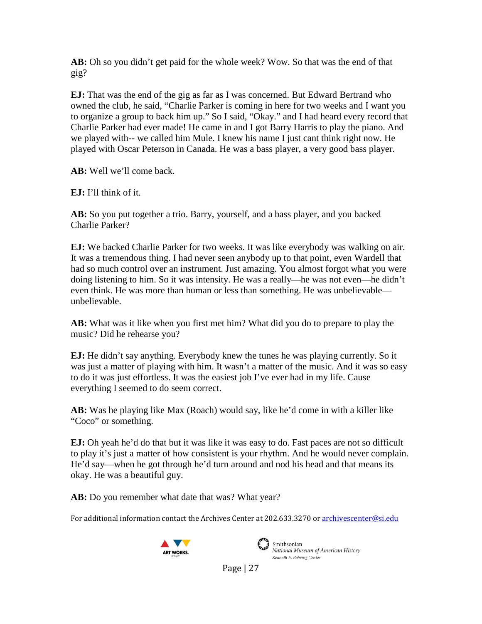**AB:** Oh so you didn't get paid for the whole week? Wow. So that was the end of that gig?

**EJ:** That was the end of the gig as far as I was concerned. But Edward Bertrand who owned the club, he said, "Charlie Parker is coming in here for two weeks and I want you to organize a group to back him up." So I said, "Okay." and I had heard every record that Charlie Parker had ever made! He came in and I got Barry Harris to play the piano. And we played with-- we called him Mule. I knew his name I just cant think right now. He played with Oscar Peterson in Canada. He was a bass player, a very good bass player.

**AB:** Well we'll come back.

**EJ:** I'll think of it.

**AB:** So you put together a trio. Barry, yourself, and a bass player, and you backed Charlie Parker?

**EJ:** We backed Charlie Parker for two weeks. It was like everybody was walking on air. It was a tremendous thing. I had never seen anybody up to that point, even Wardell that had so much control over an instrument. Just amazing. You almost forgot what you were doing listening to him. So it was intensity. He was a really—he was not even—he didn't even think. He was more than human or less than something. He was unbelievable unbelievable.

**AB:** What was it like when you first met him? What did you do to prepare to play the music? Did he rehearse you?

**EJ:** He didn't say anything. Everybody knew the tunes he was playing currently. So it was just a matter of playing with him. It wasn't a matter of the music. And it was so easy to do it was just effortless. It was the easiest job I've ever had in my life. Cause everything I seemed to do seem correct.

**AB:** Was he playing like Max (Roach) would say, like he'd come in with a killer like "Coco" or something.

**EJ:** Oh yeah he'd do that but it was like it was easy to do. Fast paces are not so difficult to play it's just a matter of how consistent is your rhythm. And he would never complain. He'd say—when he got through he'd turn around and nod his head and that means its okay. He was a beautiful guy.

AB: Do you remember what date that was? What year?

For additional information contact the Archives Center at 202.633.3270 o[r archivescenter@si.edu](mailto:archivescenter@si.edu)





Smithsonian National Museum of American History Kenneth E. Behring Center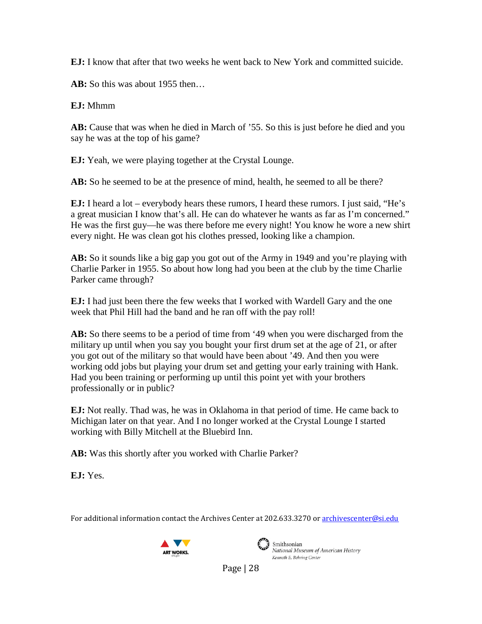**EJ:** I know that after that two weeks he went back to New York and committed suicide.

**AB:** So this was about 1955 then…

**EJ:** Mhmm

AB: Cause that was when he died in March of '55. So this is just before he died and you say he was at the top of his game?

**EJ:** Yeah, we were playing together at the Crystal Lounge.

AB: So he seemed to be at the presence of mind, health, he seemed to all be there?

**EJ:** I heard a lot – everybody hears these rumors, I heard these rumors. I just said, "He's a great musician I know that's all. He can do whatever he wants as far as I'm concerned." He was the first guy—he was there before me every night! You know he wore a new shirt every night. He was clean got his clothes pressed, looking like a champion.

**AB:** So it sounds like a big gap you got out of the Army in 1949 and you're playing with Charlie Parker in 1955. So about how long had you been at the club by the time Charlie Parker came through?

**EJ:** I had just been there the few weeks that I worked with Wardell Gary and the one week that Phil Hill had the band and he ran off with the pay roll!

**AB:** So there seems to be a period of time from '49 when you were discharged from the military up until when you say you bought your first drum set at the age of 21, or after you got out of the military so that would have been about '49. And then you were working odd jobs but playing your drum set and getting your early training with Hank. Had you been training or performing up until this point yet with your brothers professionally or in public?

**EJ:** Not really. Thad was, he was in Oklahoma in that period of time. He came back to Michigan later on that year. And I no longer worked at the Crystal Lounge I started working with Billy Mitchell at the Bluebird Inn.

**AB:** Was this shortly after you worked with Charlie Parker?

**EJ:** Yes.

For additional information contact the Archives Center at 202.633.3270 o[r archivescenter@si.edu](mailto:archivescenter@si.edu)





Smithsonian National Museum of American History Kenneth E. Behring Center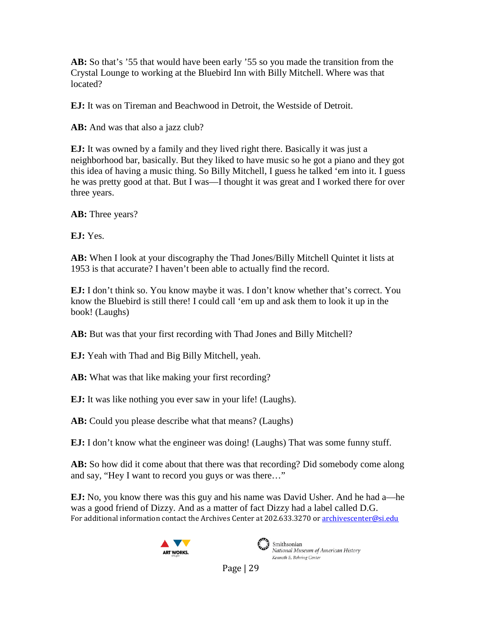**AB:** So that's '55 that would have been early '55 so you made the transition from the Crystal Lounge to working at the Bluebird Inn with Billy Mitchell. Where was that located?

**EJ:** It was on Tireman and Beachwood in Detroit, the Westside of Detroit.

AB: And was that also a jazz club?

**EJ:** It was owned by a family and they lived right there. Basically it was just a neighborhood bar, basically. But they liked to have music so he got a piano and they got this idea of having a music thing. So Billy Mitchell, I guess he talked 'em into it. I guess he was pretty good at that. But I was—I thought it was great and I worked there for over three years.

AB: Three years?

**EJ:** Yes.

**AB:** When I look at your discography the Thad Jones/Billy Mitchell Quintet it lists at 1953 is that accurate? I haven't been able to actually find the record.

**EJ:** I don't think so. You know maybe it was. I don't know whether that's correct. You know the Bluebird is still there! I could call 'em up and ask them to look it up in the book! (Laughs)

AB: But was that your first recording with Thad Jones and Billy Mitchell?

**EJ:** Yeah with Thad and Big Billy Mitchell, yeah.

**AB:** What was that like making your first recording?

**EJ:** It was like nothing you ever saw in your life! (Laughs).

AB: Could you please describe what that means? (Laughs)

**EJ:** I don't know what the engineer was doing! (Laughs) That was some funny stuff.

**AB:** So how did it come about that there was that recording? Did somebody come along and say, "Hey I want to record you guys or was there…"

For additional information contact the Archives Center at 202.633.3270 o[r archivescenter@si.edu](mailto:archivescenter@si.edu) **EJ:** No, you know there was this guy and his name was David Usher. And he had a—he was a good friend of Dizzy. And as a matter of fact Dizzy had a label called D.G.





National Museum of American History Kenneth E. Behring Center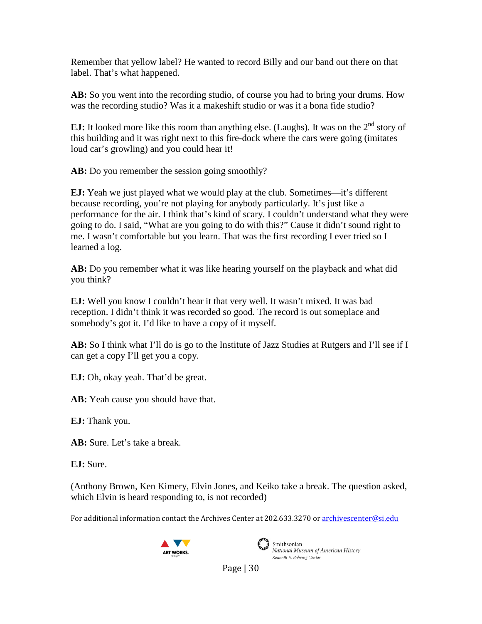Remember that yellow label? He wanted to record Billy and our band out there on that label. That's what happened.

**AB:** So you went into the recording studio, of course you had to bring your drums. How was the recording studio? Was it a makeshift studio or was it a bona fide studio?

**EJ:** It looked more like this room than anything else. (Laughs). It was on the 2<sup>nd</sup> story of this building and it was right next to this fire-dock where the cars were going (imitates loud car's growling) and you could hear it!

AB: Do you remember the session going smoothly?

**EJ:** Yeah we just played what we would play at the club. Sometimes—it's different because recording, you're not playing for anybody particularly. It's just like a performance for the air. I think that's kind of scary. I couldn't understand what they were going to do. I said, "What are you going to do with this?" Cause it didn't sound right to me. I wasn't comfortable but you learn. That was the first recording I ever tried so I learned a log.

**AB:** Do you remember what it was like hearing yourself on the playback and what did you think?

**EJ:** Well you know I couldn't hear it that very well. It wasn't mixed. It was bad reception. I didn't think it was recorded so good. The record is out someplace and somebody's got it. I'd like to have a copy of it myself.

**AB:** So I think what I'll do is go to the Institute of Jazz Studies at Rutgers and I'll see if I can get a copy I'll get you a copy.

**EJ:** Oh, okay yeah. That'd be great.

AB: Yeah cause you should have that.

**EJ:** Thank you.

**AB:** Sure. Let's take a break.

**EJ:** Sure.

(Anthony Brown, Ken Kimery, Elvin Jones, and Keiko take a break. The question asked, which Elvin is heard responding to, is not recorded)

For additional information contact the Archives Center at 202.633.3270 o[r archivescenter@si.edu](mailto:archivescenter@si.edu)





Smithsonian National Museum of American History Kenneth E. Behring Center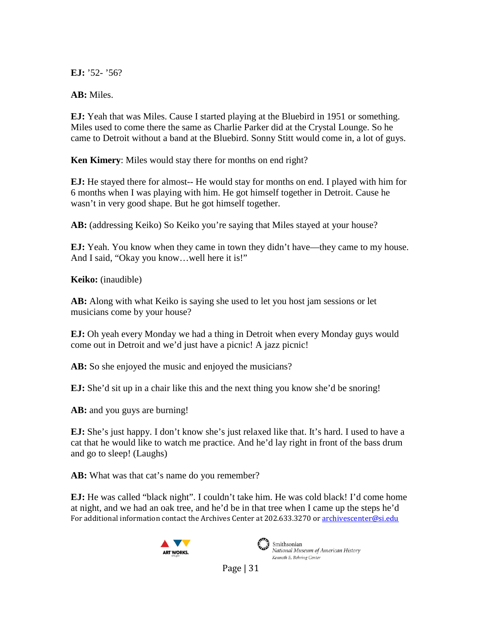**EJ:** '52- '56?

**AB:** Miles.

**EJ:** Yeah that was Miles. Cause I started playing at the Bluebird in 1951 or something. Miles used to come there the same as Charlie Parker did at the Crystal Lounge. So he came to Detroit without a band at the Bluebird. Sonny Stitt would come in, a lot of guys.

**Ken Kimery**: Miles would stay there for months on end right?

**EJ:** He stayed there for almost-- He would stay for months on end. I played with him for 6 months when I was playing with him. He got himself together in Detroit. Cause he wasn't in very good shape. But he got himself together.

AB: (addressing Keiko) So Keiko you're saying that Miles stayed at your house?

**EJ:** Yeah. You know when they came in town they didn't have—they came to my house. And I said, "Okay you know...well here it is!"

**Keiko:** (inaudible)

**AB:** Along with what Keiko is saying she used to let you host jam sessions or let musicians come by your house?

**EJ:** Oh yeah every Monday we had a thing in Detroit when every Monday guys would come out in Detroit and we'd just have a picnic! A jazz picnic!

AB: So she enjoyed the music and enjoyed the musicians?

**EJ:** She'd sit up in a chair like this and the next thing you know she'd be snoring!

AB: and you guys are burning!

**EJ:** She's just happy. I don't know she's just relaxed like that. It's hard. I used to have a cat that he would like to watch me practice. And he'd lay right in front of the bass drum and go to sleep! (Laughs)

AB: What was that cat's name do you remember?

For additional information contact the Archives Center at 202.633.3270 o[r archivescenter@si.edu](mailto:archivescenter@si.edu) **EJ:** He was called "black night". I couldn't take him. He was cold black! I'd come home at night, and we had an oak tree, and he'd be in that tree when I came up the steps he'd





 $\mathbf{3}$  Smithsonian National Museum of American History Kenneth E. Behring Center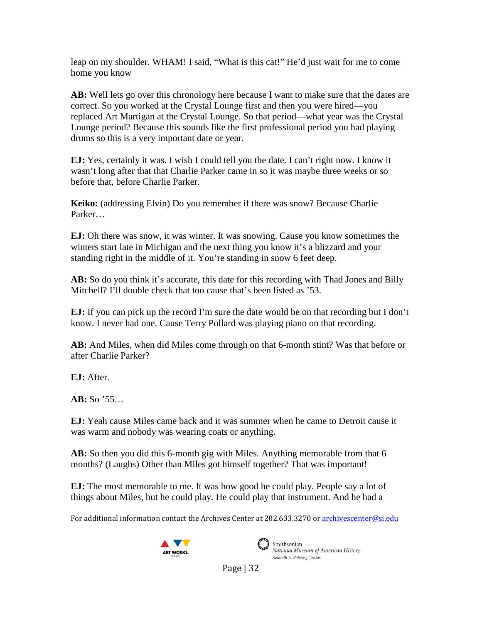leap on my shoulder. WHAM! I said, "What is this cat!" He'd just wait for me to come home you know

**AB:** Well lets go over this chronology here because I want to make sure that the dates are correct. So you worked at the Crystal Lounge first and then you were hired—you replaced Art Martigan at the Crystal Lounge. So that period—what year was the Crystal Lounge period? Because this sounds like the first professional period you had playing drums so this is a very important date or year.

**EJ:** Yes, certainly it was. I wish I could tell you the date. I can't right now. I know it wasn't long after that that Charlie Parker came in so it was maybe three weeks or so before that, before Charlie Parker.

**Keiko:** (addressing Elvin) Do you remember if there was snow? Because Charlie Parker…

**EJ:** Oh there was snow, it was winter. It was snowing. Cause you know sometimes the winters start late in Michigan and the next thing you know it's a blizzard and your standing right in the middle of it. You're standing in snow 6 feet deep.

AB: So do you think it's accurate, this date for this recording with Thad Jones and Billy Mitchell? I'll double check that too cause that's been listed as '53.

**EJ:** If you can pick up the record I'm sure the date would be on that recording but I don't know. I never had one. Cause Terry Pollard was playing piano on that recording.

**AB:** And Miles, when did Miles come through on that 6-month stint? Was that before or after Charlie Parker?

**EJ:** After.

**AB:** So '55…

**EJ:** Yeah cause Miles came back and it was summer when he came to Detroit cause it was warm and nobody was wearing coats or anything.

AB: So then you did this 6-month gig with Miles. Anything memorable from that 6 months? (Laughs) Other than Miles got himself together? That was important!

**EJ:** The most memorable to me. It was how good he could play. People say a lot of things about Miles, but he could play. He could play that instrument. And he had a

For additional information contact the Archives Center at 202.633.3270 o[r archivescenter@si.edu](mailto:archivescenter@si.edu)





 $\sum_{i=1}^{\infty}$  Smithsonian National Museum of American History Kenneth E. Behring Center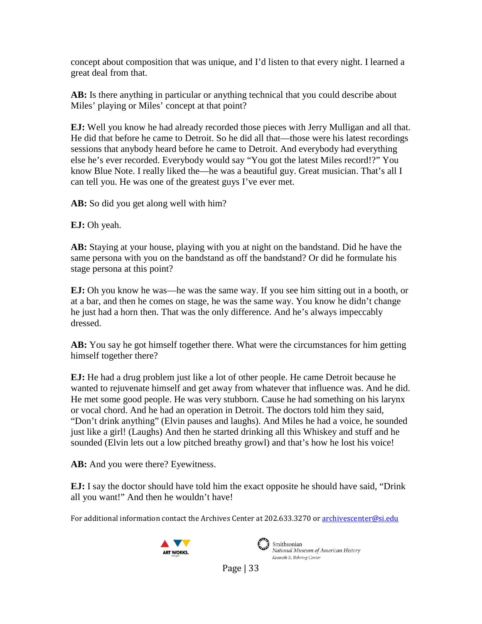concept about composition that was unique, and I'd listen to that every night. I learned a great deal from that.

**AB:** Is there anything in particular or anything technical that you could describe about Miles' playing or Miles' concept at that point?

**EJ:** Well you know he had already recorded those pieces with Jerry Mulligan and all that. He did that before he came to Detroit. So he did all that—those were his latest recordings sessions that anybody heard before he came to Detroit. And everybody had everything else he's ever recorded. Everybody would say "You got the latest Miles record!?" You know Blue Note. I really liked the—he was a beautiful guy. Great musician. That's all I can tell you. He was one of the greatest guys I've ever met.

**AB:** So did you get along well with him?

**EJ:** Oh yeah.

**AB:** Staying at your house, playing with you at night on the bandstand. Did he have the same persona with you on the bandstand as off the bandstand? Or did he formulate his stage persona at this point?

**EJ:** Oh you know he was—he was the same way. If you see him sitting out in a booth, or at a bar, and then he comes on stage, he was the same way. You know he didn't change he just had a horn then. That was the only difference. And he's always impeccably dressed.

**AB:** You say he got himself together there. What were the circumstances for him getting himself together there?

**EJ:** He had a drug problem just like a lot of other people. He came Detroit because he wanted to rejuvenate himself and get away from whatever that influence was. And he did. He met some good people. He was very stubborn. Cause he had something on his larynx or vocal chord. And he had an operation in Detroit. The doctors told him they said, "Don't drink anything" (Elvin pauses and laughs). And Miles he had a voice, he sounded just like a girl! (Laughs) And then he started drinking all this Whiskey and stuff and he sounded (Elvin lets out a low pitched breathy growl) and that's how he lost his voice!

AB: And you were there? Eyewitness.

**EJ:** I say the doctor should have told him the exact opposite he should have said, "Drink all you want!" And then he wouldn't have!

For additional information contact the Archives Center at 202.633.3270 o[r archivescenter@si.edu](mailto:archivescenter@si.edu)





 $\left(\begin{array}{c}\right)$  Smithsonian National Museum of American History Kenneth E. Behring Center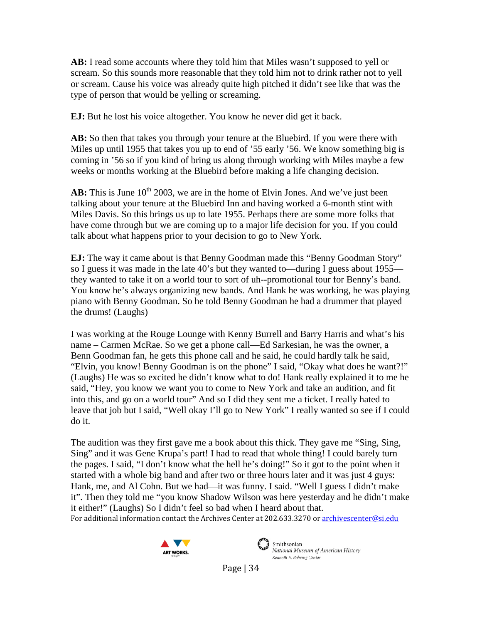**AB:** I read some accounts where they told him that Miles wasn't supposed to yell or scream. So this sounds more reasonable that they told him not to drink rather not to yell or scream. Cause his voice was already quite high pitched it didn't see like that was the type of person that would be yelling or screaming.

**EJ:** But he lost his voice altogether. You know he never did get it back.

**AB:** So then that takes you through your tenure at the Bluebird. If you were there with Miles up until 1955 that takes you up to end of '55 early '56. We know something big is coming in '56 so if you kind of bring us along through working with Miles maybe a few weeks or months working at the Bluebird before making a life changing decision.

**AB:** This is June  $10^{th}$  2003, we are in the home of Elvin Jones. And we've just been talking about your tenure at the Bluebird Inn and having worked a 6-month stint with Miles Davis. So this brings us up to late 1955. Perhaps there are some more folks that have come through but we are coming up to a major life decision for you. If you could talk about what happens prior to your decision to go to New York.

**EJ:** The way it came about is that Benny Goodman made this "Benny Goodman Story" so I guess it was made in the late 40's but they wanted to—during I guess about 1955 they wanted to take it on a world tour to sort of uh--promotional tour for Benny's band. You know he's always organizing new bands. And Hank he was working, he was playing piano with Benny Goodman. So he told Benny Goodman he had a drummer that played the drums! (Laughs)

I was working at the Rouge Lounge with Kenny Burrell and Barry Harris and what's his name – Carmen McRae. So we get a phone call—Ed Sarkesian, he was the owner, a Benn Goodman fan, he gets this phone call and he said, he could hardly talk he said, "Elvin, you know! Benny Goodman is on the phone" I said, "Okay what does he want?!" (Laughs) He was so excited he didn't know what to do! Hank really explained it to me he said, "Hey, you know we want you to come to New York and take an audition, and fit into this, and go on a world tour" And so I did they sent me a ticket. I really hated to leave that job but I said, "Well okay I'll go to New York" I really wanted so see if I could do it.

The audition was they first gave me a book about this thick. They gave me "Sing, Sing, Sing" and it was Gene Krupa's part! I had to read that whole thing! I could barely turn the pages. I said, "I don't know what the hell he's doing!" So it got to the point when it started with a whole big band and after two or three hours later and it was just 4 guys: Hank, me, and Al Cohn. But we had—it was funny. I said. "Well I guess I didn't make it". Then they told me "you know Shadow Wilson was here yesterday and he didn't make it either!" (Laughs) So I didn't feel so bad when I heard about that.

For additional information contact the Archives Center at 202.633.3270 o[r archivescenter@si.edu](mailto:archivescenter@si.edu)





National Museum of American History Kenneth E. Behring Center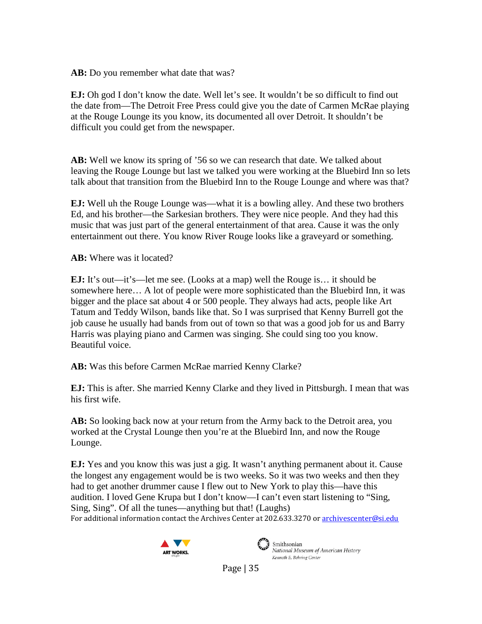AB: Do you remember what date that was?

**EJ:** Oh god I don't know the date. Well let's see. It wouldn't be so difficult to find out the date from—The Detroit Free Press could give you the date of Carmen McRae playing at the Rouge Lounge its you know, its documented all over Detroit. It shouldn't be difficult you could get from the newspaper.

**AB:** Well we know its spring of '56 so we can research that date. We talked about leaving the Rouge Lounge but last we talked you were working at the Bluebird Inn so lets talk about that transition from the Bluebird Inn to the Rouge Lounge and where was that?

**EJ:** Well uh the Rouge Lounge was—what it is a bowling alley. And these two brothers Ed, and his brother—the Sarkesian brothers. They were nice people. And they had this music that was just part of the general entertainment of that area. Cause it was the only entertainment out there. You know River Rouge looks like a graveyard or something.

**AB:** Where was it located?

**EJ:** It's out—it's—let me see. (Looks at a map) well the Rouge is… it should be somewhere here… A lot of people were more sophisticated than the Bluebird Inn, it was bigger and the place sat about 4 or 500 people. They always had acts, people like Art Tatum and Teddy Wilson, bands like that. So I was surprised that Kenny Burrell got the job cause he usually had bands from out of town so that was a good job for us and Barry Harris was playing piano and Carmen was singing. She could sing too you know. Beautiful voice.

**AB:** Was this before Carmen McRae married Kenny Clarke?

**EJ:** This is after. She married Kenny Clarke and they lived in Pittsburgh. I mean that was his first wife.

**AB:** So looking back now at your return from the Army back to the Detroit area, you worked at the Crystal Lounge then you're at the Bluebird Inn, and now the Rouge Lounge.

For additional information contact the Archives Center at 202.633.3270 o[r archivescenter@si.edu](mailto:archivescenter@si.edu) **EJ:** Yes and you know this was just a gig. It wasn't anything permanent about it. Cause the longest any engagement would be is two weeks. So it was two weeks and then they had to get another drummer cause I flew out to New York to play this—have this audition. I loved Gene Krupa but I don't know—I can't even start listening to "Sing, Sing, Sing". Of all the tunes—anything but that! (Laughs)





Smithsonian National Museum of American History Kenneth E. Behring Center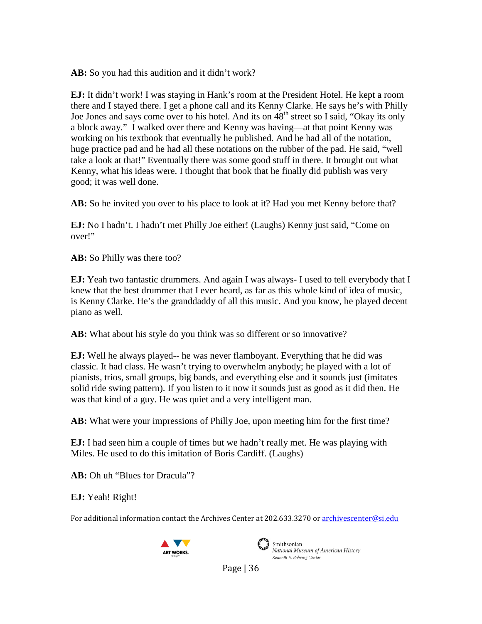**AB:** So you had this audition and it didn't work?

**EJ:** It didn't work! I was staying in Hank's room at the President Hotel. He kept a room there and I stayed there. I get a phone call and its Kenny Clarke. He says he's with Philly Joe Jones and says come over to his hotel. And its on  $48<sup>th</sup>$  street so I said, "Okay its only a block away." I walked over there and Kenny was having—at that point Kenny was working on his textbook that eventually he published. And he had all of the notation, huge practice pad and he had all these notations on the rubber of the pad. He said, "well take a look at that!" Eventually there was some good stuff in there. It brought out what Kenny, what his ideas were. I thought that book that he finally did publish was very good; it was well done.

AB: So he invited you over to his place to look at it? Had you met Kenny before that?

**EJ:** No I hadn't. I hadn't met Philly Joe either! (Laughs) Kenny just said, "Come on over!"

**AB:** So Philly was there too?

**EJ:** Yeah two fantastic drummers. And again I was always- I used to tell everybody that I knew that the best drummer that I ever heard, as far as this whole kind of idea of music, is Kenny Clarke. He's the granddaddy of all this music. And you know, he played decent piano as well.

AB: What about his style do you think was so different or so innovative?

**EJ:** Well he always played-- he was never flamboyant. Everything that he did was classic. It had class. He wasn't trying to overwhelm anybody; he played with a lot of pianists, trios, small groups, big bands, and everything else and it sounds just (imitates solid ride swing pattern). If you listen to it now it sounds just as good as it did then. He was that kind of a guy. He was quiet and a very intelligent man.

**AB:** What were your impressions of Philly Joe, upon meeting him for the first time?

**EJ:** I had seen him a couple of times but we hadn't really met. He was playing with Miles. He used to do this imitation of Boris Cardiff. (Laughs)

**AB:** Oh uh "Blues for Dracula"?

**EJ:** Yeah! Right!

For additional information contact the Archives Center at 202.633.3270 o[r archivescenter@si.edu](mailto:archivescenter@si.edu)





Smithsonian National Museum of American History Kenneth E. Behring Center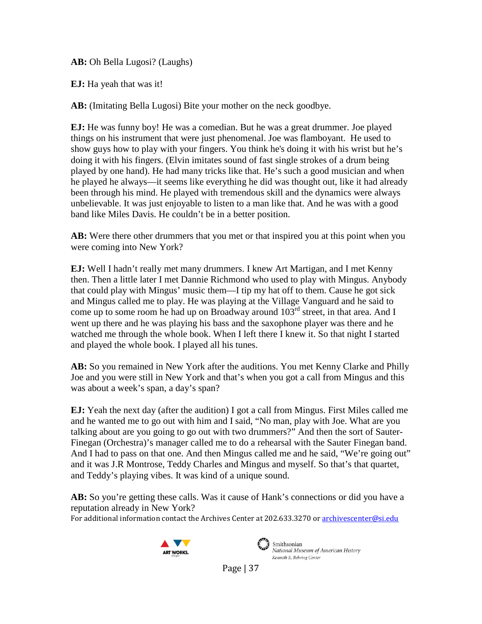**AB:** Oh Bella Lugosi? (Laughs)

**EJ:** Ha yeah that was it!

AB: (Imitating Bella Lugosi) Bite your mother on the neck goodbye.

**EJ:** He was funny boy! He was a comedian. But he was a great drummer. Joe played things on his instrument that were just phenomenal. Joe was flamboyant. He used to show guys how to play with your fingers. You think he's doing it with his wrist but he's doing it with his fingers. (Elvin imitates sound of fast single strokes of a drum being played by one hand). He had many tricks like that. He's such a good musician and when he played he always—it seems like everything he did was thought out, like it had already been through his mind. He played with tremendous skill and the dynamics were always unbelievable. It was just enjoyable to listen to a man like that. And he was with a good band like Miles Davis. He couldn't be in a better position.

**AB:** Were there other drummers that you met or that inspired you at this point when you were coming into New York?

**EJ:** Well I hadn't really met many drummers. I knew Art Martigan, and I met Kenny then. Then a little later I met Dannie Richmond who used to play with Mingus. Anybody that could play with Mingus' music them—I tip my hat off to them. Cause he got sick and Mingus called me to play. He was playing at the Village Vanguard and he said to come up to some room he had up on Broadway around  $103^{rd}$  street, in that area. And I went up there and he was playing his bass and the saxophone player was there and he watched me through the whole book. When I left there I knew it. So that night I started and played the whole book. I played all his tunes.

**AB:** So you remained in New York after the auditions. You met Kenny Clarke and Philly Joe and you were still in New York and that's when you got a call from Mingus and this was about a week's span, a day's span?

**EJ:** Yeah the next day (after the audition) I got a call from Mingus. First Miles called me and he wanted me to go out with him and I said, "No man, play with Joe. What are you talking about are you going to go out with two drummers?" And then the sort of Sauter-Finegan (Orchestra)'s manager called me to do a rehearsal with the Sauter Finegan band. And I had to pass on that one. And then Mingus called me and he said, "We're going out" and it was J.R Montrose, Teddy Charles and Mingus and myself. So that's that quartet, and Teddy's playing vibes. It was kind of a unique sound.

**AB:** So you're getting these calls. Was it cause of Hank's connections or did you have a reputation already in New York?

For additional information contact the Archives Center at 202.633.3270 o[r archivescenter@si.edu](mailto:archivescenter@si.edu)





Smithsonian National Museum of American History Kenneth E. Behring Center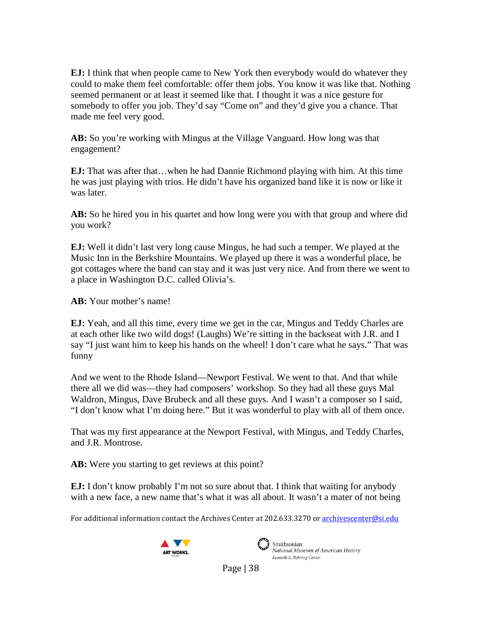**EJ:** I think that when people came to New York then everybody would do whatever they could to make them feel comfortable: offer them jobs. You know it was like that. Nothing seemed permanent or at least it seemed like that. I thought it was a nice gesture for somebody to offer you job. They'd say "Come on" and they'd give you a chance. That made me feel very good.

**AB:** So you're working with Mingus at the Village Vanguard. How long was that engagement?

**EJ:** That was after that…when he had Dannie Richmond playing with him. At this time he was just playing with trios. He didn't have his organized band like it is now or like it was later.

**AB:** So he hired you in his quartet and how long were you with that group and where did you work?

**EJ:** Well it didn't last very long cause Mingus, he had such a temper. We played at the Music Inn in the Berkshire Mountains. We played up there it was a wonderful place, he got cottages where the band can stay and it was just very nice. And from there we went to a place in Washington D.C. called Olivia's.

**AB:** Your mother's name!

**EJ:** Yeah, and all this time, every time we get in the car, Mingus and Teddy Charles are at each other like two wild dogs! (Laughs) We're sitting in the backseat with J.R. and I say "I just want him to keep his hands on the wheel! I don't care what he says." That was funny

And we went to the Rhode Island—Newport Festival. We went to that. And that while there all we did was—they had composers' workshop. So they had all these guys Mal Waldron, Mingus, Dave Brubeck and all these guys. And I wasn't a composer so I said, "I don't know what I'm doing here." But it was wonderful to play with all of them once.

That was my first appearance at the Newport Festival, with Mingus, and Teddy Charles, and J.R. Montrose.

AB: Were you starting to get reviews at this point?

**EJ:** I don't know probably I'm not so sure about that. I think that waiting for anybody with a new face, a new name that's what it was all about. It wasn't a mater of not being

For additional information contact the Archives Center at 202.633.3270 o[r archivescenter@si.edu](mailto:archivescenter@si.edu)





Smithsonian National Museum of American History Kenneth E. Behring Center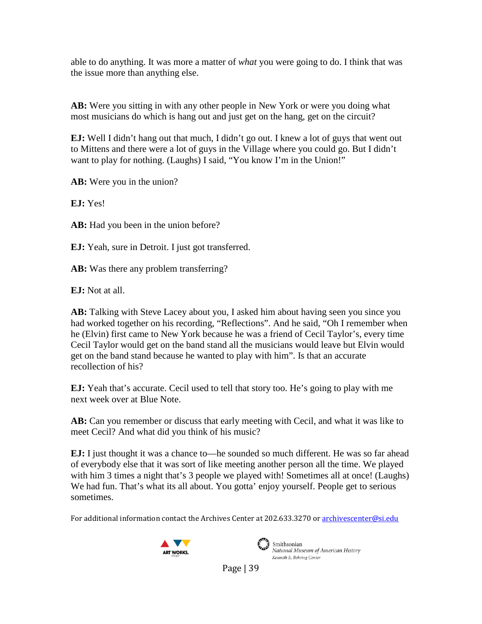able to do anything. It was more a matter of *what* you were going to do. I think that was the issue more than anything else.

**AB:** Were you sitting in with any other people in New York or were you doing what most musicians do which is hang out and just get on the hang, get on the circuit?

**EJ:** Well I didn't hang out that much, I didn't go out. I knew a lot of guys that went out to Mittens and there were a lot of guys in the Village where you could go. But I didn't want to play for nothing. (Laughs) I said, "You know I'm in the Union!"

**AB:** Were you in the union?

**EJ:** Yes!

**AB:** Had you been in the union before?

**EJ:** Yeah, sure in Detroit. I just got transferred.

**AB:** Was there any problem transferring?

**EJ:** Not at all.

**AB:** Talking with Steve Lacey about you, I asked him about having seen you since you had worked together on his recording, "Reflections". And he said, "Oh I remember when he (Elvin) first came to New York because he was a friend of Cecil Taylor's, every time Cecil Taylor would get on the band stand all the musicians would leave but Elvin would get on the band stand because he wanted to play with him". Is that an accurate recollection of his?

**EJ:** Yeah that's accurate. Cecil used to tell that story too. He's going to play with me next week over at Blue Note.

**AB:** Can you remember or discuss that early meeting with Cecil, and what it was like to meet Cecil? And what did you think of his music?

**EJ:** I just thought it was a chance to—he sounded so much different. He was so far ahead of everybody else that it was sort of like meeting another person all the time. We played with him 3 times a night that's 3 people we played with! Sometimes all at once! (Laughs) We had fun. That's what its all about. You gotta' enjoy yourself. People get to serious sometimes.

For additional information contact the Archives Center at 202.633.3270 o[r archivescenter@si.edu](mailto:archivescenter@si.edu)





 $\mathcal{L}$  Smithsonian National Museum of American History Kenneth E. Behring Center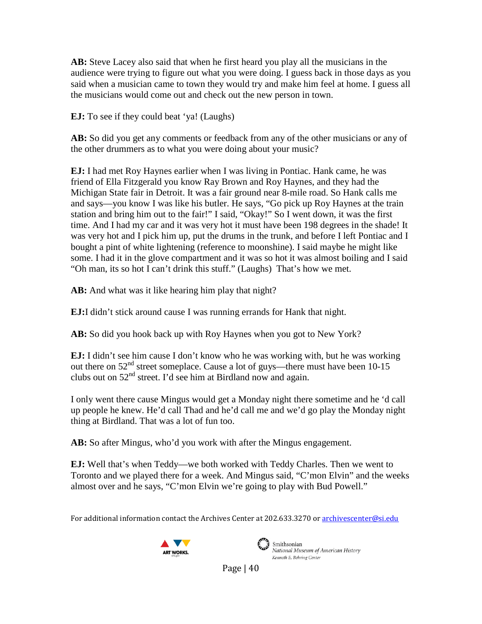**AB:** Steve Lacey also said that when he first heard you play all the musicians in the audience were trying to figure out what you were doing. I guess back in those days as you said when a musician came to town they would try and make him feel at home. I guess all the musicians would come out and check out the new person in town.

**EJ:** To see if they could beat 'ya! (Laughs)

AB: So did you get any comments or feedback from any of the other musicians or any of the other drummers as to what you were doing about your music?

**EJ:** I had met Roy Haynes earlier when I was living in Pontiac. Hank came, he was friend of Ella Fitzgerald you know Ray Brown and Roy Haynes, and they had the Michigan State fair in Detroit. It was a fair ground near 8-mile road. So Hank calls me and says—you know I was like his butler. He says, "Go pick up Roy Haynes at the train station and bring him out to the fair!" I said, "Okay!" So I went down, it was the first time. And I had my car and it was very hot it must have been 198 degrees in the shade! It was very hot and I pick him up, put the drums in the trunk, and before I left Pontiac and I bought a pint of white lightening (reference to moonshine). I said maybe he might like some. I had it in the glove compartment and it was so hot it was almost boiling and I said "Oh man, its so hot I can't drink this stuff." (Laughs) That's how we met.

**AB:** And what was it like hearing him play that night?

**EJ:**I didn't stick around cause I was running errands for Hank that night.

**AB:** So did you hook back up with Roy Haynes when you got to New York?

**EJ:** I didn't see him cause I don't know who he was working with, but he was working out there on  $52<sup>nd</sup>$  street someplace. Cause a lot of guys—there must have been 10-15 clubs out on  $52<sup>nd</sup>$  street. I'd see him at Birdland now and again.

I only went there cause Mingus would get a Monday night there sometime and he 'd call up people he knew. He'd call Thad and he'd call me and we'd go play the Monday night thing at Birdland. That was a lot of fun too.

**AB:** So after Mingus, who'd you work with after the Mingus engagement.

**EJ:** Well that's when Teddy—we both worked with Teddy Charles. Then we went to Toronto and we played there for a week. And Mingus said, "C'mon Elvin" and the weeks almost over and he says, "C'mon Elvin we're going to play with Bud Powell."

For additional information contact the Archives Center at 202.633.3270 o[r archivescenter@si.edu](mailto:archivescenter@si.edu)





Smithsonian National Museum of American History Kenneth E. Behring Center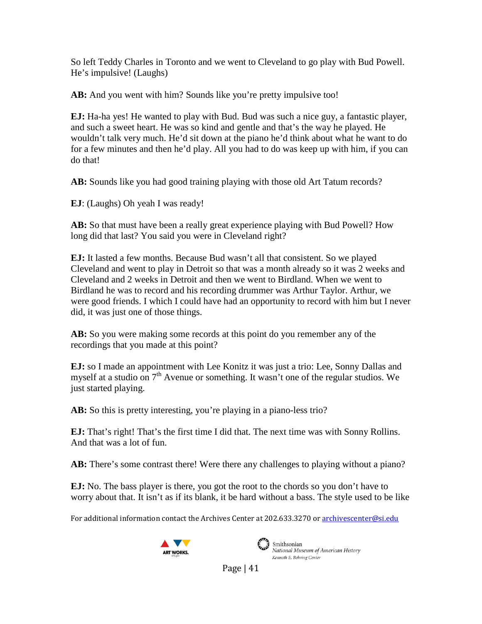So left Teddy Charles in Toronto and we went to Cleveland to go play with Bud Powell. He's impulsive! (Laughs)

AB: And you went with him? Sounds like you're pretty impulsive too!

**EJ:** Ha-ha yes! He wanted to play with Bud. Bud was such a nice guy, a fantastic player, and such a sweet heart. He was so kind and gentle and that's the way he played. He wouldn't talk very much. He'd sit down at the piano he'd think about what he want to do for a few minutes and then he'd play. All you had to do was keep up with him, if you can do that!

**AB:** Sounds like you had good training playing with those old Art Tatum records?

**EJ**: (Laughs) Oh yeah I was ready!

**AB:** So that must have been a really great experience playing with Bud Powell? How long did that last? You said you were in Cleveland right?

**EJ:** It lasted a few months. Because Bud wasn't all that consistent. So we played Cleveland and went to play in Detroit so that was a month already so it was 2 weeks and Cleveland and 2 weeks in Detroit and then we went to Birdland. When we went to Birdland he was to record and his recording drummer was Arthur Taylor. Arthur, we were good friends. I which I could have had an opportunity to record with him but I never did, it was just one of those things.

**AB:** So you were making some records at this point do you remember any of the recordings that you made at this point?

**EJ:** so I made an appointment with Lee Konitz it was just a trio: Lee, Sonny Dallas and myself at a studio on  $7<sup>th</sup>$  Avenue or something. It wasn't one of the regular studios. We just started playing.

**AB:** So this is pretty interesting, you're playing in a piano-less trio?

**EJ:** That's right! That's the first time I did that. The next time was with Sonny Rollins. And that was a lot of fun.

AB: There's some contrast there! Were there any challenges to playing without a piano?

**EJ:** No. The bass player is there, you got the root to the chords so you don't have to worry about that. It isn't as if its blank, it be hard without a bass. The style used to be like

For additional information contact the Archives Center at 202.633.3270 o[r archivescenter@si.edu](mailto:archivescenter@si.edu)





Smithsonian National Museum of American History Kenneth E. Behring Center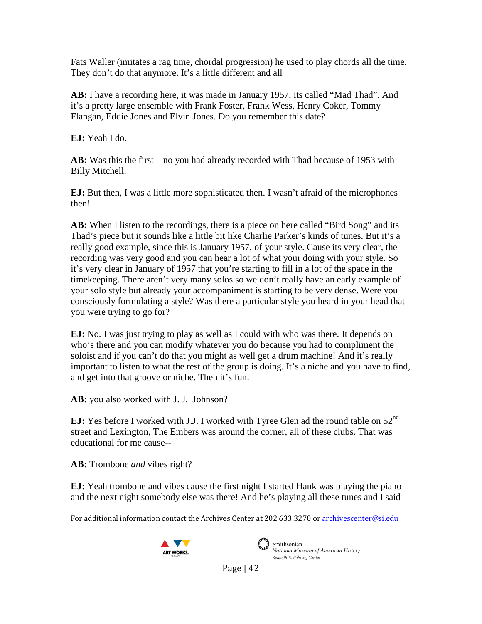Fats Waller (imitates a rag time, chordal progression) he used to play chords all the time. They don't do that anymore. It's a little different and all

**AB:** I have a recording here, it was made in January 1957, its called "Mad Thad". And it's a pretty large ensemble with Frank Foster, Frank Wess, Henry Coker, Tommy Flangan, Eddie Jones and Elvin Jones. Do you remember this date?

**EJ:** Yeah I do.

**AB:** Was this the first—no you had already recorded with Thad because of 1953 with Billy Mitchell.

**EJ:** But then, I was a little more sophisticated then. I wasn't afraid of the microphones then!

AB: When I listen to the recordings, there is a piece on here called "Bird Song" and its Thad's piece but it sounds like a little bit like Charlie Parker's kinds of tunes. But it's a really good example, since this is January 1957, of your style. Cause its very clear, the recording was very good and you can hear a lot of what your doing with your style. So it's very clear in January of 1957 that you're starting to fill in a lot of the space in the timekeeping. There aren't very many solos so we don't really have an early example of your solo style but already your accompaniment is starting to be very dense. Were you consciously formulating a style? Was there a particular style you heard in your head that you were trying to go for?

**EJ:** No. I was just trying to play as well as I could with who was there. It depends on who's there and you can modify whatever you do because you had to compliment the soloist and if you can't do that you might as well get a drum machine! And it's really important to listen to what the rest of the group is doing. It's a niche and you have to find, and get into that groove or niche. Then it's fun.

**AB:** you also worked with J. J. Johnson?

**EJ:** Yes before I worked with J.J. I worked with Tyree Glen ad the round table on 52<sup>nd</sup> street and Lexington, The Embers was around the corner, all of these clubs. That was educational for me cause--

**AB:** Trombone *and* vibes right?

**EJ:** Yeah trombone and vibes cause the first night I started Hank was playing the piano and the next night somebody else was there! And he's playing all these tunes and I said

For additional information contact the Archives Center at 202.633.3270 o[r archivescenter@si.edu](mailto:archivescenter@si.edu)





National Museum of American History Kenneth E. Behring Center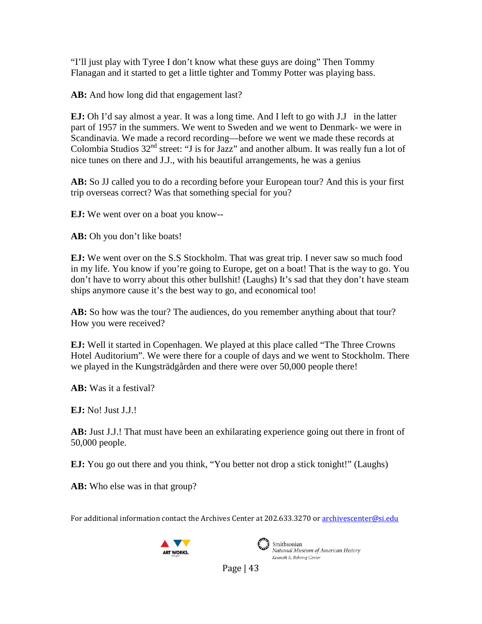"I'll just play with Tyree I don't know what these guys are doing" Then Tommy Flanagan and it started to get a little tighter and Tommy Potter was playing bass.

AB: And how long did that engagement last?

**EJ:** Oh I'd say almost a year. It was a long time. And I left to go with J.J in the latter part of 1957 in the summers. We went to Sweden and we went to Denmark- we were in Scandinavia. We made a record recording—before we went we made these records at Colombia Studios  $32<sup>nd</sup>$  street: "J is for Jazz" and another album. It was really fun a lot of nice tunes on there and J.J., with his beautiful arrangements, he was a genius

**AB:** So JJ called you to do a recording before your European tour? And this is your first trip overseas correct? Was that something special for you?

**EJ:** We went over on a boat you know--

**AB:** Oh you don't like boats!

**EJ:** We went over on the S.S Stockholm. That was great trip. I never saw so much food in my life. You know if you're going to Europe, get on a boat! That is the way to go. You don't have to worry about this other bullshit! (Laughs) It's sad that they don't have steam ships anymore cause it's the best way to go, and economical too!

**AB:** So how was the tour? The audiences, do you remember anything about that tour? How you were received?

**EJ:** Well it started in Copenhagen. We played at this place called "The Three Crowns Hotel Auditorium". We were there for a couple of days and we went to Stockholm. There we played in the Kungsträdgården and there were over 50,000 people there!

**AB:** Was it a festival?

**EJ:** No! Just J.J.!

**AB:** Just J.J.! That must have been an exhilarating experience going out there in front of 50,000 people.

**EJ:** You go out there and you think, "You better not drop a stick tonight!" (Laughs)

**AB:** Who else was in that group?

For additional information contact the Archives Center at 202.633.3270 o[r archivescenter@si.edu](mailto:archivescenter@si.edu)





Smithsonian National Museum of American History Kenneth E. Behring Center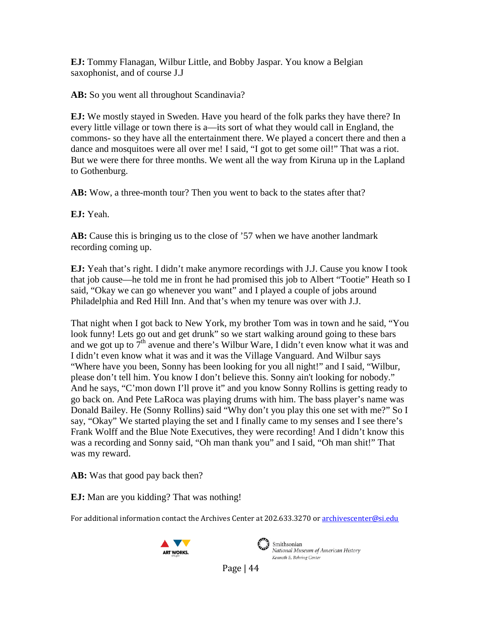**EJ:** Tommy Flanagan, Wilbur Little, and Bobby Jaspar. You know a Belgian saxophonist, and of course J.J

**AB:** So you went all throughout Scandinavia?

**EJ:** We mostly stayed in Sweden. Have you heard of the folk parks they have there? In every little village or town there is a—its sort of what they would call in England, the commons- so they have all the entertainment there. We played a concert there and then a dance and mosquitoes were all over me! I said, "I got to get some oil!" That was a riot. But we were there for three months. We went all the way from Kiruna up in the Lapland to Gothenburg.

AB: Wow, a three-month tour? Then you went to back to the states after that?

**EJ:** Yeah.

**AB:** Cause this is bringing us to the close of '57 when we have another landmark recording coming up.

**EJ:** Yeah that's right. I didn't make anymore recordings with J.J. Cause you know I took that job cause—he told me in front he had promised this job to Albert "Tootie" Heath so I said, "Okay we can go whenever you want" and I played a couple of jobs around Philadelphia and Red Hill Inn. And that's when my tenure was over with J.J.

That night when I got back to New York, my brother Tom was in town and he said, "You look funny! Lets go out and get drunk" so we start walking around going to these bars and we got up to  $7<sup>th</sup>$  avenue and there's Wilbur Ware, I didn't even know what it was and I didn't even know what it was and it was the Village Vanguard. And Wilbur says "Where have you been, Sonny has been looking for you all night!" and I said, "Wilbur, please don't tell him. You know I don't believe this. Sonny ain't looking for nobody." And he says, "C'mon down I'll prove it" and you know Sonny Rollins is getting ready to go back on. And Pete LaRoca was playing drums with him. The bass player's name was Donald Bailey. He (Sonny Rollins) said "Why don't you play this one set with me?" So I say, "Okay" We started playing the set and I finally came to my senses and I see there's Frank Wolff and the Blue Note Executives, they were recording! And I didn't know this was a recording and Sonny said, "Oh man thank you" and I said, "Oh man shit!" That was my reward.

**AB:** Was that good pay back then?

**EJ:** Man are you kidding? That was nothing!

For additional information contact the Archives Center at 202.633.3270 o[r archivescenter@si.edu](mailto:archivescenter@si.edu)





National Museum of American History Kenneth E. Behring Center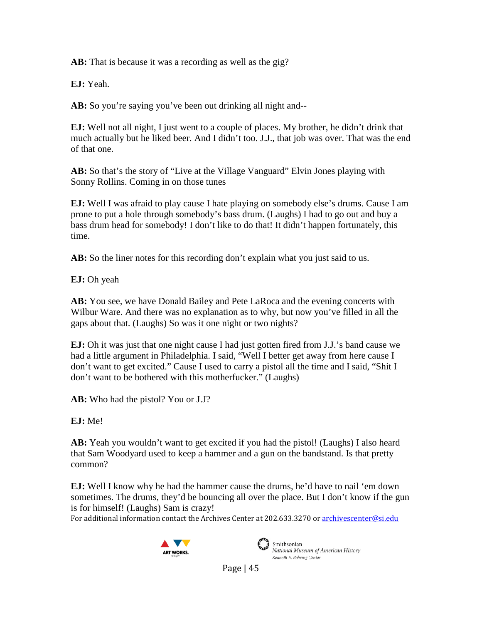**AB:** That is because it was a recording as well as the gig?

**EJ:** Yeah.

**AB:** So you're saying you've been out drinking all night and--

**EJ:** Well not all night, I just went to a couple of places. My brother, he didn't drink that much actually but he liked beer. And I didn't too. J.J., that job was over. That was the end of that one.

**AB:** So that's the story of "Live at the Village Vanguard" Elvin Jones playing with Sonny Rollins. Coming in on those tunes

**EJ:** Well I was afraid to play cause I hate playing on somebody else's drums. Cause I am prone to put a hole through somebody's bass drum. (Laughs) I had to go out and buy a bass drum head for somebody! I don't like to do that! It didn't happen fortunately, this time.

**AB:** So the liner notes for this recording don't explain what you just said to us.

**EJ:** Oh yeah

**AB:** You see, we have Donald Bailey and Pete LaRoca and the evening concerts with Wilbur Ware. And there was no explanation as to why, but now you've filled in all the gaps about that. (Laughs) So was it one night or two nights?

**EJ:** Oh it was just that one night cause I had just gotten fired from J.J.'s band cause we had a little argument in Philadelphia. I said, "Well I better get away from here cause I don't want to get excited." Cause I used to carry a pistol all the time and I said, "Shit I don't want to be bothered with this motherfucker." (Laughs)

**AB:** Who had the pistol? You or J.J?

**EJ:** Me!

**AB:** Yeah you wouldn't want to get excited if you had the pistol! (Laughs) I also heard that Sam Woodyard used to keep a hammer and a gun on the bandstand. Is that pretty common?

**EJ:** Well I know why he had the hammer cause the drums, he'd have to nail 'em down sometimes. The drums, they'd be bouncing all over the place. But I don't know if the gun is for himself! (Laughs) Sam is crazy!

For additional information contact the Archives Center at 202.633.3270 o[r archivescenter@si.edu](mailto:archivescenter@si.edu)





Smithsonian National Museum of American History Kenneth E. Behring Center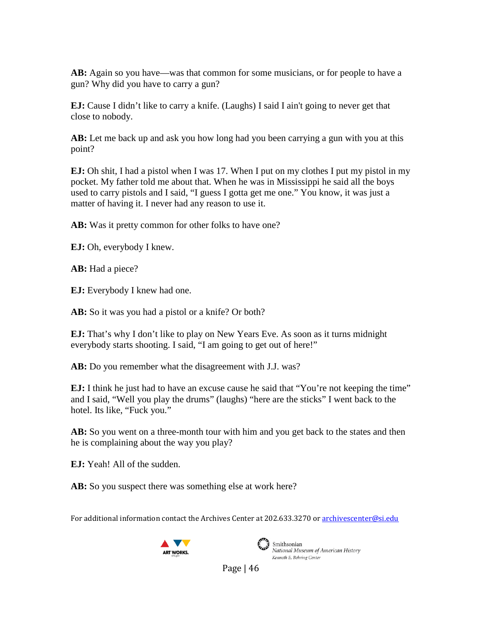**AB:** Again so you have—was that common for some musicians, or for people to have a gun? Why did you have to carry a gun?

**EJ:** Cause I didn't like to carry a knife. (Laughs) I said I ain't going to never get that close to nobody.

**AB:** Let me back up and ask you how long had you been carrying a gun with you at this point?

**EJ:** Oh shit, I had a pistol when I was 17. When I put on my clothes I put my pistol in my pocket. My father told me about that. When he was in Mississippi he said all the boys used to carry pistols and I said, "I guess I gotta get me one." You know, it was just a matter of having it. I never had any reason to use it.

**AB:** Was it pretty common for other folks to have one?

**EJ:** Oh, everybody I knew.

**AB:** Had a piece?

**EJ:** Everybody I knew had one.

**AB:** So it was you had a pistol or a knife? Or both?

**EJ:** That's why I don't like to play on New Years Eve. As soon as it turns midnight everybody starts shooting. I said, "I am going to get out of here!"

**AB:** Do you remember what the disagreement with J.J. was?

**EJ:** I think he just had to have an excuse cause he said that "You're not keeping the time" and I said, "Well you play the drums" (laughs) "here are the sticks" I went back to the hotel. Its like, "Fuck you."

**AB:** So you went on a three-month tour with him and you get back to the states and then he is complaining about the way you play?

**EJ:** Yeah! All of the sudden.

**AB:** So you suspect there was something else at work here?

For additional information contact the Archives Center at 202.633.3270 o[r archivescenter@si.edu](mailto:archivescenter@si.edu)





Smithsonian National Museum of American History Kenneth E. Behring Center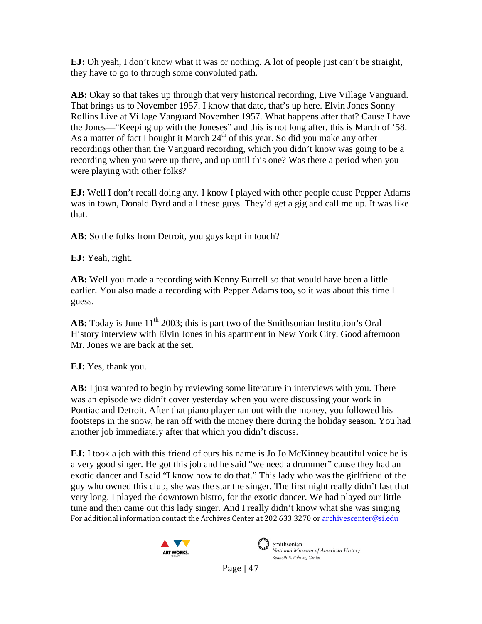**EJ:** Oh yeah, I don't know what it was or nothing. A lot of people just can't be straight, they have to go to through some convoluted path.

**AB:** Okay so that takes up through that very historical recording, Live Village Vanguard. That brings us to November 1957. I know that date, that's up here. Elvin Jones Sonny Rollins Live at Village Vanguard November 1957. What happens after that? Cause I have the Jones—"Keeping up with the Joneses" and this is not long after, this is March of '58. As a matter of fact I bought it March  $24<sup>th</sup>$  of this year. So did you make any other recordings other than the Vanguard recording, which you didn't know was going to be a recording when you were up there, and up until this one? Was there a period when you were playing with other folks?

**EJ:** Well I don't recall doing any. I know I played with other people cause Pepper Adams was in town, Donald Byrd and all these guys. They'd get a gig and call me up. It was like that.

**AB:** So the folks from Detroit, you guys kept in touch?

**EJ:** Yeah, right.

**AB:** Well you made a recording with Kenny Burrell so that would have been a little earlier. You also made a recording with Pepper Adams too, so it was about this time I guess.

**AB:** Today is June 11<sup>th</sup> 2003; this is part two of the Smithsonian Institution's Oral History interview with Elvin Jones in his apartment in New York City. Good afternoon Mr. Jones we are back at the set.

**EJ:** Yes, thank you.

**AB:** I just wanted to begin by reviewing some literature in interviews with you. There was an episode we didn't cover yesterday when you were discussing your work in Pontiac and Detroit. After that piano player ran out with the money, you followed his footsteps in the snow, he ran off with the money there during the holiday season. You had another job immediately after that which you didn't discuss.

For additional information contact the Archives Center at 202.633.3270 o[r archivescenter@si.edu](mailto:archivescenter@si.edu) **EJ:** I took a job with this friend of ours his name is Jo Jo McKinney beautiful voice he is a very good singer. He got this job and he said "we need a drummer" cause they had an exotic dancer and I said "I know how to do that." This lady who was the girlfriend of the guy who owned this club, she was the star the singer. The first night really didn't last that very long. I played the downtown bistro, for the exotic dancer. We had played our little tune and then came out this lady singer. And I really didn't know what she was singing





Smithsonian National Museum of American History Kenneth E. Behring Center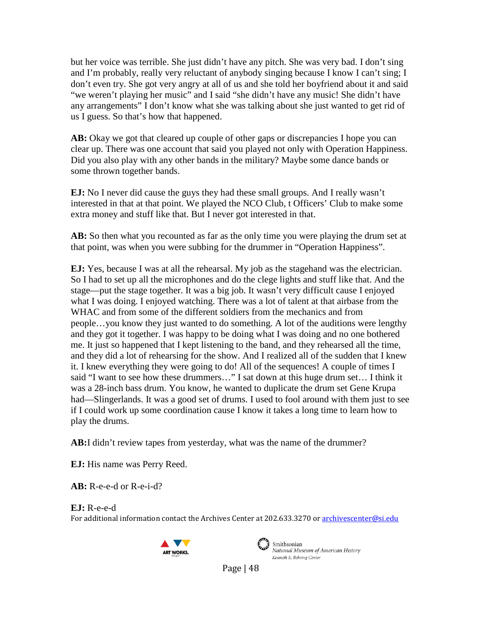but her voice was terrible. She just didn't have any pitch. She was very bad. I don't sing and I'm probably, really very reluctant of anybody singing because I know I can't sing; I don't even try. She got very angry at all of us and she told her boyfriend about it and said "we weren't playing her music" and I said "she didn't have any music! She didn't have any arrangements" I don't know what she was talking about she just wanted to get rid of us I guess. So that's how that happened.

AB: Okay we got that cleared up couple of other gaps or discrepancies I hope you can clear up. There was one account that said you played not only with Operation Happiness. Did you also play with any other bands in the military? Maybe some dance bands or some thrown together bands.

**EJ:** No I never did cause the guys they had these small groups. And I really wasn't interested in that at that point. We played the NCO Club, t Officers' Club to make some extra money and stuff like that. But I never got interested in that.

**AB:** So then what you recounted as far as the only time you were playing the drum set at that point, was when you were subbing for the drummer in "Operation Happiness".

**EJ:** Yes, because I was at all the rehearsal. My job as the stagehand was the electrician. So I had to set up all the microphones and do the clege lights and stuff like that. And the stage—put the stage together. It was a big job. It wasn't very difficult cause I enjoyed what I was doing. I enjoyed watching. There was a lot of talent at that airbase from the WHAC and from some of the different soldiers from the mechanics and from people…you know they just wanted to do something. A lot of the auditions were lengthy and they got it together. I was happy to be doing what I was doing and no one bothered me. It just so happened that I kept listening to the band, and they rehearsed all the time, and they did a lot of rehearsing for the show. And I realized all of the sudden that I knew it. I knew everything they were going to do! All of the sequences! A couple of times I said "I want to see how these drummers…" I sat down at this huge drum set… I think it was a 28-inch bass drum. You know, he wanted to duplicate the drum set Gene Krupa had—Slingerlands. It was a good set of drums. I used to fool around with them just to see if I could work up some coordination cause I know it takes a long time to learn how to play the drums.

**AB:**I didn't review tapes from yesterday, what was the name of the drummer?

**EJ:** His name was Perry Reed.

**AB:** R-e-e-d or R-e-i-d?

**EJ:** R-e-e-d

For additional information contact the Archives Center at 202.633.3270 o[r archivescenter@si.edu](mailto:archivescenter@si.edu)





 $\sum_{i=1}^{\infty}$  Smithsonian National Museum of American History Kenneth E. Behring Center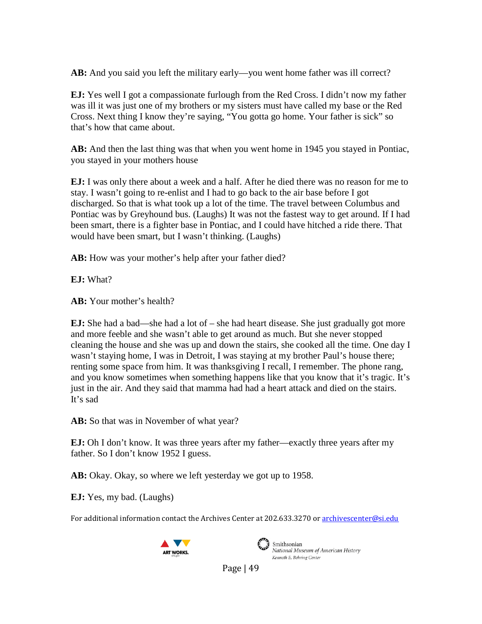**AB:** And you said you left the military early—you went home father was ill correct?

**EJ:** Yes well I got a compassionate furlough from the Red Cross. I didn't now my father was ill it was just one of my brothers or my sisters must have called my base or the Red Cross. Next thing I know they're saying, "You gotta go home. Your father is sick" so that's how that came about.

**AB:** And then the last thing was that when you went home in 1945 you stayed in Pontiac, you stayed in your mothers house

**EJ:** I was only there about a week and a half. After he died there was no reason for me to stay. I wasn't going to re-enlist and I had to go back to the air base before I got discharged. So that is what took up a lot of the time. The travel between Columbus and Pontiac was by Greyhound bus. (Laughs) It was not the fastest way to get around. If I had been smart, there is a fighter base in Pontiac, and I could have hitched a ride there. That would have been smart, but I wasn't thinking. (Laughs)

AB: How was your mother's help after your father died?

**EJ:** What?

**AB:** Your mother's health?

**EJ:** She had a bad—she had a lot of – she had heart disease. She just gradually got more and more feeble and she wasn't able to get around as much. But she never stopped cleaning the house and she was up and down the stairs, she cooked all the time. One day I wasn't staying home, I was in Detroit, I was staying at my brother Paul's house there; renting some space from him. It was thanksgiving I recall, I remember. The phone rang, and you know sometimes when something happens like that you know that it's tragic. It's just in the air. And they said that mamma had had a heart attack and died on the stairs. It's sad

**AB:** So that was in November of what year?

**EJ:** Oh I don't know. It was three years after my father—exactly three years after my father. So I don't know 1952 I guess.

**AB:** Okay. Okay, so where we left yesterday we got up to 1958.

**EJ:** Yes, my bad. (Laughs)

For additional information contact the Archives Center at 202.633.3270 o[r archivescenter@si.edu](mailto:archivescenter@si.edu)





Smithsonian National Museum of American History Kenneth E. Behring Center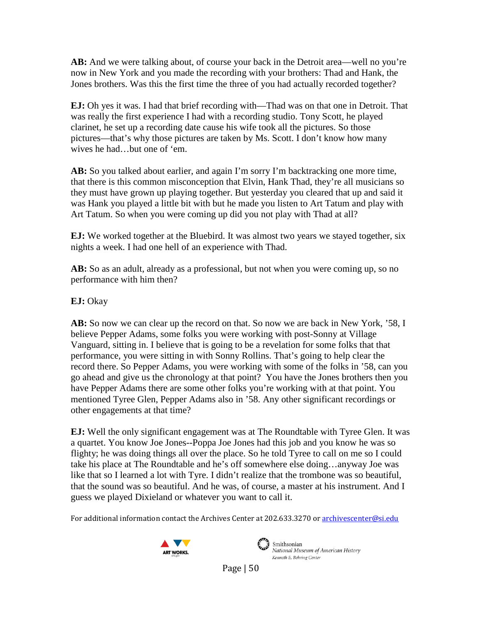**AB:** And we were talking about, of course your back in the Detroit area—well no you're now in New York and you made the recording with your brothers: Thad and Hank, the Jones brothers. Was this the first time the three of you had actually recorded together?

**EJ:** Oh yes it was. I had that brief recording with—Thad was on that one in Detroit. That was really the first experience I had with a recording studio. Tony Scott, he played clarinet, he set up a recording date cause his wife took all the pictures. So those pictures—that's why those pictures are taken by Ms. Scott. I don't know how many wives he had…but one of 'em.

**AB:** So you talked about earlier, and again I'm sorry I'm backtracking one more time, that there is this common misconception that Elvin, Hank Thad, they're all musicians so they must have grown up playing together. But yesterday you cleared that up and said it was Hank you played a little bit with but he made you listen to Art Tatum and play with Art Tatum. So when you were coming up did you not play with Thad at all?

**EJ:** We worked together at the Bluebird. It was almost two years we stayed together, six nights a week. I had one hell of an experience with Thad.

AB: So as an adult, already as a professional, but not when you were coming up, so no performance with him then?

**EJ:** Okay

**AB:** So now we can clear up the record on that. So now we are back in New York, '58, I believe Pepper Adams, some folks you were working with post-Sonny at Village Vanguard, sitting in. I believe that is going to be a revelation for some folks that that performance, you were sitting in with Sonny Rollins. That's going to help clear the record there. So Pepper Adams, you were working with some of the folks in '58, can you go ahead and give us the chronology at that point? You have the Jones brothers then you have Pepper Adams there are some other folks you're working with at that point. You mentioned Tyree Glen, Pepper Adams also in '58. Any other significant recordings or other engagements at that time?

**EJ:** Well the only significant engagement was at The Roundtable with Tyree Glen. It was a quartet. You know Joe Jones--Poppa Joe Jones had this job and you know he was so flighty; he was doing things all over the place. So he told Tyree to call on me so I could take his place at The Roundtable and he's off somewhere else doing…anyway Joe was like that so I learned a lot with Tyre. I didn't realize that the trombone was so beautiful, that the sound was so beautiful. And he was, of course, a master at his instrument. And I guess we played Dixieland or whatever you want to call it.

For additional information contact the Archives Center at 202.633.3270 o[r archivescenter@si.edu](mailto:archivescenter@si.edu)





Smithsonian National Museum of American History Kenneth E. Behring Center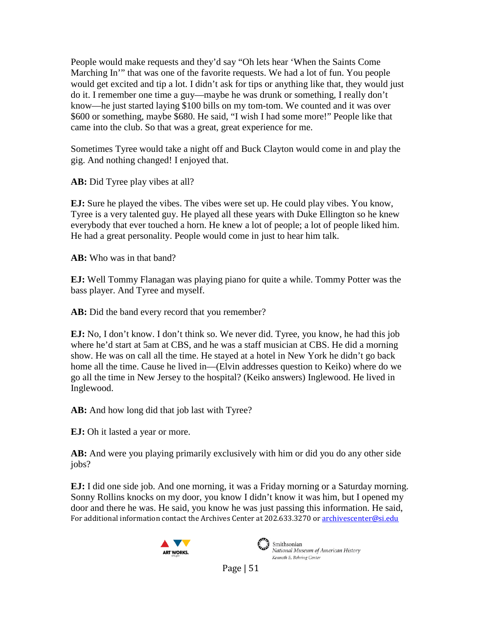People would make requests and they'd say "Oh lets hear 'When the Saints Come Marching In'" that was one of the favorite requests. We had a lot of fun. You people would get excited and tip a lot. I didn't ask for tips or anything like that, they would just do it. I remember one time a guy—maybe he was drunk or something, I really don't know—he just started laying \$100 bills on my tom-tom. We counted and it was over \$600 or something, maybe \$680. He said, "I wish I had some more!" People like that came into the club. So that was a great, great experience for me.

Sometimes Tyree would take a night off and Buck Clayton would come in and play the gig. And nothing changed! I enjoyed that.

**AB:** Did Tyree play vibes at all?

**EJ:** Sure he played the vibes. The vibes were set up. He could play vibes. You know, Tyree is a very talented guy. He played all these years with Duke Ellington so he knew everybody that ever touched a horn. He knew a lot of people; a lot of people liked him. He had a great personality. People would come in just to hear him talk.

**AB:** Who was in that band?

**EJ:** Well Tommy Flanagan was playing piano for quite a while. Tommy Potter was the bass player. And Tyree and myself.

**AB:** Did the band every record that you remember?

**EJ:** No, I don't know. I don't think so. We never did. Tyree, you know, he had this job where he'd start at 5am at CBS, and he was a staff musician at CBS. He did a morning show. He was on call all the time. He stayed at a hotel in New York he didn't go back home all the time. Cause he lived in—(Elvin addresses question to Keiko) where do we go all the time in New Jersey to the hospital? (Keiko answers) Inglewood. He lived in Inglewood.

**AB:** And how long did that job last with Tyree?

**EJ:** Oh it lasted a year or more.

**AB:** And were you playing primarily exclusively with him or did you do any other side jobs?

For additional information contact the Archives Center at 202.633.3270 o[r archivescenter@si.edu](mailto:archivescenter@si.edu) **EJ:** I did one side job. And one morning, it was a Friday morning or a Saturday morning. Sonny Rollins knocks on my door, you know I didn't know it was him, but I opened my door and there he was. He said, you know he was just passing this information. He said,





National Museum of American History Kenneth E. Behring Center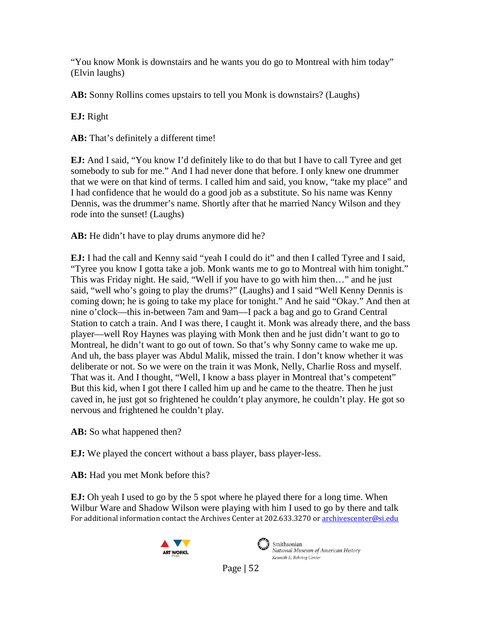"You know Monk is downstairs and he wants you do go to Montreal with him today" (Elvin laughs)

**AB:** Sonny Rollins comes upstairs to tell you Monk is downstairs? (Laughs)

**EJ:** Right

**AB:** That's definitely a different time!

**EJ:** And I said, "You know I'd definitely like to do that but I have to call Tyree and get somebody to sub for me." And I had never done that before. I only knew one drummer that we were on that kind of terms. I called him and said, you know, "take my place" and I had confidence that he would do a good job as a substitute. So his name was Kenny Dennis, was the drummer's name. Shortly after that he married Nancy Wilson and they rode into the sunset! (Laughs)

**AB:** He didn't have to play drums anymore did he?

**EJ:** I had the call and Kenny said "yeah I could do it" and then I called Tyree and I said, "Tyree you know I gotta take a job. Monk wants me to go to Montreal with him tonight." This was Friday night. He said, "Well if you have to go with him then…" and he just said, "well who's going to play the drums?" (Laughs) and I said "Well Kenny Dennis is coming down; he is going to take my place for tonight." And he said "Okay." And then at nine o'clock—this in-between 7am and 9am—I pack a bag and go to Grand Central Station to catch a train. And I was there, I caught it. Monk was already there, and the bass player—well Roy Haynes was playing with Monk then and he just didn't want to go to Montreal, he didn't want to go out of town. So that's why Sonny came to wake me up. And uh, the bass player was Abdul Malik, missed the train. I don't know whether it was deliberate or not. So we were on the train it was Monk, Nelly, Charlie Ross and myself. That was it. And I thought, "Well, I know a bass player in Montreal that's competent" But this kid, when I got there I called him up and he came to the theatre. Then he just caved in, he just got so frightened he couldn't play anymore, he couldn't play. He got so nervous and frightened he couldn't play.

**AB:** So what happened then?

**EJ:** We played the concert without a bass player, bass player-less.

**AB:** Had you met Monk before this?

For additional information contact the Archives Center at 202.633.3270 o[r archivescenter@si.edu](mailto:archivescenter@si.edu) **EJ:** Oh yeah I used to go by the 5 spot where he played there for a long time. When Wilbur Ware and Shadow Wilson were playing with him I used to go by there and talk





Smithsonian National Museum of American History Kenneth E. Behring Center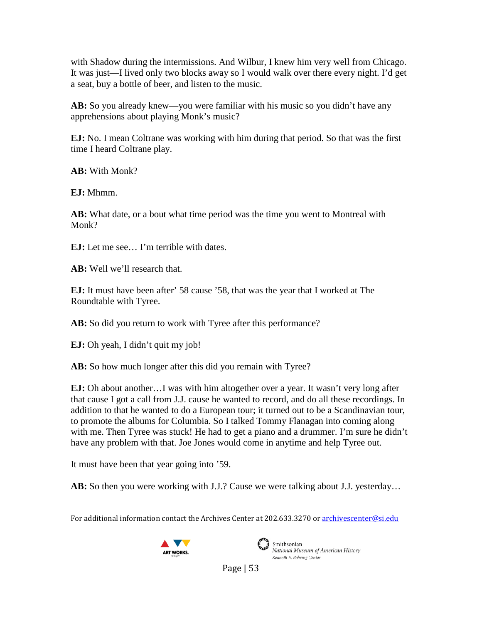with Shadow during the intermissions. And Wilbur, I knew him very well from Chicago. It was just—I lived only two blocks away so I would walk over there every night. I'd get a seat, buy a bottle of beer, and listen to the music.

**AB:** So you already knew—you were familiar with his music so you didn't have any apprehensions about playing Monk's music?

**EJ:** No. I mean Coltrane was working with him during that period. So that was the first time I heard Coltrane play.

**AB:** With Monk?

**EJ:** Mhmm.

**AB:** What date, or a bout what time period was the time you went to Montreal with Monk?

**EJ:** Let me see… I'm terrible with dates.

**AB:** Well we'll research that.

**EJ:** It must have been after' 58 cause '58, that was the year that I worked at The Roundtable with Tyree.

AB: So did you return to work with Tyree after this performance?

**EJ:** Oh yeah, I didn't quit my job!

**AB:** So how much longer after this did you remain with Tyree?

**EJ:** Oh about another…I was with him altogether over a year. It wasn't very long after that cause I got a call from J.J. cause he wanted to record, and do all these recordings. In addition to that he wanted to do a European tour; it turned out to be a Scandinavian tour, to promote the albums for Columbia. So I talked Tommy Flanagan into coming along with me. Then Tyree was stuck! He had to get a piano and a drummer. I'm sure he didn't have any problem with that. Joe Jones would come in anytime and help Tyree out.

It must have been that year going into '59.

**AB:** So then you were working with J.J.? Cause we were talking about J.J. yesterday…

For additional information contact the Archives Center at 202.633.3270 o[r archivescenter@si.edu](mailto:archivescenter@si.edu)





Smithsonian National Museum of American History Kenneth E. Behring Center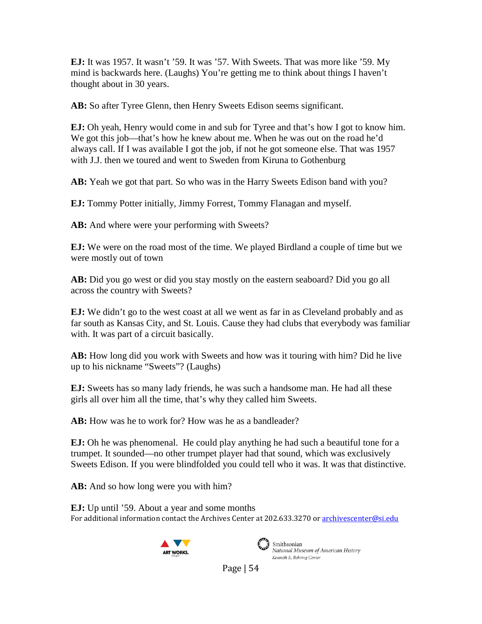**EJ:** It was 1957. It wasn't '59. It was '57. With Sweets. That was more like '59. My mind is backwards here. (Laughs) You're getting me to think about things I haven't thought about in 30 years.

**AB:** So after Tyree Glenn, then Henry Sweets Edison seems significant.

**EJ:** Oh yeah, Henry would come in and sub for Tyree and that's how I got to know him. We got this job—that's how he knew about me. When he was out on the road he'd always call. If I was available I got the job, if not he got someone else. That was 1957 with J.J. then we toured and went to Sweden from Kiruna to Gothenburg

**AB:** Yeah we got that part. So who was in the Harry Sweets Edison band with you?

**EJ:** Tommy Potter initially, Jimmy Forrest, Tommy Flanagan and myself.

**AB:** And where were your performing with Sweets?

**EJ:** We were on the road most of the time. We played Birdland a couple of time but we were mostly out of town

**AB:** Did you go west or did you stay mostly on the eastern seaboard? Did you go all across the country with Sweets?

**EJ:** We didn't go to the west coast at all we went as far in as Cleveland probably and as far south as Kansas City, and St. Louis. Cause they had clubs that everybody was familiar with. It was part of a circuit basically.

**AB:** How long did you work with Sweets and how was it touring with him? Did he live up to his nickname "Sweets"? (Laughs)

**EJ:** Sweets has so many lady friends, he was such a handsome man. He had all these girls all over him all the time, that's why they called him Sweets.

**AB:** How was he to work for? How was he as a bandleader?

**EJ:** Oh he was phenomenal. He could play anything he had such a beautiful tone for a trumpet. It sounded—no other trumpet player had that sound, which was exclusively Sweets Edison. If you were blindfolded you could tell who it was. It was that distinctive.

**AB:** And so how long were you with him?

For additional information contact the Archives Center at 202.633.3270 o[r archivescenter@si.edu](mailto:archivescenter@si.edu) **EJ:** Up until '59. About a year and some months





Smithsonian National Museum of American History Kenneth E. Behring Center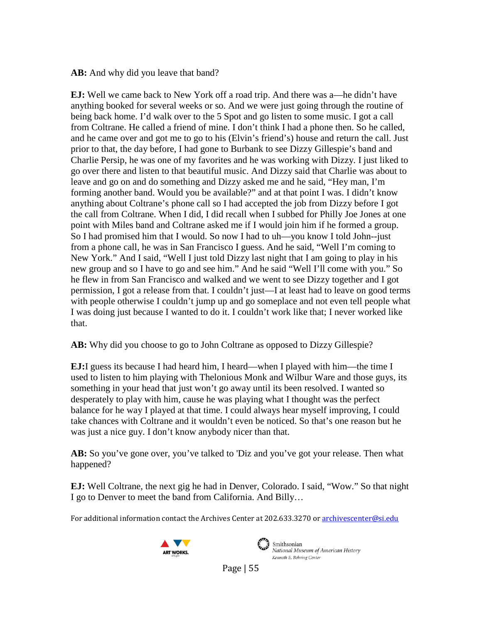**AB:** And why did you leave that band?

**EJ:** Well we came back to New York off a road trip. And there was a—he didn't have anything booked for several weeks or so. And we were just going through the routine of being back home. I'd walk over to the 5 Spot and go listen to some music. I got a call from Coltrane. He called a friend of mine. I don't think I had a phone then. So he called, and he came over and got me to go to his (Elvin's friend's) house and return the call. Just prior to that, the day before, I had gone to Burbank to see Dizzy Gillespie's band and Charlie Persip, he was one of my favorites and he was working with Dizzy. I just liked to go over there and listen to that beautiful music. And Dizzy said that Charlie was about to leave and go on and do something and Dizzy asked me and he said, "Hey man, I'm forming another band. Would you be available?" and at that point I was. I didn't know anything about Coltrane's phone call so I had accepted the job from Dizzy before I got the call from Coltrane. When I did, I did recall when I subbed for Philly Joe Jones at one point with Miles band and Coltrane asked me if I would join him if he formed a group. So I had promised him that I would. So now I had to uh—you know I told John--just from a phone call, he was in San Francisco I guess. And he said, "Well I'm coming to New York." And I said, "Well I just told Dizzy last night that I am going to play in his new group and so I have to go and see him." And he said "Well I'll come with you." So he flew in from San Francisco and walked and we went to see Dizzy together and I got permission, I got a release from that. I couldn't just—I at least had to leave on good terms with people otherwise I couldn't jump up and go someplace and not even tell people what I was doing just because I wanted to do it. I couldn't work like that; I never worked like that.

**AB:** Why did you choose to go to John Coltrane as opposed to Dizzy Gillespie?

**EJ:**I guess its because I had heard him, I heard—when I played with him—the time I used to listen to him playing with Thelonious Monk and Wilbur Ware and those guys, its something in your head that just won't go away until its been resolved. I wanted so desperately to play with him, cause he was playing what I thought was the perfect balance for he way I played at that time. I could always hear myself improving, I could take chances with Coltrane and it wouldn't even be noticed. So that's one reason but he was just a nice guy. I don't know anybody nicer than that.

**AB:** So you've gone over, you've talked to 'Diz and you've got your release. Then what happened?

**EJ:** Well Coltrane, the next gig he had in Denver, Colorado. I said, "Wow." So that night I go to Denver to meet the band from California. And Billy…

For additional information contact the Archives Center at 202.633.3270 o[r archivescenter@si.edu](mailto:archivescenter@si.edu)





Smithsonian National Museum of American History Kenneth E. Behring Center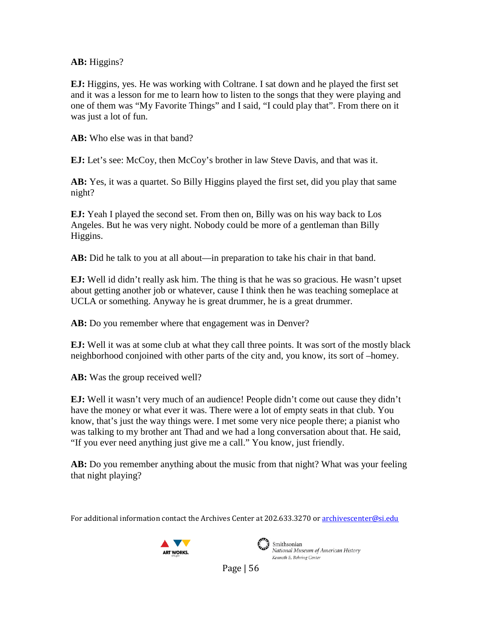## **AB:** Higgins?

**EJ:** Higgins, yes. He was working with Coltrane. I sat down and he played the first set and it was a lesson for me to learn how to listen to the songs that they were playing and one of them was "My Favorite Things" and I said, "I could play that". From there on it was just a lot of fun.

**AB:** Who else was in that band?

**EJ:** Let's see: McCoy, then McCoy's brother in law Steve Davis, and that was it.

**AB:** Yes, it was a quartet. So Billy Higgins played the first set, did you play that same night?

**EJ:** Yeah I played the second set. From then on, Billy was on his way back to Los Angeles. But he was very night. Nobody could be more of a gentleman than Billy Higgins.

**AB:** Did he talk to you at all about—in preparation to take his chair in that band.

**EJ:** Well id didn't really ask him. The thing is that he was so gracious. He wasn't upset about getting another job or whatever, cause I think then he was teaching someplace at UCLA or something. Anyway he is great drummer, he is a great drummer.

**AB:** Do you remember where that engagement was in Denver?

**EJ:** Well it was at some club at what they call three points. It was sort of the mostly black neighborhood conjoined with other parts of the city and, you know, its sort of –homey.

**AB:** Was the group received well?

**EJ:** Well it wasn't very much of an audience! People didn't come out cause they didn't have the money or what ever it was. There were a lot of empty seats in that club. You know, that's just the way things were. I met some very nice people there; a pianist who was talking to my brother ant Thad and we had a long conversation about that. He said, "If you ever need anything just give me a call." You know, just friendly.

**AB:** Do you remember anything about the music from that night? What was your feeling that night playing?

For additional information contact the Archives Center at 202.633.3270 o[r archivescenter@si.edu](mailto:archivescenter@si.edu)





Smithsonian National Museum of American History Kenneth E. Behring Center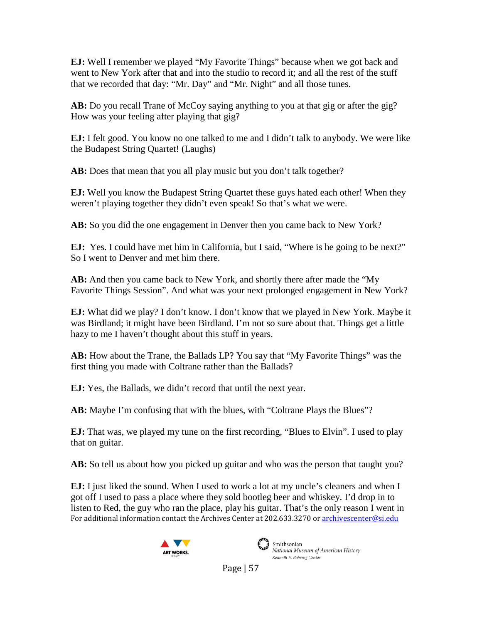**EJ:** Well I remember we played "My Favorite Things" because when we got back and went to New York after that and into the studio to record it; and all the rest of the stuff that we recorded that day: "Mr. Day" and "Mr. Night" and all those tunes.

AB: Do you recall Trane of McCoy saying anything to you at that gig or after the gig? How was your feeling after playing that gig?

**EJ:** I felt good. You know no one talked to me and I didn't talk to anybody. We were like the Budapest String Quartet! (Laughs)

**AB:** Does that mean that you all play music but you don't talk together?

**EJ:** Well you know the Budapest String Quartet these guys hated each other! When they weren't playing together they didn't even speak! So that's what we were.

**AB:** So you did the one engagement in Denver then you came back to New York?

**EJ:** Yes. I could have met him in California, but I said, "Where is he going to be next?" So I went to Denver and met him there.

**AB:** And then you came back to New York, and shortly there after made the "My Favorite Things Session". And what was your next prolonged engagement in New York?

**EJ:** What did we play? I don't know. I don't know that we played in New York. Maybe it was Birdland; it might have been Birdland. I'm not so sure about that. Things get a little hazy to me I haven't thought about this stuff in years.

**AB:** How about the Trane, the Ballads LP? You say that "My Favorite Things" was the first thing you made with Coltrane rather than the Ballads?

**EJ:** Yes, the Ballads, we didn't record that until the next year.

**AB:** Maybe I'm confusing that with the blues, with "Coltrane Plays the Blues"?

**EJ:** That was, we played my tune on the first recording, "Blues to Elvin". I used to play that on guitar.

**AB:** So tell us about how you picked up guitar and who was the person that taught you?

For additional information contact the Archives Center at 202.633.3270 o[r archivescenter@si.edu](mailto:archivescenter@si.edu) **EJ:** I just liked the sound. When I used to work a lot at my uncle's cleaners and when I got off I used to pass a place where they sold bootleg beer and whiskey. I'd drop in to listen to Red, the guy who ran the place, play his guitar. That's the only reason I went in





 $\mathcal{L}$  Smithsonian National Museum of American History Kenneth E. Behring Center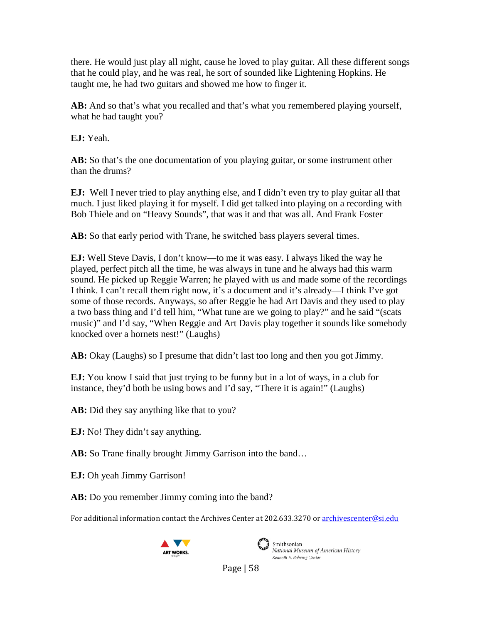there. He would just play all night, cause he loved to play guitar. All these different songs that he could play, and he was real, he sort of sounded like Lightening Hopkins. He taught me, he had two guitars and showed me how to finger it.

**AB:** And so that's what you recalled and that's what you remembered playing yourself, what he had taught you?

**EJ:** Yeah.

**AB:** So that's the one documentation of you playing guitar, or some instrument other than the drums?

**EJ:** Well I never tried to play anything else, and I didn't even try to play guitar all that much. I just liked playing it for myself. I did get talked into playing on a recording with Bob Thiele and on "Heavy Sounds", that was it and that was all. And Frank Foster

**AB:** So that early period with Trane, he switched bass players several times.

**EJ:** Well Steve Davis, I don't know—to me it was easy. I always liked the way he played, perfect pitch all the time, he was always in tune and he always had this warm sound. He picked up Reggie Warren; he played with us and made some of the recordings I think. I can't recall them right now, it's a document and it's already—I think I've got some of those records. Anyways, so after Reggie he had Art Davis and they used to play a two bass thing and I'd tell him, "What tune are we going to play?" and he said "(scats music)" and I'd say, "When Reggie and Art Davis play together it sounds like somebody knocked over a hornets nest!" (Laughs)

**AB:** Okay (Laughs) so I presume that didn't last too long and then you got Jimmy.

**EJ:** You know I said that just trying to be funny but in a lot of ways, in a club for instance, they'd both be using bows and I'd say, "There it is again!" (Laughs)

**AB:** Did they say anything like that to you?

**EJ:** No! They didn't say anything.

**AB:** So Trane finally brought Jimmy Garrison into the band…

**EJ:** Oh yeah Jimmy Garrison!

**AB:** Do you remember Jimmy coming into the band?

For additional information contact the Archives Center at 202.633.3270 o[r archivescenter@si.edu](mailto:archivescenter@si.edu)





Smithsonian National Museum of American History Kenneth E. Behring Center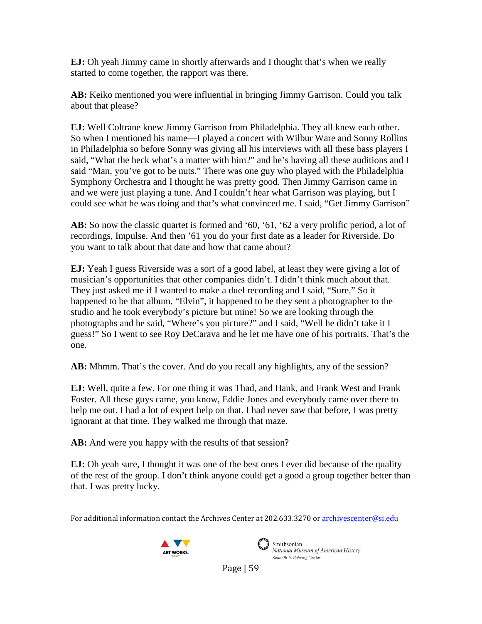**EJ:** Oh yeah Jimmy came in shortly afterwards and I thought that's when we really started to come together, the rapport was there.

**AB:** Keiko mentioned you were influential in bringing Jimmy Garrison. Could you talk about that please?

**EJ:** Well Coltrane knew Jimmy Garrison from Philadelphia. They all knew each other. So when I mentioned his name—I played a concert with Wilbur Ware and Sonny Rollins in Philadelphia so before Sonny was giving all his interviews with all these bass players I said, "What the heck what's a matter with him?" and he's having all these auditions and I said "Man, you've got to be nuts." There was one guy who played with the Philadelphia Symphony Orchestra and I thought he was pretty good. Then Jimmy Garrison came in and we were just playing a tune. And I couldn't hear what Garrison was playing, but I could see what he was doing and that's what convinced me. I said, "Get Jimmy Garrison"

AB: So now the classic quartet is formed and '60, '61, '62 a very prolific period, a lot of recordings, Impulse. And then '61 you do your first date as a leader for Riverside. Do you want to talk about that date and how that came about?

**EJ:** Yeah I guess Riverside was a sort of a good label, at least they were giving a lot of musician's opportunities that other companies didn't. I didn't think much about that. They just asked me if I wanted to make a duel recording and I said, "Sure." So it happened to be that album, "Elvin", it happened to be they sent a photographer to the studio and he took everybody's picture but mine! So we are looking through the photographs and he said, "Where's you picture?" and I said, "Well he didn't take it I guess!" So I went to see Roy DeCarava and he let me have one of his portraits. That's the one.

**AB:** Mhmm. That's the cover. And do you recall any highlights, any of the session?

**EJ:** Well, quite a few. For one thing it was Thad, and Hank, and Frank West and Frank Foster. All these guys came, you know, Eddie Jones and everybody came over there to help me out. I had a lot of expert help on that. I had never saw that before, I was pretty ignorant at that time. They walked me through that maze.

**AB:** And were you happy with the results of that session?

**EJ:** Oh yeah sure, I thought it was one of the best ones I ever did because of the quality of the rest of the group. I don't think anyone could get a good a group together better than that. I was pretty lucky.

For additional information contact the Archives Center at 202.633.3270 o[r archivescenter@si.edu](mailto:archivescenter@si.edu)





Smithsonian National Museum of American History Kenneth E. Behring Center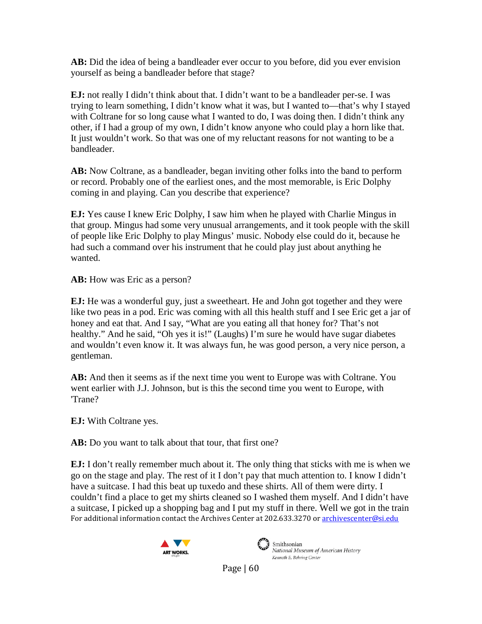**AB:** Did the idea of being a bandleader ever occur to you before, did you ever envision yourself as being a bandleader before that stage?

**EJ:** not really I didn't think about that. I didn't want to be a bandleader per-se. I was trying to learn something, I didn't know what it was, but I wanted to—that's why I stayed with Coltrane for so long cause what I wanted to do, I was doing then. I didn't think any other, if I had a group of my own, I didn't know anyone who could play a horn like that. It just wouldn't work. So that was one of my reluctant reasons for not wanting to be a bandleader.

**AB:** Now Coltrane, as a bandleader, began inviting other folks into the band to perform or record. Probably one of the earliest ones, and the most memorable, is Eric Dolphy coming in and playing. Can you describe that experience?

**EJ:** Yes cause I knew Eric Dolphy, I saw him when he played with Charlie Mingus in that group. Mingus had some very unusual arrangements, and it took people with the skill of people like Eric Dolphy to play Mingus' music. Nobody else could do it, because he had such a command over his instrument that he could play just about anything he wanted.

**AB:** How was Eric as a person?

**EJ:** He was a wonderful guy, just a sweetheart. He and John got together and they were like two peas in a pod. Eric was coming with all this health stuff and I see Eric get a jar of honey and eat that. And I say, "What are you eating all that honey for? That's not healthy." And he said, "Oh yes it is!" (Laughs) I'm sure he would have sugar diabetes and wouldn't even know it. It was always fun, he was good person, a very nice person, a gentleman.

**AB:** And then it seems as if the next time you went to Europe was with Coltrane. You went earlier with J.J. Johnson, but is this the second time you went to Europe, with 'Trane?

**EJ:** With Coltrane yes.

**AB:** Do you want to talk about that tour, that first one?

For additional information contact the Archives Center at 202.633.3270 o[r archivescenter@si.edu](mailto:archivescenter@si.edu) **EJ:** I don't really remember much about it. The only thing that sticks with me is when we go on the stage and play. The rest of it I don't pay that much attention to. I know I didn't have a suitcase. I had this beat up tuxedo and these shirts. All of them were dirty. I couldn't find a place to get my shirts cleaned so I washed them myself. And I didn't have a suitcase, I picked up a shopping bag and I put my stuff in there. Well we got in the train





Smithsonian National Museum of American History Kenneth E. Behring Center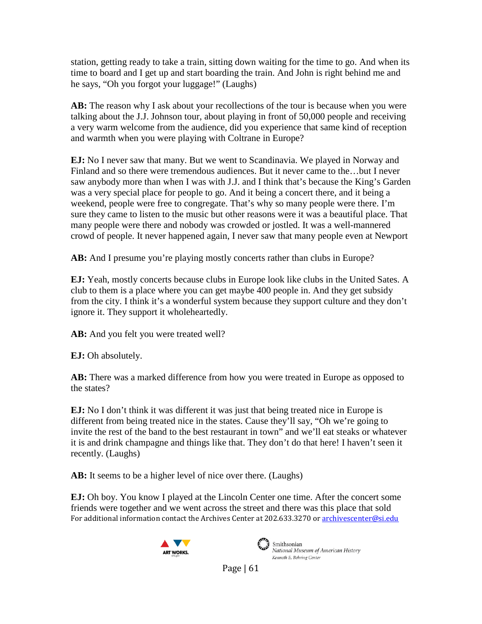station, getting ready to take a train, sitting down waiting for the time to go. And when its time to board and I get up and start boarding the train. And John is right behind me and he says, "Oh you forgot your luggage!" (Laughs)

**AB:** The reason why I ask about your recollections of the tour is because when you were talking about the J.J. Johnson tour, about playing in front of 50,000 people and receiving a very warm welcome from the audience, did you experience that same kind of reception and warmth when you were playing with Coltrane in Europe?

**EJ:** No I never saw that many. But we went to Scandinavia. We played in Norway and Finland and so there were tremendous audiences. But it never came to the…but I never saw anybody more than when I was with J.J. and I think that's because the King's Garden was a very special place for people to go. And it being a concert there, and it being a weekend, people were free to congregate. That's why so many people were there. I'm sure they came to listen to the music but other reasons were it was a beautiful place. That many people were there and nobody was crowded or jostled. It was a well-mannered crowd of people. It never happened again, I never saw that many people even at Newport

**AB:** And I presume you're playing mostly concerts rather than clubs in Europe?

**EJ:** Yeah, mostly concerts because clubs in Europe look like clubs in the United Sates. A club to them is a place where you can get maybe 400 people in. And they get subsidy from the city. I think it's a wonderful system because they support culture and they don't ignore it. They support it wholeheartedly.

**AB:** And you felt you were treated well?

**EJ:** Oh absolutely.

**AB:** There was a marked difference from how you were treated in Europe as opposed to the states?

**EJ:** No I don't think it was different it was just that being treated nice in Europe is different from being treated nice in the states. Cause they'll say, "Oh we're going to invite the rest of the band to the best restaurant in town" and we'll eat steaks or whatever it is and drink champagne and things like that. They don't do that here! I haven't seen it recently. (Laughs)

**AB:** It seems to be a higher level of nice over there. (Laughs)

For additional information contact the Archives Center at 202.633.3270 o[r archivescenter@si.edu](mailto:archivescenter@si.edu) **EJ:** Oh boy. You know I played at the Lincoln Center one time. After the concert some friends were together and we went across the street and there was this place that sold





National Museum of American History Kenneth E. Behring Center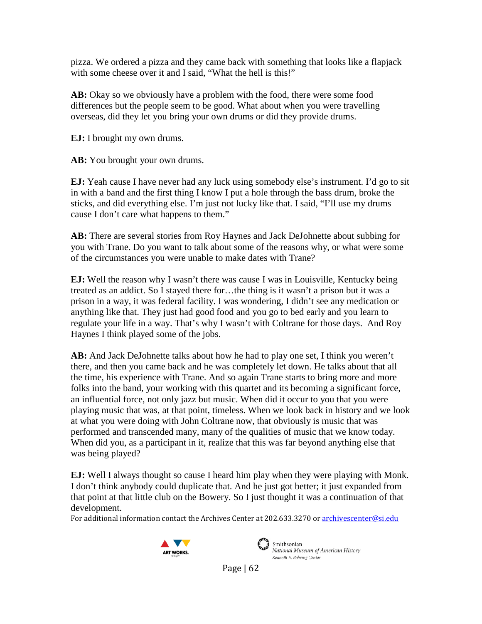pizza. We ordered a pizza and they came back with something that looks like a flapjack with some cheese over it and I said, "What the hell is this!"

**AB:** Okay so we obviously have a problem with the food, there were some food differences but the people seem to be good. What about when you were travelling overseas, did they let you bring your own drums or did they provide drums.

**EJ:** I brought my own drums.

**AB:** You brought your own drums.

**EJ:** Yeah cause I have never had any luck using somebody else's instrument. I'd go to sit in with a band and the first thing I know I put a hole through the bass drum, broke the sticks, and did everything else. I'm just not lucky like that. I said, "I'll use my drums cause I don't care what happens to them."

**AB:** There are several stories from Roy Haynes and Jack DeJohnette about subbing for you with Trane. Do you want to talk about some of the reasons why, or what were some of the circumstances you were unable to make dates with Trane?

**EJ:** Well the reason why I wasn't there was cause I was in Louisville, Kentucky being treated as an addict. So I stayed there for…the thing is it wasn't a prison but it was a prison in a way, it was federal facility. I was wondering, I didn't see any medication or anything like that. They just had good food and you go to bed early and you learn to regulate your life in a way. That's why I wasn't with Coltrane for those days. And Roy Haynes I think played some of the jobs.

**AB:** And Jack DeJohnette talks about how he had to play one set, I think you weren't there, and then you came back and he was completely let down. He talks about that all the time, his experience with Trane. And so again Trane starts to bring more and more folks into the band, your working with this quartet and its becoming a significant force, an influential force, not only jazz but music. When did it occur to you that you were playing music that was, at that point, timeless. When we look back in history and we look at what you were doing with John Coltrane now, that obviously is music that was performed and transcended many, many of the qualities of music that we know today. When did you, as a participant in it, realize that this was far beyond anything else that was being played?

**EJ:** Well I always thought so cause I heard him play when they were playing with Monk. I don't think anybody could duplicate that. And he just got better; it just expanded from that point at that little club on the Bowery. So I just thought it was a continuation of that development.

For additional information contact the Archives Center at 202.633.3270 o[r archivescenter@si.edu](mailto:archivescenter@si.edu)





Smithsonian National Museum of American History Kenneth E. Behring Center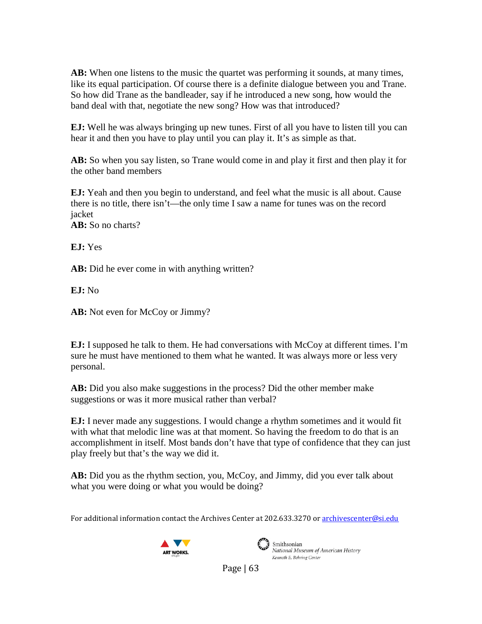**AB:** When one listens to the music the quartet was performing it sounds, at many times, like its equal participation. Of course there is a definite dialogue between you and Trane. So how did Trane as the bandleader, say if he introduced a new song, how would the band deal with that, negotiate the new song? How was that introduced?

**EJ:** Well he was always bringing up new tunes. First of all you have to listen till you can hear it and then you have to play until you can play it. It's as simple as that.

**AB:** So when you say listen, so Trane would come in and play it first and then play it for the other band members

**EJ:** Yeah and then you begin to understand, and feel what the music is all about. Cause there is no title, there isn't—the only time I saw a name for tunes was on the record jacket **AB:** So no charts?

**EJ:** Yes

AB: Did he ever come in with anything written?

**EJ:** No

AB: Not even for McCoy or Jimmy?

**EJ:** I supposed he talk to them. He had conversations with McCoy at different times. I'm sure he must have mentioned to them what he wanted. It was always more or less very personal.

**AB:** Did you also make suggestions in the process? Did the other member make suggestions or was it more musical rather than verbal?

**EJ:** I never made any suggestions. I would change a rhythm sometimes and it would fit with what that melodic line was at that moment. So having the freedom to do that is an accomplishment in itself. Most bands don't have that type of confidence that they can just play freely but that's the way we did it.

**AB:** Did you as the rhythm section, you, McCoy, and Jimmy, did you ever talk about what you were doing or what you would be doing?

For additional information contact the Archives Center at 202.633.3270 o[r archivescenter@si.edu](mailto:archivescenter@si.edu)





 $\left(\begin{matrix} 1 & 1 \\ 1 & 1 \end{matrix}\right)$  Smithsonian National Museum of American History Kenneth E. Behring Center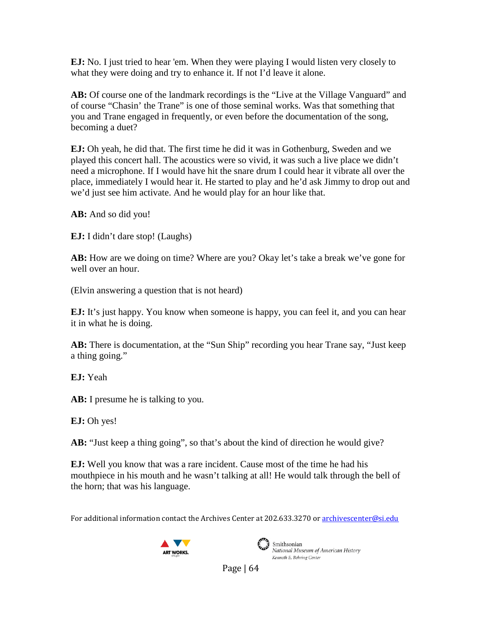**EJ:** No. I just tried to hear 'em. When they were playing I would listen very closely to what they were doing and try to enhance it. If not I'd leave it alone.

**AB:** Of course one of the landmark recordings is the "Live at the Village Vanguard" and of course "Chasin' the Trane" is one of those seminal works. Was that something that you and Trane engaged in frequently, or even before the documentation of the song, becoming a duet?

**EJ:** Oh yeah, he did that. The first time he did it was in Gothenburg, Sweden and we played this concert hall. The acoustics were so vivid, it was such a live place we didn't need a microphone. If I would have hit the snare drum I could hear it vibrate all over the place, immediately I would hear it. He started to play and he'd ask Jimmy to drop out and we'd just see him activate. And he would play for an hour like that.

**AB:** And so did you!

**EJ:** I didn't dare stop! (Laughs)

**AB:** How are we doing on time? Where are you? Okay let's take a break we've gone for well over an hour.

(Elvin answering a question that is not heard)

**EJ:** It's just happy. You know when someone is happy, you can feel it, and you can hear it in what he is doing.

**AB:** There is documentation, at the "Sun Ship" recording you hear Trane say, "Just keep a thing going."

**EJ:** Yeah

**AB:** I presume he is talking to you.

**EJ:** Oh yes!

**AB:** "Just keep a thing going", so that's about the kind of direction he would give?

**EJ:** Well you know that was a rare incident. Cause most of the time he had his mouthpiece in his mouth and he wasn't talking at all! He would talk through the bell of the horn; that was his language.

For additional information contact the Archives Center at 202.633.3270 o[r archivescenter@si.edu](mailto:archivescenter@si.edu)





Smithsonian National Museum of American History Kenneth E. Behring Center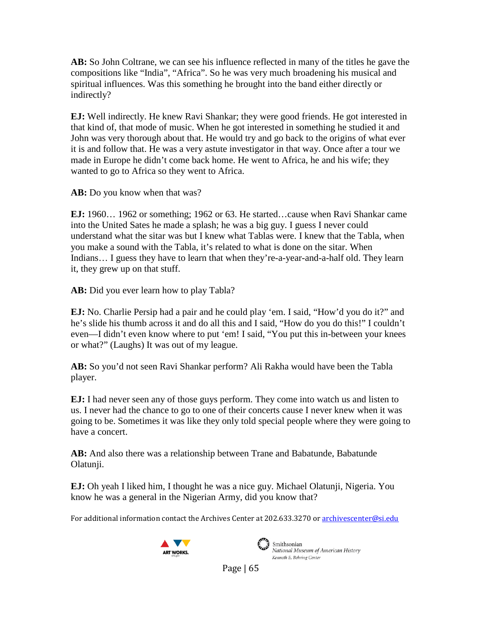**AB:** So John Coltrane, we can see his influence reflected in many of the titles he gave the compositions like "India", "Africa". So he was very much broadening his musical and spiritual influences. Was this something he brought into the band either directly or indirectly?

**EJ:** Well indirectly. He knew Ravi Shankar; they were good friends. He got interested in that kind of, that mode of music. When he got interested in something he studied it and John was very thorough about that. He would try and go back to the origins of what ever it is and follow that. He was a very astute investigator in that way. Once after a tour we made in Europe he didn't come back home. He went to Africa, he and his wife; they wanted to go to Africa so they went to Africa.

**AB:** Do you know when that was?

**EJ:** 1960… 1962 or something; 1962 or 63. He started…cause when Ravi Shankar came into the United Sates he made a splash; he was a big guy. I guess I never could understand what the sitar was but I knew what Tablas were. I knew that the Tabla, when you make a sound with the Tabla, it's related to what is done on the sitar. When Indians… I guess they have to learn that when they're-a-year-and-a-half old. They learn it, they grew up on that stuff.

**AB:** Did you ever learn how to play Tabla?

**EJ:** No. Charlie Persip had a pair and he could play 'em. I said, "How'd you do it?" and he's slide his thumb across it and do all this and I said, "How do you do this!" I couldn't even—I didn't even know where to put 'em! I said, "You put this in-between your knees or what?" (Laughs) It was out of my league.

**AB:** So you'd not seen Ravi Shankar perform? Ali Rakha would have been the Tabla player.

**EJ:** I had never seen any of those guys perform. They come into watch us and listen to us. I never had the chance to go to one of their concerts cause I never knew when it was going to be. Sometimes it was like they only told special people where they were going to have a concert.

**AB:** And also there was a relationship between Trane and Babatunde, Babatunde Olatunji.

**EJ:** Oh yeah I liked him, I thought he was a nice guy. Michael Olatunji, Nigeria. You know he was a general in the Nigerian Army, did you know that?

For additional information contact the Archives Center at 202.633.3270 o[r archivescenter@si.edu](mailto:archivescenter@si.edu)





Smithsonian National Museum of American History Kenneth E. Behring Center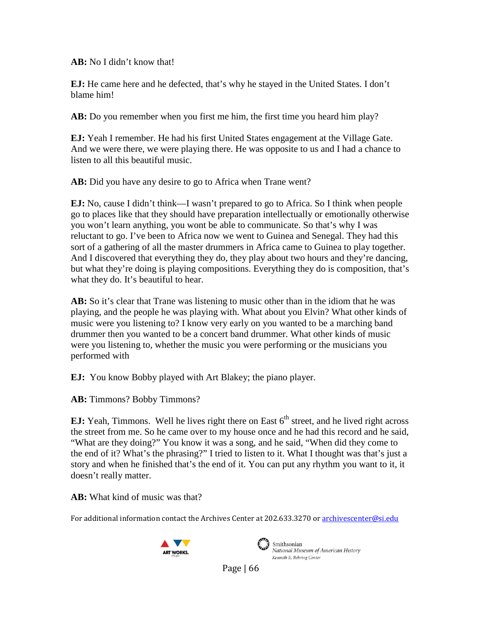**AB:** No I didn't know that!

**EJ:** He came here and he defected, that's why he stayed in the United States. I don't blame him!

**AB:** Do you remember when you first me him, the first time you heard him play?

**EJ:** Yeah I remember. He had his first United States engagement at the Village Gate. And we were there, we were playing there. He was opposite to us and I had a chance to listen to all this beautiful music.

**AB:** Did you have any desire to go to Africa when Trane went?

**EJ:** No, cause I didn't think—I wasn't prepared to go to Africa. So I think when people go to places like that they should have preparation intellectually or emotionally otherwise you won't learn anything, you wont be able to communicate. So that's why I was reluctant to go. I've been to Africa now we went to Guinea and Senegal. They had this sort of a gathering of all the master drummers in Africa came to Guinea to play together. And I discovered that everything they do, they play about two hours and they're dancing, but what they're doing is playing compositions. Everything they do is composition, that's what they do. It's beautiful to hear.

**AB:** So it's clear that Trane was listening to music other than in the idiom that he was playing, and the people he was playing with. What about you Elvin? What other kinds of music were you listening to? I know very early on you wanted to be a marching band drummer then you wanted to be a concert band drummer. What other kinds of music were you listening to, whether the music you were performing or the musicians you performed with

**EJ:** You know Bobby played with Art Blakey; the piano player.

**AB:** Timmons? Bobby Timmons?

**EJ:** Yeah, Timmons. Well he lives right there on East  $6<sup>th</sup>$  street, and he lived right across the street from me. So he came over to my house once and he had this record and he said, "What are they doing?" You know it was a song, and he said, "When did they come to the end of it? What's the phrasing?" I tried to listen to it. What I thought was that's just a story and when he finished that's the end of it. You can put any rhythm you want to it, it doesn't really matter.

**AB:** What kind of music was that?

For additional information contact the Archives Center at 202.633.3270 o[r archivescenter@si.edu](mailto:archivescenter@si.edu)





 $\sum_{i=1}^{\infty}$  Smithsonian National Museum of American History Kenneth E. Behring Center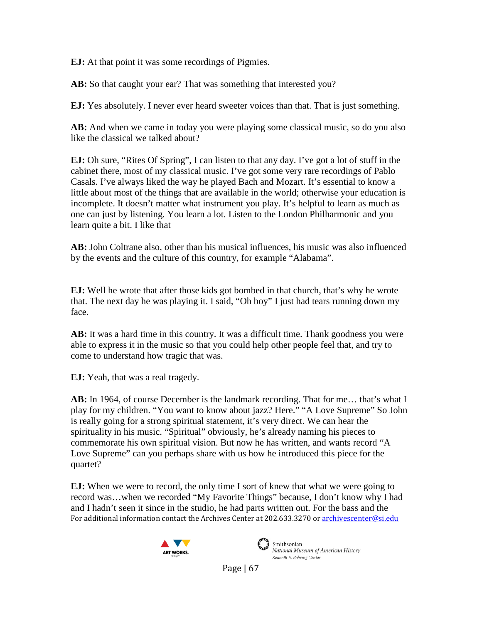**EJ:** At that point it was some recordings of Pigmies.

AB: So that caught your ear? That was something that interested you?

**EJ:** Yes absolutely. I never ever heard sweeter voices than that. That is just something.

**AB:** And when we came in today you were playing some classical music, so do you also like the classical we talked about?

**EJ:** Oh sure, "Rites Of Spring", I can listen to that any day. I've got a lot of stuff in the cabinet there, most of my classical music. I've got some very rare recordings of Pablo Casals. I've always liked the way he played Bach and Mozart. It's essential to know a little about most of the things that are available in the world; otherwise your education is incomplete. It doesn't matter what instrument you play. It's helpful to learn as much as one can just by listening. You learn a lot. Listen to the London Philharmonic and you learn quite a bit. I like that

**AB:** John Coltrane also, other than his musical influences, his music was also influenced by the events and the culture of this country, for example "Alabama".

**EJ:** Well he wrote that after those kids got bombed in that church, that's why he wrote that. The next day he was playing it. I said, "Oh boy" I just had tears running down my face.

AB: It was a hard time in this country. It was a difficult time. Thank goodness you were able to express it in the music so that you could help other people feel that, and try to come to understand how tragic that was.

**EJ:** Yeah, that was a real tragedy.

AB: In 1964, of course December is the landmark recording. That for me... that's what I play for my children. "You want to know about jazz? Here." "A Love Supreme" So John is really going for a strong spiritual statement, it's very direct. We can hear the spirituality in his music. "Spiritual" obviously, he's already naming his pieces to commemorate his own spiritual vision. But now he has written, and wants record "A Love Supreme" can you perhaps share with us how he introduced this piece for the quartet?

For additional information contact the Archives Center at 202.633.3270 o[r archivescenter@si.edu](mailto:archivescenter@si.edu) **EJ:** When we were to record, the only time I sort of knew that what we were going to record was…when we recorded "My Favorite Things" because, I don't know why I had and I hadn't seen it since in the studio, he had parts written out. For the bass and the





Smithsonian National Museum of American History Kenneth E. Behring Center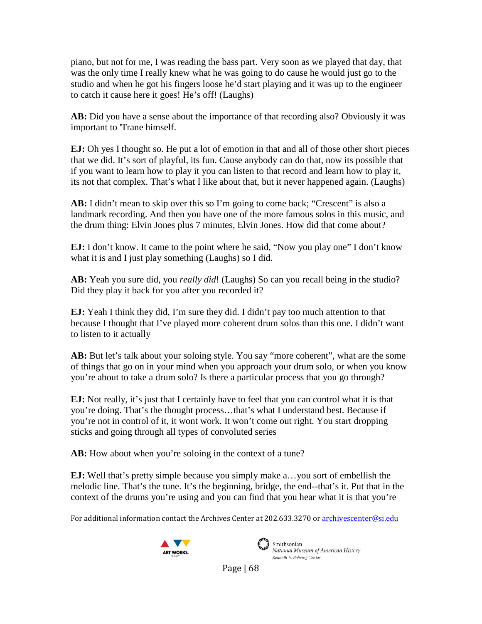piano, but not for me, I was reading the bass part. Very soon as we played that day, that was the only time I really knew what he was going to do cause he would just go to the studio and when he got his fingers loose he'd start playing and it was up to the engineer to catch it cause here it goes! He's off! (Laughs)

**AB:** Did you have a sense about the importance of that recording also? Obviously it was important to 'Trane himself.

**EJ:** Oh yes I thought so. He put a lot of emotion in that and all of those other short pieces that we did. It's sort of playful, its fun. Cause anybody can do that, now its possible that if you want to learn how to play it you can listen to that record and learn how to play it, its not that complex. That's what I like about that, but it never happened again. (Laughs)

AB: I didn't mean to skip over this so I'm going to come back; "Crescent" is also a landmark recording. And then you have one of the more famous solos in this music, and the drum thing: Elvin Jones plus 7 minutes, Elvin Jones. How did that come about?

**EJ:** I don't know. It came to the point where he said, "Now you play one" I don't know what it is and I just play something (Laughs) so I did.

**AB:** Yeah you sure did, you *really did*! (Laughs) So can you recall being in the studio? Did they play it back for you after you recorded it?

**EJ:** Yeah I think they did, I'm sure they did. I didn't pay too much attention to that because I thought that I've played more coherent drum solos than this one. I didn't want to listen to it actually

AB: But let's talk about your soloing style. You say "more coherent", what are the some of things that go on in your mind when you approach your drum solo, or when you know you're about to take a drum solo? Is there a particular process that you go through?

**EJ:** Not really, it's just that I certainly have to feel that you can control what it is that you're doing. That's the thought process…that's what I understand best. Because if you're not in control of it, it wont work. It won't come out right. You start dropping sticks and going through all types of convoluted series

AB: How about when you're soloing in the context of a tune?

**EJ:** Well that's pretty simple because you simply make a…you sort of embellish the melodic line. That's the tune. It's the beginning, bridge, the end--that's it. Put that in the context of the drums you're using and you can find that you hear what it is that you're

For additional information contact the Archives Center at 202.633.3270 o[r archivescenter@si.edu](mailto:archivescenter@si.edu)





National Museum of American History Kenneth E. Behring Center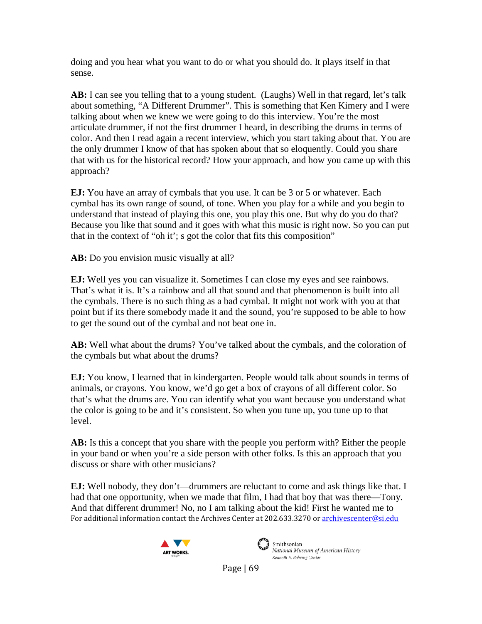doing and you hear what you want to do or what you should do. It plays itself in that sense.

AB: I can see you telling that to a young student. (Laughs) Well in that regard, let's talk about something, "A Different Drummer". This is something that Ken Kimery and I were talking about when we knew we were going to do this interview. You're the most articulate drummer, if not the first drummer I heard, in describing the drums in terms of color. And then I read again a recent interview, which you start taking about that. You are the only drummer I know of that has spoken about that so eloquently. Could you share that with us for the historical record? How your approach, and how you came up with this approach?

**EJ:** You have an array of cymbals that you use. It can be 3 or 5 or whatever. Each cymbal has its own range of sound, of tone. When you play for a while and you begin to understand that instead of playing this one, you play this one. But why do you do that? Because you like that sound and it goes with what this music is right now. So you can put that in the context of "oh it'; s got the color that fits this composition"

**AB:** Do you envision music visually at all?

**EJ:** Well yes you can visualize it. Sometimes I can close my eyes and see rainbows. That's what it is. It's a rainbow and all that sound and that phenomenon is built into all the cymbals. There is no such thing as a bad cymbal. It might not work with you at that point but if its there somebody made it and the sound, you're supposed to be able to how to get the sound out of the cymbal and not beat one in.

**AB:** Well what about the drums? You've talked about the cymbals, and the coloration of the cymbals but what about the drums?

**EJ:** You know, I learned that in kindergarten. People would talk about sounds in terms of animals, or crayons. You know, we'd go get a box of crayons of all different color. So that's what the drums are. You can identify what you want because you understand what the color is going to be and it's consistent. So when you tune up, you tune up to that level.

**AB:** Is this a concept that you share with the people you perform with? Either the people in your band or when you're a side person with other folks. Is this an approach that you discuss or share with other musicians?

For additional information contact the Archives Center at 202.633.3270 o[r archivescenter@si.edu](mailto:archivescenter@si.edu) **EJ:** Well nobody, they don't—drummers are reluctant to come and ask things like that. I had that one opportunity, when we made that film, I had that boy that was there—Tony. And that different drummer! No, no I am talking about the kid! First he wanted me to





Smithsonian National Museum of American History Kenneth E. Behring Center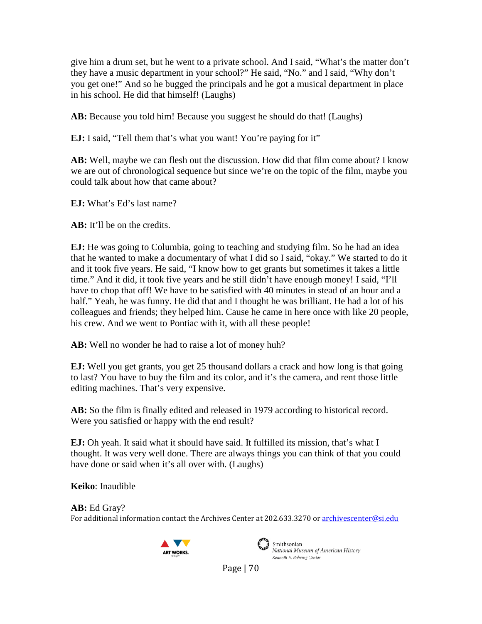give him a drum set, but he went to a private school. And I said, "What's the matter don't they have a music department in your school?" He said, "No." and I said, "Why don't you get one!" And so he bugged the principals and he got a musical department in place in his school. He did that himself! (Laughs)

AB: Because you told him! Because you suggest he should do that! (Laughs)

**EJ:** I said, "Tell them that's what you want! You're paying for it"

**AB:** Well, maybe we can flesh out the discussion. How did that film come about? I know we are out of chronological sequence but since we're on the topic of the film, maybe you could talk about how that came about?

**EJ:** What's Ed's last name?

**AB:** It'll be on the credits.

**EJ:** He was going to Columbia, going to teaching and studying film. So he had an idea that he wanted to make a documentary of what I did so I said, "okay." We started to do it and it took five years. He said, "I know how to get grants but sometimes it takes a little time." And it did, it took five years and he still didn't have enough money! I said, "I'll have to chop that off! We have to be satisfied with 40 minutes in stead of an hour and a half." Yeah, he was funny. He did that and I thought he was brilliant. He had a lot of his colleagues and friends; they helped him. Cause he came in here once with like 20 people, his crew. And we went to Pontiac with it, with all these people!

**AB:** Well no wonder he had to raise a lot of money huh?

**EJ:** Well you get grants, you get 25 thousand dollars a crack and how long is that going to last? You have to buy the film and its color, and it's the camera, and rent those little editing machines. That's very expensive.

**AB:** So the film is finally edited and released in 1979 according to historical record. Were you satisfied or happy with the end result?

**EJ:** Oh yeah. It said what it should have said. It fulfilled its mission, that's what I thought. It was very well done. There are always things you can think of that you could have done or said when it's all over with. (Laughs)

**Keiko**: Inaudible

For additional information contact the Archives Center at 202.633.3270 o[r archivescenter@si.edu](mailto:archivescenter@si.edu) **AB:** Ed Gray?





 $\sum_{i=1}^{\infty}$  Smithsonian National Museum of American History Kenneth E. Behring Center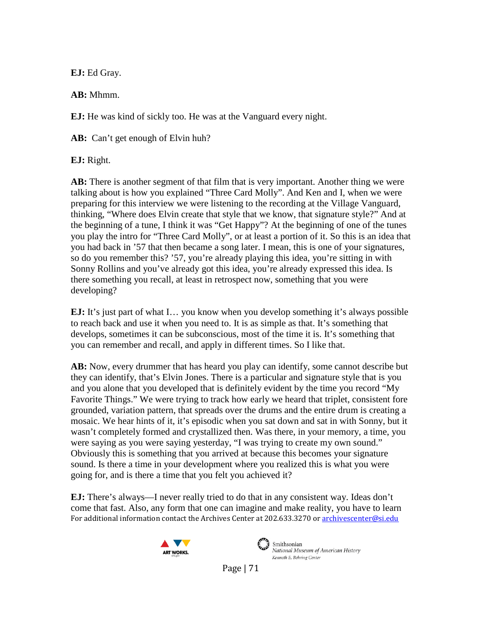**EJ:** Ed Gray.

**AB:** Mhmm.

**EJ:** He was kind of sickly too. He was at the Vanguard every night.

AB: Can't get enough of Elvin huh?

**EJ:** Right.

**AB:** There is another segment of that film that is very important. Another thing we were talking about is how you explained "Three Card Molly". And Ken and I, when we were preparing for this interview we were listening to the recording at the Village Vanguard, thinking, "Where does Elvin create that style that we know, that signature style?" And at the beginning of a tune, I think it was "Get Happy"? At the beginning of one of the tunes you play the intro for "Three Card Molly", or at least a portion of it. So this is an idea that you had back in '57 that then became a song later. I mean, this is one of your signatures, so do you remember this? '57, you're already playing this idea, you're sitting in with Sonny Rollins and you've already got this idea, you're already expressed this idea. Is there something you recall, at least in retrospect now, something that you were developing?

**EJ:** It's just part of what I... you know when you develop something it's always possible to reach back and use it when you need to. It is as simple as that. It's something that develops, sometimes it can be subconscious, most of the time it is. It's something that you can remember and recall, and apply in different times. So I like that.

**AB:** Now, every drummer that has heard you play can identify, some cannot describe but they can identify, that's Elvin Jones. There is a particular and signature style that is you and you alone that you developed that is definitely evident by the time you record "My Favorite Things." We were trying to track how early we heard that triplet, consistent fore grounded, variation pattern, that spreads over the drums and the entire drum is creating a mosaic. We hear hints of it, it's episodic when you sat down and sat in with Sonny, but it wasn't completely formed and crystallized then. Was there, in your memory, a time, you were saying as you were saying yesterday, "I was trying to create my own sound." Obviously this is something that you arrived at because this becomes your signature sound. Is there a time in your development where you realized this is what you were going for, and is there a time that you felt you achieved it?

For additional information contact the Archives Center at 202.633.3270 o[r archivescenter@si.edu](mailto:archivescenter@si.edu) **EJ:** There's always—I never really tried to do that in any consistent way. Ideas don't come that fast. Also, any form that one can imagine and make reality, you have to learn





Smithsonian National Museum of American History Kenneth E. Behring Center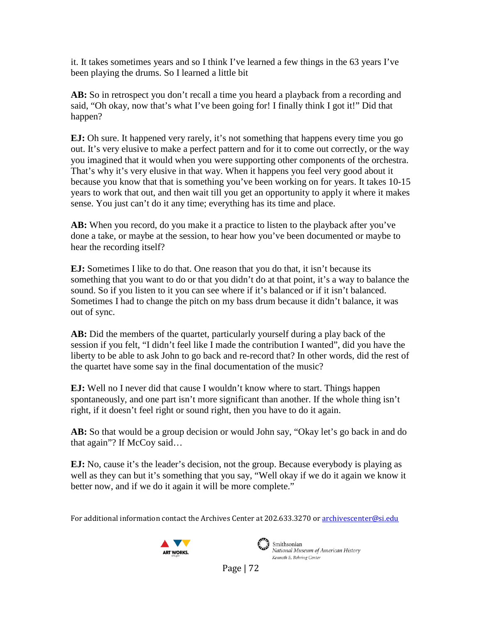it. It takes sometimes years and so I think I've learned a few things in the 63 years I've been playing the drums. So I learned a little bit

**AB:** So in retrospect you don't recall a time you heard a playback from a recording and said, "Oh okay, now that's what I've been going for! I finally think I got it!" Did that happen?

**EJ:** Oh sure. It happened very rarely, it's not something that happens every time you go out. It's very elusive to make a perfect pattern and for it to come out correctly, or the way you imagined that it would when you were supporting other components of the orchestra. That's why it's very elusive in that way. When it happens you feel very good about it because you know that that is something you've been working on for years. It takes 10-15 years to work that out, and then wait till you get an opportunity to apply it where it makes sense. You just can't do it any time; everything has its time and place.

AB: When you record, do you make it a practice to listen to the playback after you've done a take, or maybe at the session, to hear how you've been documented or maybe to hear the recording itself?

**EJ:** Sometimes I like to do that. One reason that you do that, it isn't because its something that you want to do or that you didn't do at that point, it's a way to balance the sound. So if you listen to it you can see where if it's balanced or if it isn't balanced. Sometimes I had to change the pitch on my bass drum because it didn't balance, it was out of sync.

**AB:** Did the members of the quartet, particularly yourself during a play back of the session if you felt, "I didn't feel like I made the contribution I wanted", did you have the liberty to be able to ask John to go back and re-record that? In other words, did the rest of the quartet have some say in the final documentation of the music?

**EJ:** Well no I never did that cause I wouldn't know where to start. Things happen spontaneously, and one part isn't more significant than another. If the whole thing isn't right, if it doesn't feel right or sound right, then you have to do it again.

AB: So that would be a group decision or would John say, "Okay let's go back in and do that again"? If McCoy said...

**EJ:** No, cause it's the leader's decision, not the group. Because everybody is playing as well as they can but it's something that you say, "Well okay if we do it again we know it better now, and if we do it again it will be more complete."

For additional information contact the Archives Center at 202.633.3270 o[r archivescenter@si.edu](mailto:archivescenter@si.edu)





 $\sum_{i=1}^{\infty}$  Smithsonian National Museum of American History Kenneth E. Behring Center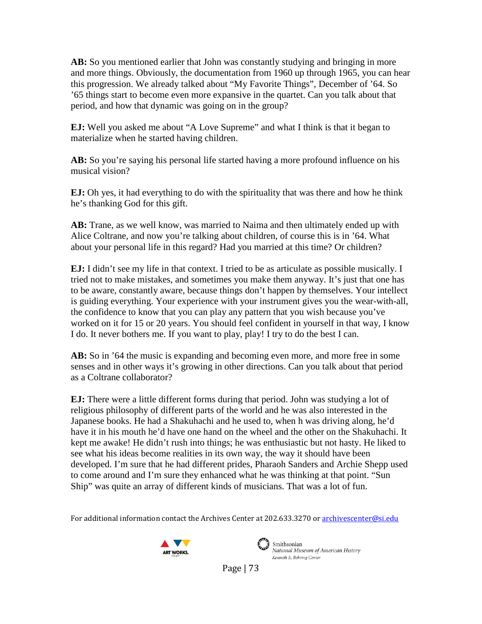**AB:** So you mentioned earlier that John was constantly studying and bringing in more and more things. Obviously, the documentation from 1960 up through 1965, you can hear this progression. We already talked about "My Favorite Things", December of '64. So '65 things start to become even more expansive in the quartet. Can you talk about that period, and how that dynamic was going on in the group?

**EJ:** Well you asked me about "A Love Supreme" and what I think is that it began to materialize when he started having children.

AB: So you're saying his personal life started having a more profound influence on his musical vision?

**EJ:** Oh yes, it had everything to do with the spirituality that was there and how he think he's thanking God for this gift.

**AB:** Trane, as we well know, was married to Naima and then ultimately ended up with Alice Coltrane, and now you're talking about children, of course this is in '64. What about your personal life in this regard? Had you married at this time? Or children?

**EJ:** I didn't see my life in that context. I tried to be as articulate as possible musically. I tried not to make mistakes, and sometimes you make them anyway. It's just that one has to be aware, constantly aware, because things don't happen by themselves. Your intellect is guiding everything. Your experience with your instrument gives you the wear-with-all, the confidence to know that you can play any pattern that you wish because you've worked on it for 15 or 20 years. You should feel confident in yourself in that way, I know I do. It never bothers me. If you want to play, play! I try to do the best I can.

**AB:** So in '64 the music is expanding and becoming even more, and more free in some senses and in other ways it's growing in other directions. Can you talk about that period as a Coltrane collaborator?

**EJ:** There were a little different forms during that period. John was studying a lot of religious philosophy of different parts of the world and he was also interested in the Japanese books. He had a Shakuhachi and he used to, when h was driving along, he'd have it in his mouth he'd have one hand on the wheel and the other on the Shakuhachi. It kept me awake! He didn't rush into things; he was enthusiastic but not hasty. He liked to see what his ideas become realities in its own way, the way it should have been developed. I'm sure that he had different prides, Pharaoh Sanders and Archie Shepp used to come around and I'm sure they enhanced what he was thinking at that point. "Sun Ship" was quite an array of different kinds of musicians. That was a lot of fun.

For additional information contact the Archives Center at 202.633.3270 o[r archivescenter@si.edu](mailto:archivescenter@si.edu)





 $\left(\begin{array}{c}\right)$  Smithsonian National Museum of American History Kenneth E. Behring Center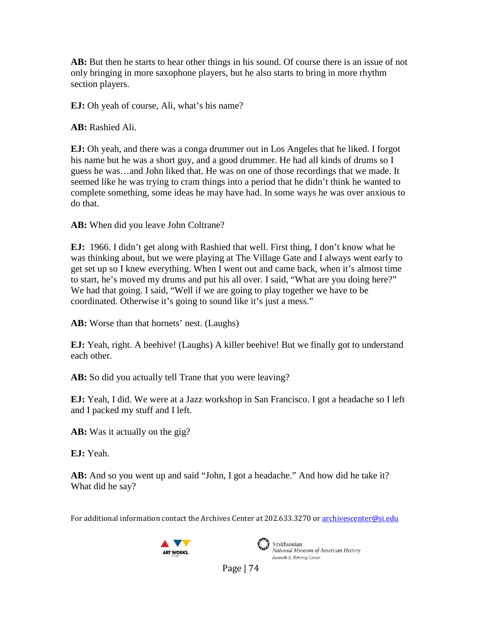**AB:** But then he starts to hear other things in his sound. Of course there is an issue of not only bringing in more saxophone players, but he also starts to bring in more rhythm section players.

**EJ:** Oh yeah of course, Ali, what's his name?

**AB:** Rashied Ali.

**EJ:** Oh yeah, and there was a conga drummer out in Los Angeles that he liked. I forgot his name but he was a short guy, and a good drummer. He had all kinds of drums so I guess he was…and John liked that. He was on one of those recordings that we made. It seemed like he was trying to cram things into a period that he didn't think he wanted to complete something, some ideas he may have had. In some ways he was over anxious to do that.

**AB:** When did you leave John Coltrane?

**EJ:** 1966. I didn't get along with Rashied that well. First thing, I don't know what he was thinking about, but we were playing at The Village Gate and I always went early to get set up so I knew everything. When I went out and came back, when it's almost time to start, he's moved my drums and put his all over. I said, "What are you doing here?" We had that going. I said, "Well if we are going to play together we have to be coordinated. Otherwise it's going to sound like it's just a mess."

**AB:** Worse than that hornets' nest. (Laughs)

**EJ:** Yeah, right. A beehive! (Laughs) A killer beehive! But we finally got to understand each other.

**AB:** So did you actually tell Trane that you were leaving?

**EJ:** Yeah, I did. We were at a Jazz workshop in San Francisco. I got a headache so I left and I packed my stuff and I left.

**AB:** Was it actually on the gig?

**EJ:** Yeah.

**AB:** And so you went up and said "John, I got a headache." And how did he take it? What did he say?

For additional information contact the Archives Center at 202.633.3270 o[r archivescenter@si.edu](mailto:archivescenter@si.edu)





Smithsonian National Museum of American History Kenneth E. Behring Center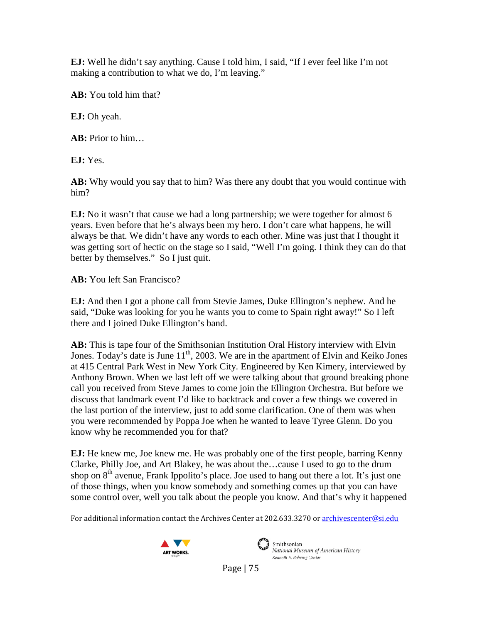**EJ:** Well he didn't say anything. Cause I told him, I said, "If I ever feel like I'm not making a contribution to what we do, I'm leaving."

**AB:** You told him that?

**EJ:** Oh yeah.

**AB:** Prior to him…

**EJ:** Yes.

**AB:** Why would you say that to him? Was there any doubt that you would continue with him?

**EJ:** No it wasn't that cause we had a long partnership; we were together for almost 6 years. Even before that he's always been my hero. I don't care what happens, he will always be that. We didn't have any words to each other. Mine was just that I thought it was getting sort of hectic on the stage so I said, "Well I'm going. I think they can do that better by themselves." So I just quit.

**AB:** You left San Francisco?

**EJ:** And then I got a phone call from Stevie James, Duke Ellington's nephew. And he said, "Duke was looking for you he wants you to come to Spain right away!" So I left there and I joined Duke Ellington's band.

**AB:** This is tape four of the Smithsonian Institution Oral History interview with Elvin Jones. Today's date is June  $11<sup>th</sup>$ , 2003. We are in the apartment of Elvin and Keiko Jones at 415 Central Park West in New York City. Engineered by Ken Kimery, interviewed by Anthony Brown. When we last left off we were talking about that ground breaking phone call you received from Steve James to come join the Ellington Orchestra. But before we discuss that landmark event I'd like to backtrack and cover a few things we covered in the last portion of the interview, just to add some clarification. One of them was when you were recommended by Poppa Joe when he wanted to leave Tyree Glenn. Do you know why he recommended you for that?

**EJ:** He knew me, Joe knew me. He was probably one of the first people, barring Kenny Clarke, Philly Joe, and Art Blakey, he was about the…cause I used to go to the drum shop on  $8<sup>th</sup>$  avenue, Frank Ippolito's place. Joe used to hang out there a lot. It's just one of those things, when you know somebody and something comes up that you can have some control over, well you talk about the people you know. And that's why it happened

For additional information contact the Archives Center at 202.633.3270 o[r archivescenter@si.edu](mailto:archivescenter@si.edu)





Smithsonian National Museum of American History Kenneth E. Behring Center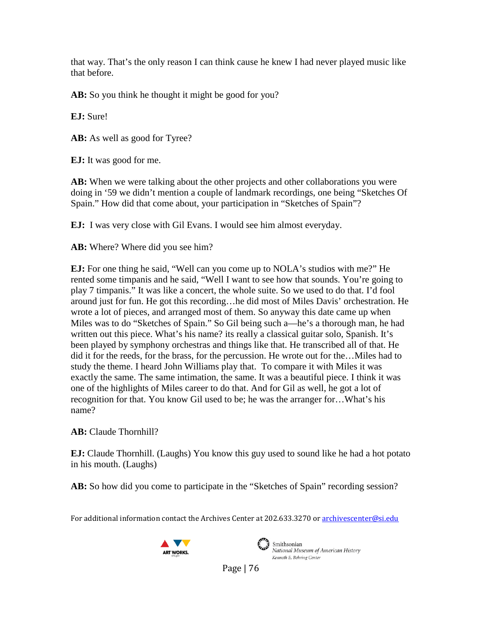that way. That's the only reason I can think cause he knew I had never played music like that before.

**AB:** So you think he thought it might be good for you?

**EJ:** Sure!

**AB:** As well as good for Tyree?

**EJ:** It was good for me.

**AB:** When we were talking about the other projects and other collaborations you were doing in '59 we didn't mention a couple of landmark recordings, one being "Sketches Of Spain." How did that come about, your participation in "Sketches of Spain"?

**EJ:** I was very close with Gil Evans. I would see him almost everyday.

**AB:** Where? Where did you see him?

**EJ:** For one thing he said, "Well can you come up to NOLA's studios with me?" He rented some timpanis and he said, "Well I want to see how that sounds. You're going to play 7 timpanis." It was like a concert, the whole suite. So we used to do that. I'd fool around just for fun. He got this recording…he did most of Miles Davis' orchestration. He wrote a lot of pieces, and arranged most of them. So anyway this date came up when Miles was to do "Sketches of Spain." So Gil being such a—he's a thorough man, he had written out this piece. What's his name? its really a classical guitar solo, Spanish. It's been played by symphony orchestras and things like that. He transcribed all of that. He did it for the reeds, for the brass, for the percussion. He wrote out for the…Miles had to study the theme. I heard John Williams play that. To compare it with Miles it was exactly the same. The same intimation, the same. It was a beautiful piece. I think it was one of the highlights of Miles career to do that. And for Gil as well, he got a lot of recognition for that. You know Gil used to be; he was the arranger for…What's his name?

**AB:** Claude Thornhill?

**EJ:** Claude Thornhill. (Laughs) You know this guy used to sound like he had a hot potato in his mouth. (Laughs)

AB: So how did you come to participate in the "Sketches of Spain" recording session?

For additional information contact the Archives Center at 202.633.3270 o[r archivescenter@si.edu](mailto:archivescenter@si.edu)





Smithsonian National Museum of American History Kenneth E. Behring Center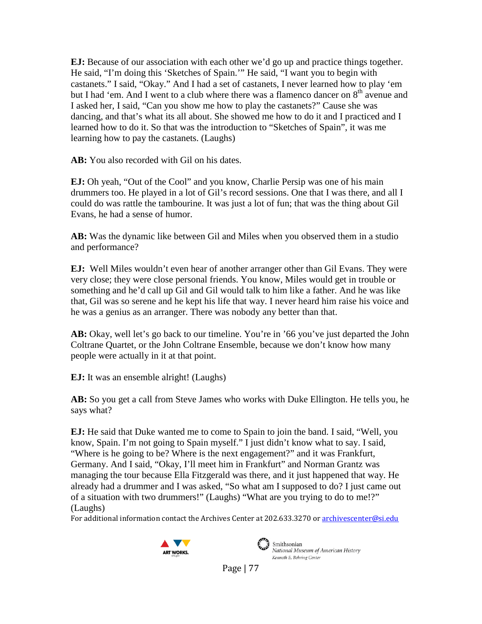**EJ:** Because of our association with each other we'd go up and practice things together. He said, "I'm doing this 'Sketches of Spain.'" He said, "I want you to begin with castanets." I said, "Okay." And I had a set of castanets, I never learned how to play 'em but I had 'em. And I went to a club where there was a flamenco dancer on  $8<sup>th</sup>$  avenue and I asked her, I said, "Can you show me how to play the castanets?" Cause she was dancing, and that's what its all about. She showed me how to do it and I practiced and I learned how to do it. So that was the introduction to "Sketches of Spain", it was me learning how to pay the castanets. (Laughs)

**AB:** You also recorded with Gil on his dates.

**EJ:** Oh yeah, "Out of the Cool" and you know, Charlie Persip was one of his main drummers too. He played in a lot of Gil's record sessions. One that I was there, and all I could do was rattle the tambourine. It was just a lot of fun; that was the thing about Gil Evans, he had a sense of humor.

**AB:** Was the dynamic like between Gil and Miles when you observed them in a studio and performance?

**EJ:** Well Miles wouldn't even hear of another arranger other than Gil Evans. They were very close; they were close personal friends. You know, Miles would get in trouble or something and he'd call up Gil and Gil would talk to him like a father. And he was like that, Gil was so serene and he kept his life that way. I never heard him raise his voice and he was a genius as an arranger. There was nobody any better than that.

**AB:** Okay, well let's go back to our timeline. You're in '66 you've just departed the John Coltrane Quartet, or the John Coltrane Ensemble, because we don't know how many people were actually in it at that point.

**EJ:** It was an ensemble alright! (Laughs)

**AB:** So you get a call from Steve James who works with Duke Ellington. He tells you, he says what?

**EJ:** He said that Duke wanted me to come to Spain to join the band. I said, "Well, you know, Spain. I'm not going to Spain myself." I just didn't know what to say. I said, "Where is he going to be? Where is the next engagement?" and it was Frankfurt, Germany. And I said, "Okay, I'll meet him in Frankfurt" and Norman Grantz was managing the tour because Ella Fitzgerald was there, and it just happened that way. He already had a drummer and I was asked, "So what am I supposed to do? I just came out of a situation with two drummers!" (Laughs) "What are you trying to do to me!?" (Laughs)

For additional information contact the Archives Center at 202.633.3270 o[r archivescenter@si.edu](mailto:archivescenter@si.edu)





Smithsonian National Museum of American History Kenneth E. Behring Center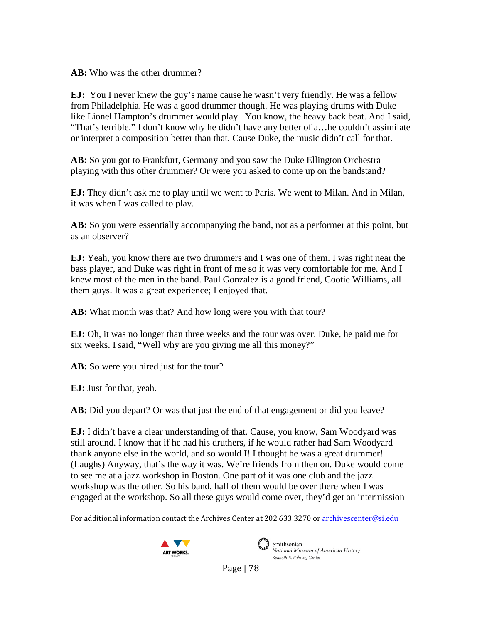**AB:** Who was the other drummer?

**EJ:** You I never knew the guy's name cause he wasn't very friendly. He was a fellow from Philadelphia. He was a good drummer though. He was playing drums with Duke like Lionel Hampton's drummer would play. You know, the heavy back beat. And I said, "That's terrible." I don't know why he didn't have any better of a…he couldn't assimilate or interpret a composition better than that. Cause Duke, the music didn't call for that.

**AB:** So you got to Frankfurt, Germany and you saw the Duke Ellington Orchestra playing with this other drummer? Or were you asked to come up on the bandstand?

**EJ:** They didn't ask me to play until we went to Paris. We went to Milan. And in Milan, it was when I was called to play.

**AB:** So you were essentially accompanying the band, not as a performer at this point, but as an observer?

**EJ:** Yeah, you know there are two drummers and I was one of them. I was right near the bass player, and Duke was right in front of me so it was very comfortable for me. And I knew most of the men in the band. Paul Gonzalez is a good friend, Cootie Williams, all them guys. It was a great experience; I enjoyed that.

**AB:** What month was that? And how long were you with that tour?

**EJ:** Oh, it was no longer than three weeks and the tour was over. Duke, he paid me for six weeks. I said, "Well why are you giving me all this money?"

**AB:** So were you hired just for the tour?

**EJ:** Just for that, yeah.

**AB:** Did you depart? Or was that just the end of that engagement or did you leave?

**EJ:** I didn't have a clear understanding of that. Cause, you know, Sam Woodyard was still around. I know that if he had his druthers, if he would rather had Sam Woodyard thank anyone else in the world, and so would I! I thought he was a great drummer! (Laughs) Anyway, that's the way it was. We're friends from then on. Duke would come to see me at a jazz workshop in Boston. One part of it was one club and the jazz workshop was the other. So his band, half of them would be over there when I was engaged at the workshop. So all these guys would come over, they'd get an intermission

For additional information contact the Archives Center at 202.633.3270 o[r archivescenter@si.edu](mailto:archivescenter@si.edu)





Smithsonian National Museum of American History Kenneth E. Behring Center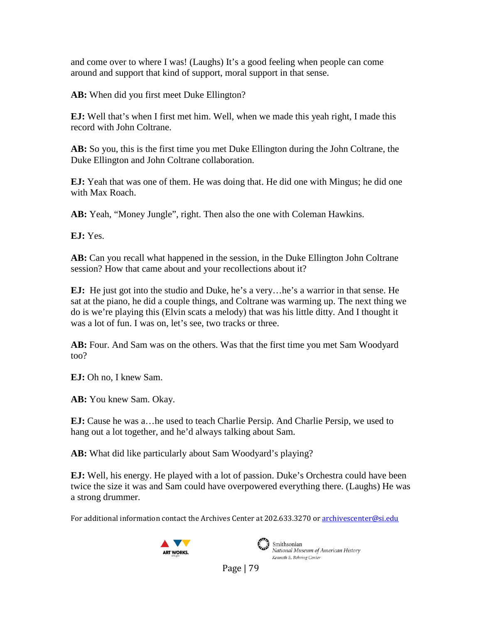and come over to where I was! (Laughs) It's a good feeling when people can come around and support that kind of support, moral support in that sense.

**AB:** When did you first meet Duke Ellington?

**EJ:** Well that's when I first met him. Well, when we made this yeah right, I made this record with John Coltrane.

**AB:** So you, this is the first time you met Duke Ellington during the John Coltrane, the Duke Ellington and John Coltrane collaboration.

**EJ:** Yeah that was one of them. He was doing that. He did one with Mingus; he did one with Max Roach.

**AB:** Yeah, "Money Jungle", right. Then also the one with Coleman Hawkins.

**EJ:** Yes.

**AB:** Can you recall what happened in the session, in the Duke Ellington John Coltrane session? How that came about and your recollections about it?

**EJ:** He just got into the studio and Duke, he's a very…he's a warrior in that sense. He sat at the piano, he did a couple things, and Coltrane was warming up. The next thing we do is we're playing this (Elvin scats a melody) that was his little ditty. And I thought it was a lot of fun. I was on, let's see, two tracks or three.

**AB:** Four. And Sam was on the others. Was that the first time you met Sam Woodyard too?

**EJ:** Oh no, I knew Sam.

**AB:** You knew Sam. Okay.

**EJ:** Cause he was a…he used to teach Charlie Persip. And Charlie Persip, we used to hang out a lot together, and he'd always talking about Sam.

**AB:** What did like particularly about Sam Woodyard's playing?

**EJ:** Well, his energy. He played with a lot of passion. Duke's Orchestra could have been twice the size it was and Sam could have overpowered everything there. (Laughs) He was a strong drummer.

For additional information contact the Archives Center at 202.633.3270 o[r archivescenter@si.edu](mailto:archivescenter@si.edu)





Smithsonian National Museum of American History Kenneth E. Behring Center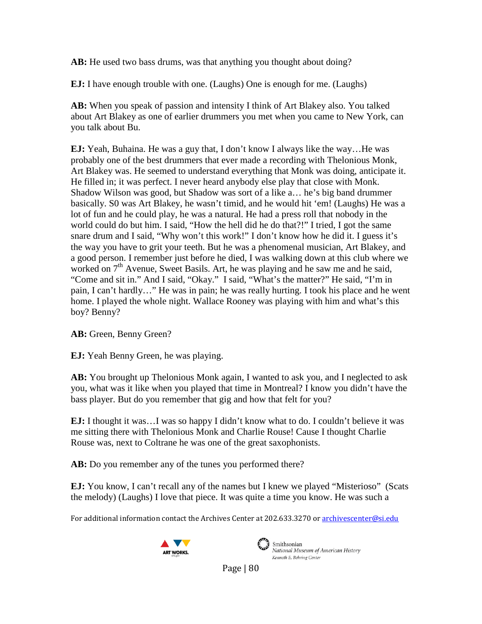**AB:** He used two bass drums, was that anything you thought about doing?

**EJ:** I have enough trouble with one. (Laughs) One is enough for me. (Laughs)

**AB:** When you speak of passion and intensity I think of Art Blakey also. You talked about Art Blakey as one of earlier drummers you met when you came to New York, can you talk about Bu.

**EJ:** Yeah, Buhaina. He was a guy that, I don't know I always like the way…He was probably one of the best drummers that ever made a recording with Thelonious Monk, Art Blakey was. He seemed to understand everything that Monk was doing, anticipate it. He filled in; it was perfect. I never heard anybody else play that close with Monk. Shadow Wilson was good, but Shadow was sort of a like a… he's big band drummer basically. S0 was Art Blakey, he wasn't timid, and he would hit 'em! (Laughs) He was a lot of fun and he could play, he was a natural. He had a press roll that nobody in the world could do but him. I said, "How the hell did he do that?!" I tried, I got the same snare drum and I said, "Why won't this work!" I don't know how he did it. I guess it's the way you have to grit your teeth. But he was a phenomenal musician, Art Blakey, and a good person. I remember just before he died, I was walking down at this club where we worked on  $7<sup>th</sup>$  Avenue, Sweet Basils. Art, he was playing and he saw me and he said, "Come and sit in." And I said, "Okay." I said, "What's the matter?" He said, "I'm in pain, I can't hardly…" He was in pain; he was really hurting. I took his place and he went home. I played the whole night. Wallace Rooney was playing with him and what's this boy? Benny?

**AB:** Green, Benny Green?

**EJ:** Yeah Benny Green, he was playing.

**AB:** You brought up Thelonious Monk again, I wanted to ask you, and I neglected to ask you, what was it like when you played that time in Montreal? I know you didn't have the bass player. But do you remember that gig and how that felt for you?

**EJ:** I thought it was…I was so happy I didn't know what to do. I couldn't believe it was me sitting there with Thelonious Monk and Charlie Rouse! Cause I thought Charlie Rouse was, next to Coltrane he was one of the great saxophonists.

**AB:** Do you remember any of the tunes you performed there?

**EJ:** You know, I can't recall any of the names but I knew we played "Misterioso" (Scats the melody) (Laughs) I love that piece. It was quite a time you know. He was such a

For additional information contact the Archives Center at 202.633.3270 o[r archivescenter@si.edu](mailto:archivescenter@si.edu)





Smithsonian National Museum of American History Kenneth E. Behring Center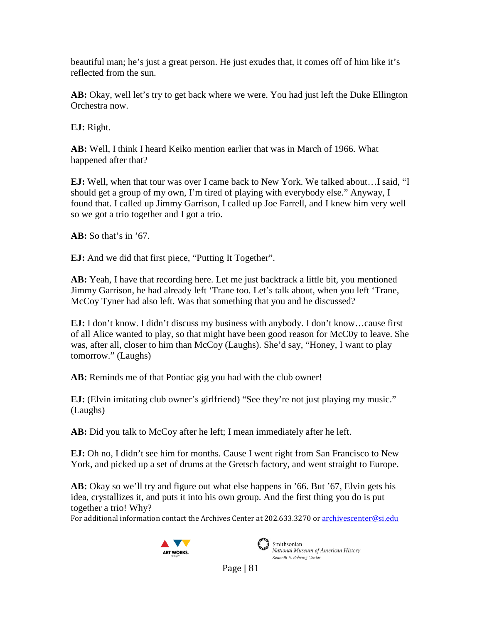beautiful man; he's just a great person. He just exudes that, it comes off of him like it's reflected from the sun.

**AB:** Okay, well let's try to get back where we were. You had just left the Duke Ellington Orchestra now.

**EJ:** Right.

**AB:** Well, I think I heard Keiko mention earlier that was in March of 1966. What happened after that?

**EJ:** Well, when that tour was over I came back to New York. We talked about…I said, "I should get a group of my own, I'm tired of playing with everybody else." Anyway, I found that. I called up Jimmy Garrison, I called up Joe Farrell, and I knew him very well so we got a trio together and I got a trio.

**AB:** So that's in '67.

**EJ:** And we did that first piece, "Putting It Together".

**AB:** Yeah, I have that recording here. Let me just backtrack a little bit, you mentioned Jimmy Garrison, he had already left 'Trane too. Let's talk about, when you left 'Trane, McCoy Tyner had also left. Was that something that you and he discussed?

**EJ:** I don't know. I didn't discuss my business with anybody. I don't know…cause first of all Alice wanted to play, so that might have been good reason for McC0y to leave. She was, after all, closer to him than McCoy (Laughs). She'd say, "Honey, I want to play tomorrow." (Laughs)

**AB:** Reminds me of that Pontiac gig you had with the club owner!

**EJ:** (Elvin imitating club owner's girlfriend) "See they're not just playing my music." (Laughs)

**AB:** Did you talk to McCoy after he left; I mean immediately after he left.

**EJ:** Oh no, I didn't see him for months. Cause I went right from San Francisco to New York, and picked up a set of drums at the Gretsch factory, and went straight to Europe.

**AB:** Okay so we'll try and figure out what else happens in '66. But '67, Elvin gets his idea, crystallizes it, and puts it into his own group. And the first thing you do is put together a trio! Why?

For additional information contact the Archives Center at 202.633.3270 o[r archivescenter@si.edu](mailto:archivescenter@si.edu)





Smithsonian National Museum of American History Kenneth E. Behring Center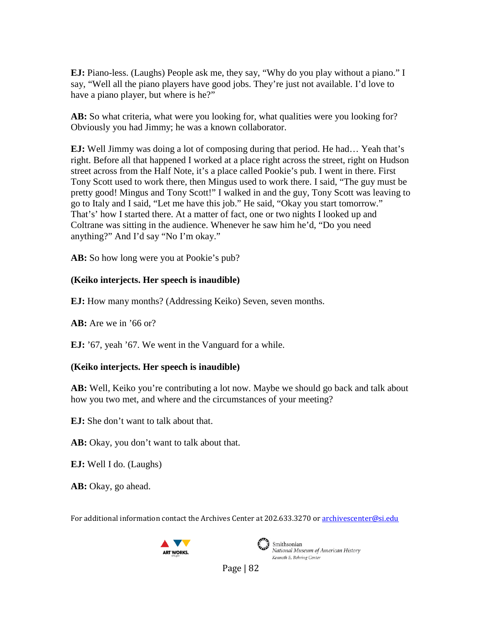**EJ:** Piano-less. (Laughs) People ask me, they say, "Why do you play without a piano." I say, "Well all the piano players have good jobs. They're just not available. I'd love to have a piano player, but where is he?"

AB: So what criteria, what were you looking for, what qualities were you looking for? Obviously you had Jimmy; he was a known collaborator.

**EJ:** Well Jimmy was doing a lot of composing during that period. He had… Yeah that's right. Before all that happened I worked at a place right across the street, right on Hudson street across from the Half Note, it's a place called Pookie's pub. I went in there. First Tony Scott used to work there, then Mingus used to work there. I said, "The guy must be pretty good! Mingus and Tony Scott!" I walked in and the guy, Tony Scott was leaving to go to Italy and I said, "Let me have this job." He said, "Okay you start tomorrow." That's' how I started there. At a matter of fact, one or two nights I looked up and Coltrane was sitting in the audience. Whenever he saw him he'd, "Do you need anything?" And I'd say "No I'm okay."

**AB:** So how long were you at Pookie's pub?

#### **(Keiko interjects. Her speech is inaudible)**

**EJ:** How many months? (Addressing Keiko) Seven, seven months.

**AB:** Are we in '66 or?

**EJ:** '67, yeah '67. We went in the Vanguard for a while.

### **(Keiko interjects. Her speech is inaudible)**

**AB:** Well, Keiko you're contributing a lot now. Maybe we should go back and talk about how you two met, and where and the circumstances of your meeting?

**EJ:** She don't want to talk about that.

**AB:** Okay, you don't want to talk about that.

**EJ:** Well I do. (Laughs)

**AB:** Okay, go ahead.

For additional information contact the Archives Center at 202.633.3270 o[r archivescenter@si.edu](mailto:archivescenter@si.edu)





Smithsonian National Museum of American History Kenneth E. Behring Center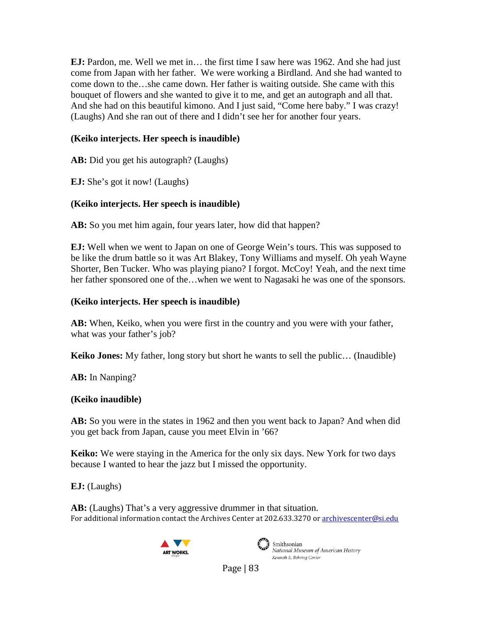**EJ:** Pardon, me. Well we met in… the first time I saw here was 1962. And she had just come from Japan with her father. We were working a Birdland. And she had wanted to come down to the…she came down. Her father is waiting outside. She came with this bouquet of flowers and she wanted to give it to me, and get an autograph and all that. And she had on this beautiful kimono. And I just said, "Come here baby." I was crazy! (Laughs) And she ran out of there and I didn't see her for another four years.

## **(Keiko interjects. Her speech is inaudible)**

**AB:** Did you get his autograph? (Laughs)

**EJ:** She's got it now! (Laughs)

# **(Keiko interjects. Her speech is inaudible)**

AB: So you met him again, four years later, how did that happen?

**EJ:** Well when we went to Japan on one of George Wein's tours. This was supposed to be like the drum battle so it was Art Blakey, Tony Williams and myself. Oh yeah Wayne Shorter, Ben Tucker. Who was playing piano? I forgot. McCoy! Yeah, and the next time her father sponsored one of the…when we went to Nagasaki he was one of the sponsors.

### **(Keiko interjects. Her speech is inaudible)**

**AB:** When, Keiko, when you were first in the country and you were with your father, what was your father's job?

**Keiko Jones:** My father, long story but short he wants to sell the public… (Inaudible)

**AB:** In Nanping?

### **(Keiko inaudible)**

**AB:** So you were in the states in 1962 and then you went back to Japan? And when did you get back from Japan, cause you meet Elvin in '66?

**Keiko:** We were staying in the America for the only six days. New York for two days because I wanted to hear the jazz but I missed the opportunity.

**EJ:** (Laughs)

For additional information contact the Archives Center at 202.633.3270 o[r archivescenter@si.edu](mailto:archivescenter@si.edu) **AB:** (Laughs) That's a very aggressive drummer in that situation.





Smithsonian National Museum of American History Kenneth E. Behring Center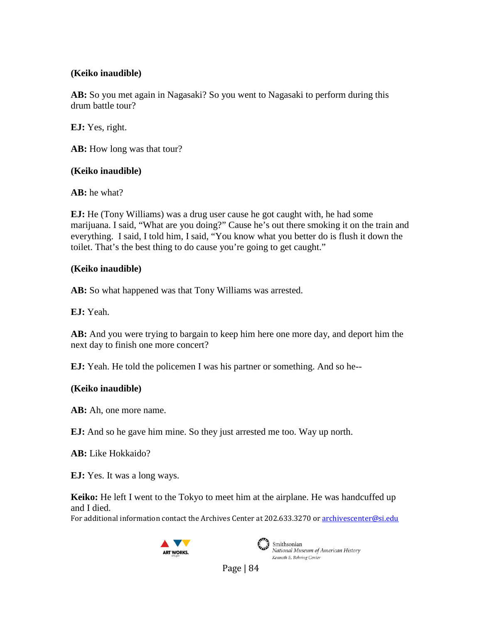### **(Keiko inaudible)**

**AB:** So you met again in Nagasaki? So you went to Nagasaki to perform during this drum battle tour?

**EJ:** Yes, right.

**AB:** How long was that tour?

### **(Keiko inaudible)**

**AB:** he what?

**EJ:** He (Tony Williams) was a drug user cause he got caught with, he had some marijuana. I said, "What are you doing?" Cause he's out there smoking it on the train and everything. I said, I told him, I said, "You know what you better do is flush it down the toilet. That's the best thing to do cause you're going to get caught."

# **(Keiko inaudible)**

**AB:** So what happened was that Tony Williams was arrested.

**EJ:** Yeah.

**AB:** And you were trying to bargain to keep him here one more day, and deport him the next day to finish one more concert?

**EJ:** Yeah. He told the policemen I was his partner or something. And so he--

# **(Keiko inaudible)**

**AB:** Ah, one more name.

**EJ:** And so he gave him mine. So they just arrested me too. Way up north.

**AB:** Like Hokkaido?

**EJ:** Yes. It was a long ways.

**Keiko:** He left I went to the Tokyo to meet him at the airplane. He was handcuffed up and I died.

For additional information contact the Archives Center at 202.633.3270 o[r archivescenter@si.edu](mailto:archivescenter@si.edu)





Smithsonian<br>National Museum of American History Kenneth E. Behring Center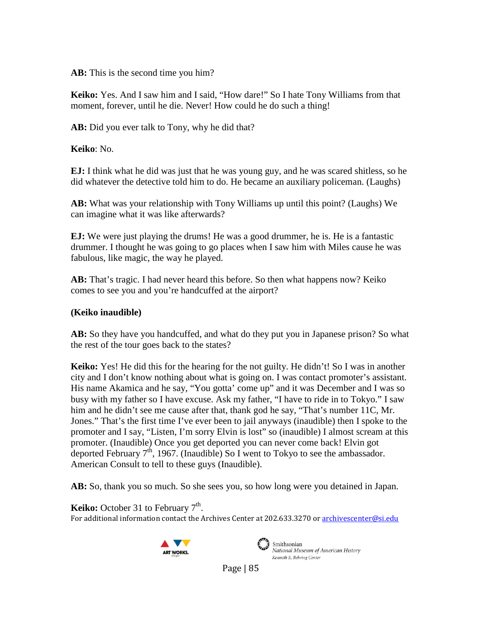**AB:** This is the second time you him?

**Keiko:** Yes. And I saw him and I said, "How dare!" So I hate Tony Williams from that moment, forever, until he die. Never! How could he do such a thing!

**AB:** Did you ever talk to Tony, why he did that?

**Keiko**: No.

**EJ:** I think what he did was just that he was young guy, and he was scared shitless, so he did whatever the detective told him to do. He became an auxiliary policeman. (Laughs)

**AB:** What was your relationship with Tony Williams up until this point? (Laughs) We can imagine what it was like afterwards?

**EJ:** We were just playing the drums! He was a good drummer, he is. He is a fantastic drummer. I thought he was going to go places when I saw him with Miles cause he was fabulous, like magic, the way he played.

**AB:** That's tragic. I had never heard this before. So then what happens now? Keiko comes to see you and you're handcuffed at the airport?

### **(Keiko inaudible)**

**AB:** So they have you handcuffed, and what do they put you in Japanese prison? So what the rest of the tour goes back to the states?

**Keiko:** Yes! He did this for the hearing for the not guilty. He didn't! So I was in another city and I don't know nothing about what is going on. I was contact promoter's assistant. His name Akamica and he say, "You gotta' come up" and it was December and I was so busy with my father so I have excuse. Ask my father, "I have to ride in to Tokyo." I saw him and he didn't see me cause after that, thank god he say, "That's number 11C, Mr. Jones." That's the first time I've ever been to jail anyways (inaudible) then I spoke to the promoter and I say, "Listen, I'm sorry Elvin is lost" so (inaudible) I almost scream at this promoter. (Inaudible) Once you get deported you can never come back! Elvin got deported February  $7<sup>th</sup>$ , 1967. (Inaudible) So I went to Tokyo to see the ambassador. American Consult to tell to these guys (Inaudible).

**AB:** So, thank you so much. So she sees you, so how long were you detained in Japan.

For additional information contact the Archives Center at 202.633.3270 o[r archivescenter@si.edu](mailto:archivescenter@si.edu) **Keiko:** October 31 to February  $7<sup>th</sup>$ .





 $\mathcal{L}$  Smithsonian National Museum of American History Kenneth E. Behring Center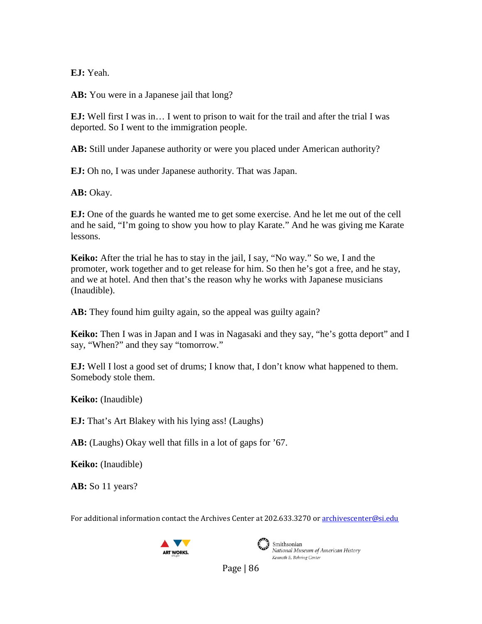**EJ:** Yeah.

**AB:** You were in a Japanese jail that long?

**EJ:** Well first I was in… I went to prison to wait for the trail and after the trial I was deported. So I went to the immigration people.

**AB:** Still under Japanese authority or were you placed under American authority?

**EJ:** Oh no, I was under Japanese authority. That was Japan.

**AB:** Okay.

**EJ:** One of the guards he wanted me to get some exercise. And he let me out of the cell and he said, "I'm going to show you how to play Karate." And he was giving me Karate lessons.

**Keiko:** After the trial he has to stay in the jail, I say, "No way." So we, I and the promoter, work together and to get release for him. So then he's got a free, and he stay, and we at hotel. And then that's the reason why he works with Japanese musicians (Inaudible).

AB: They found him guilty again, so the appeal was guilty again?

**Keiko:** Then I was in Japan and I was in Nagasaki and they say, "he's gotta deport" and I say, "When?" and they say "tomorrow."

**EJ:** Well I lost a good set of drums; I know that, I don't know what happened to them. Somebody stole them.

**Keiko:** (Inaudible)

**EJ:** That's Art Blakey with his lying ass! (Laughs)

**AB:** (Laughs) Okay well that fills in a lot of gaps for '67.

**Keiko:** (Inaudible)

**AB:** So 11 years?

For additional information contact the Archives Center at 202.633.3270 o[r archivescenter@si.edu](mailto:archivescenter@si.edu)





Smithsonian National Museum of American History Kenneth E. Behring Center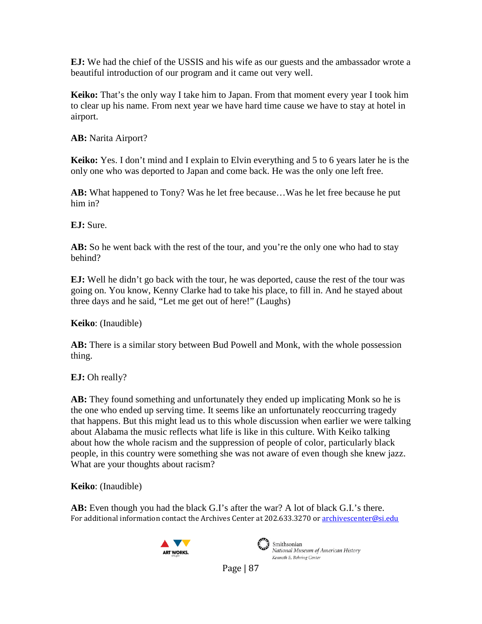**EJ:** We had the chief of the USSIS and his wife as our guests and the ambassador wrote a beautiful introduction of our program and it came out very well.

**Keiko:** That's the only way I take him to Japan. From that moment every year I took him to clear up his name. From next year we have hard time cause we have to stay at hotel in airport.

**AB:** Narita Airport?

**Keiko:** Yes. I don't mind and I explain to Elvin everything and 5 to 6 years later he is the only one who was deported to Japan and come back. He was the only one left free.

**AB:** What happened to Tony? Was he let free because…Was he let free because he put him in?

**EJ:** Sure.

AB: So he went back with the rest of the tour, and you're the only one who had to stay behind?

**EJ:** Well he didn't go back with the tour, he was deported, cause the rest of the tour was going on. You know, Kenny Clarke had to take his place, to fill in. And he stayed about three days and he said, "Let me get out of here!" (Laughs)

**Keiko**: (Inaudible)

**AB:** There is a similar story between Bud Powell and Monk, with the whole possession thing.

**EJ:** Oh really?

**AB:** They found something and unfortunately they ended up implicating Monk so he is the one who ended up serving time. It seems like an unfortunately reoccurring tragedy that happens. But this might lead us to this whole discussion when earlier we were talking about Alabama the music reflects what life is like in this culture. With Keiko talking about how the whole racism and the suppression of people of color, particularly black people, in this country were something she was not aware of even though she knew jazz. What are your thoughts about racism?

**Keiko**: (Inaudible)

For additional information contact the Archives Center at 202.633.3270 o[r archivescenter@si.edu](mailto:archivescenter@si.edu) **AB:** Even though you had the black G.I's after the war? A lot of black G.I.'s there.





National Museum of American History Kenneth E. Behring Center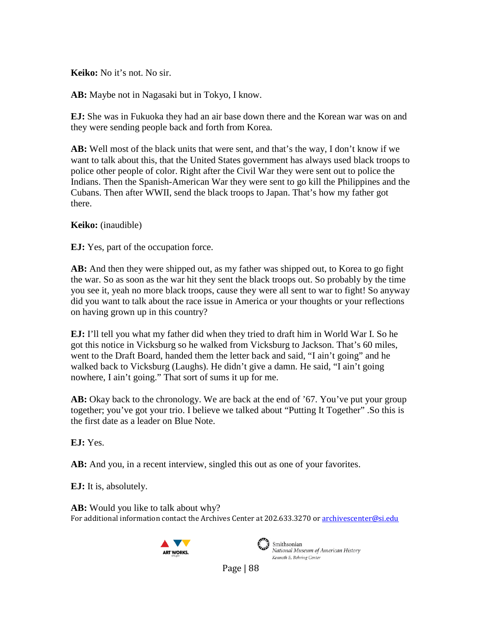**Keiko:** No it's not. No sir.

**AB:** Maybe not in Nagasaki but in Tokyo, I know.

**EJ:** She was in Fukuoka they had an air base down there and the Korean war was on and they were sending people back and forth from Korea.

**AB:** Well most of the black units that were sent, and that's the way, I don't know if we want to talk about this, that the United States government has always used black troops to police other people of color. Right after the Civil War they were sent out to police the Indians. Then the Spanish-American War they were sent to go kill the Philippines and the Cubans. Then after WWII, send the black troops to Japan. That's how my father got there.

**Keiko:** (inaudible)

**EJ:** Yes, part of the occupation force.

**AB:** And then they were shipped out, as my father was shipped out, to Korea to go fight the war. So as soon as the war hit they sent the black troops out. So probably by the time you see it, yeah no more black troops, cause they were all sent to war to fight! So anyway did you want to talk about the race issue in America or your thoughts or your reflections on having grown up in this country?

**EJ:** I'll tell you what my father did when they tried to draft him in World War I. So he got this notice in Vicksburg so he walked from Vicksburg to Jackson. That's 60 miles, went to the Draft Board, handed them the letter back and said, "I ain't going" and he walked back to Vicksburg (Laughs). He didn't give a damn. He said, "I ain't going nowhere, I ain't going." That sort of sums it up for me.

**AB:** Okay back to the chronology. We are back at the end of '67. You've put your group together; you've got your trio. I believe we talked about "Putting It Together" .So this is the first date as a leader on Blue Note.

**EJ:** Yes.

**AB:** And you, in a recent interview, singled this out as one of your favorites.

**EJ:** It is, absolutely.

For additional information contact the Archives Center at 202.633.3270 o[r archivescenter@si.edu](mailto:archivescenter@si.edu) **AB:** Would you like to talk about why?





Smithsonian National Museum of American History Kenneth E. Behring Center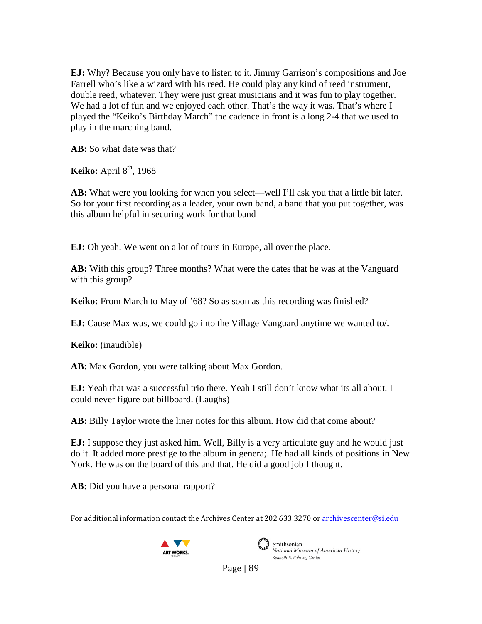**EJ:** Why? Because you only have to listen to it. Jimmy Garrison's compositions and Joe Farrell who's like a wizard with his reed. He could play any kind of reed instrument, double reed, whatever. They were just great musicians and it was fun to play together. We had a lot of fun and we enjoyed each other. That's the way it was. That's where I played the "Keiko's Birthday March" the cadence in front is a long 2-4 that we used to play in the marching band.

**AB:** So what date was that?

**Keiko:** April 8<sup>th</sup>, 1968

AB: What were you looking for when you select—well I'll ask you that a little bit later. So for your first recording as a leader, your own band, a band that you put together, was this album helpful in securing work for that band

**EJ:** Oh yeah. We went on a lot of tours in Europe, all over the place.

**AB:** With this group? Three months? What were the dates that he was at the Vanguard with this group?

**Keiko:** From March to May of '68? So as soon as this recording was finished?

**EJ:** Cause Max was, we could go into the Village Vanguard anytime we wanted to/.

**Keiko:** (inaudible)

**AB:** Max Gordon, you were talking about Max Gordon.

**EJ:** Yeah that was a successful trio there. Yeah I still don't know what its all about. I could never figure out billboard. (Laughs)

**AB:** Billy Taylor wrote the liner notes for this album. How did that come about?

**EJ:** I suppose they just asked him. Well, Billy is a very articulate guy and he would just do it. It added more prestige to the album in genera;. He had all kinds of positions in New York. He was on the board of this and that. He did a good job I thought.

**AB:** Did you have a personal rapport?

For additional information contact the Archives Center at 202.633.3270 o[r archivescenter@si.edu](mailto:archivescenter@si.edu)





Smithsonian National Museum of American History Kenneth E. Behring Center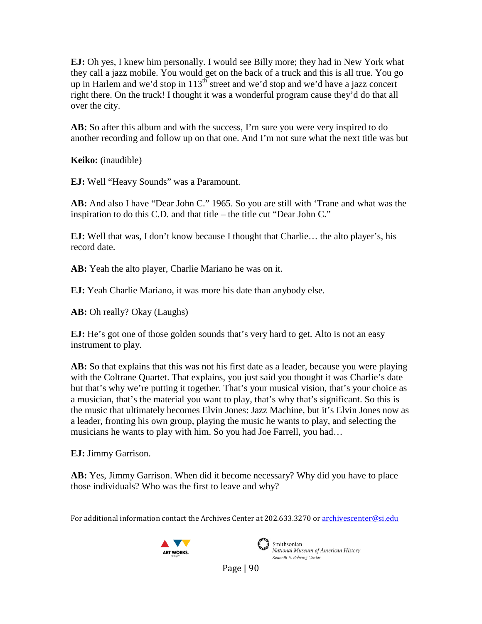**EJ:** Oh yes, I knew him personally. I would see Billy more; they had in New York what they call a jazz mobile. You would get on the back of a truck and this is all true. You go up in Harlem and we'd stop in 113<sup>th</sup> street and we'd stop and we'd have a jazz concert right there. On the truck! I thought it was a wonderful program cause they'd do that all over the city.

AB: So after this album and with the success, I'm sure you were very inspired to do another recording and follow up on that one. And I'm not sure what the next title was but

**Keiko:** (inaudible)

**EJ:** Well "Heavy Sounds" was a Paramount.

**AB:** And also I have "Dear John C." 1965. So you are still with 'Trane and what was the inspiration to do this C.D. and that title – the title cut "Dear John C."

**EJ:** Well that was, I don't know because I thought that Charlie… the alto player's, his record date.

**AB:** Yeah the alto player, Charlie Mariano he was on it.

**EJ:** Yeah Charlie Mariano, it was more his date than anybody else.

**AB:** Oh really? Okay (Laughs)

**EJ:** He's got one of those golden sounds that's very hard to get. Alto is not an easy instrument to play.

**AB:** So that explains that this was not his first date as a leader, because you were playing with the Coltrane Quartet. That explains, you just said you thought it was Charlie's date but that's why we're putting it together. That's your musical vision, that's your choice as a musician, that's the material you want to play, that's why that's significant. So this is the music that ultimately becomes Elvin Jones: Jazz Machine, but it's Elvin Jones now as a leader, fronting his own group, playing the music he wants to play, and selecting the musicians he wants to play with him. So you had Joe Farrell, you had…

**EJ:** Jimmy Garrison.

**AB:** Yes, Jimmy Garrison. When did it become necessary? Why did you have to place those individuals? Who was the first to leave and why?

For additional information contact the Archives Center at 202.633.3270 o[r archivescenter@si.edu](mailto:archivescenter@si.edu)





Smithsonian National Museum of American History Kenneth E. Behring Center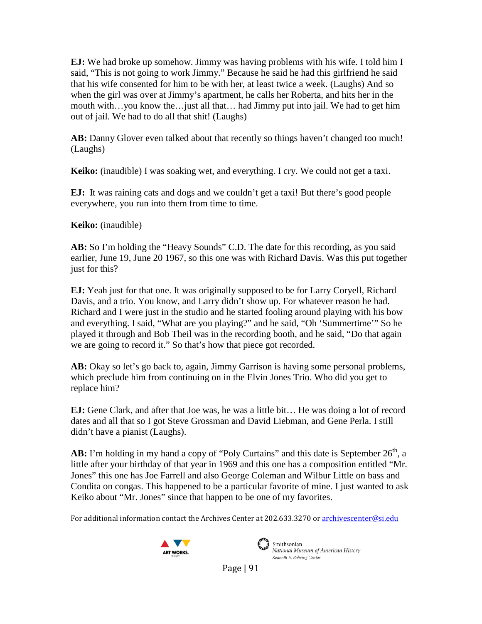**EJ:** We had broke up somehow. Jimmy was having problems with his wife. I told him I said, "This is not going to work Jimmy." Because he said he had this girlfriend he said that his wife consented for him to be with her, at least twice a week. (Laughs) And so when the girl was over at Jimmy's apartment, he calls her Roberta, and hits her in the mouth with…you know the…just all that… had Jimmy put into jail. We had to get him out of jail. We had to do all that shit! (Laughs)

**AB:** Danny Glover even talked about that recently so things haven't changed too much! (Laughs)

**Keiko:** (inaudible) I was soaking wet, and everything. I cry. We could not get a taxi.

**EJ:** It was raining cats and dogs and we couldn't get a taxi! But there's good people everywhere, you run into them from time to time.

**Keiko:** (inaudible)

**AB:** So I'm holding the "Heavy Sounds" C.D. The date for this recording, as you said earlier, June 19, June 20 1967, so this one was with Richard Davis. Was this put together just for this?

**EJ:** Yeah just for that one. It was originally supposed to be for Larry Coryell, Richard Davis, and a trio. You know, and Larry didn't show up. For whatever reason he had. Richard and I were just in the studio and he started fooling around playing with his bow and everything. I said, "What are you playing?" and he said, "Oh 'Summertime'" So he played it through and Bob Theil was in the recording booth, and he said, "Do that again we are going to record it." So that's how that piece got recorded.

**AB:** Okay so let's go back to, again, Jimmy Garrison is having some personal problems, which preclude him from continuing on in the Elvin Jones Trio. Who did you get to replace him?

**EJ:** Gene Clark, and after that Joe was, he was a little bit… He was doing a lot of record dates and all that so I got Steve Grossman and David Liebman, and Gene Perla. I still didn't have a pianist (Laughs).

AB: I'm holding in my hand a copy of "Poly Curtains" and this date is September 26<sup>th</sup>, a little after your birthday of that year in 1969 and this one has a composition entitled "Mr. Jones" this one has Joe Farrell and also George Coleman and Wilbur Little on bass and Condita on congas. This happened to be a particular favorite of mine. I just wanted to ask Keiko about "Mr. Jones" since that happen to be one of my favorites.

For additional information contact the Archives Center at 202.633.3270 o[r archivescenter@si.edu](mailto:archivescenter@si.edu)





Smithsonian National Museum of American History Kenneth E. Behring Center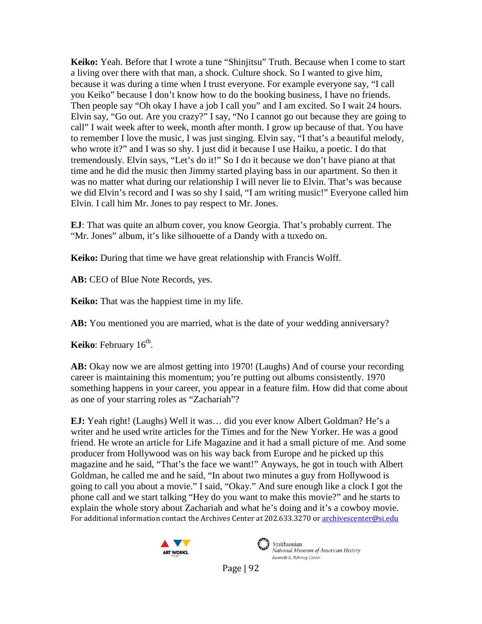**Keiko:** Yeah. Before that I wrote a tune "Shinjitsu" Truth. Because when I come to start a living over there with that man, a shock. Culture shock. So I wanted to give him, because it was during a time when I trust everyone. For example everyone say, "I call you Keiko" because I don't know how to do the booking business, I have no friends. Then people say "Oh okay I have a job I call you" and I am excited. So I wait 24 hours. Elvin say, "Go out. Are you crazy?" I say, "No I cannot go out because they are going to call" I wait week after to week, month after month. I grow up because of that. You have to remember I love the music, I was just singing. Elvin say, "I that's a beautiful melody, who wrote it?" and I was so shy. I just did it because I use Haiku, a poetic. I do that tremendously. Elvin says, "Let's do it!" So I do it because we don't have piano at that time and he did the music then Jimmy started playing bass in our apartment. So then it was no matter what during our relationship I will never lie to Elvin. That's was because we did Elvin's record and I was so shy I said, "I am writing music!" Everyone called him Elvin. I call him Mr. Jones to pay respect to Mr. Jones.

**EJ**: That was quite an album cover, you know Georgia. That's probably current. The "Mr. Jones" album, it's like silhouette of a Dandy with a tuxedo on.

**Keiko:** During that time we have great relationship with Francis Wolff.

**AB:** CEO of Blue Note Records, yes.

**Keiko:** That was the happiest time in my life.

**AB:** You mentioned you are married, what is the date of your wedding anniversary?

**Keiko**: February 16<sup>th</sup>.

**AB:** Okay now we are almost getting into 1970! (Laughs) And of course your recording career is maintaining this momentum; you're putting out albums consistently. 1970 something happens in your career, you appear in a feature film. How did that come about as one of your starring roles as "Zachariah"?

For additional information contact the Archives Center at 202.633.3270 o[r archivescenter@si.edu](mailto:archivescenter@si.edu) **EJ:** Yeah right! (Laughs) Well it was… did you ever know Albert Goldman? He's a writer and he used write articles for the Times and for the New Yorker. He was a good friend. He wrote an article for Life Magazine and it had a small picture of me. And some producer from Hollywood was on his way back from Europe and he picked up this magazine and he said, "That's the face we want!" Anyways, he got in touch with Albert Goldman, he called me and he said, "In about two minutes a guy from Hollywood is going to call you about a movie." I said, "Okay." And sure enough like a clock I got the phone call and we start talking "Hey do you want to make this movie?" and he starts to explain the whole story about Zachariah and what he's doing and it's a cowboy movie.





Smithsonian National Museum of American History Kenneth E. Behring Center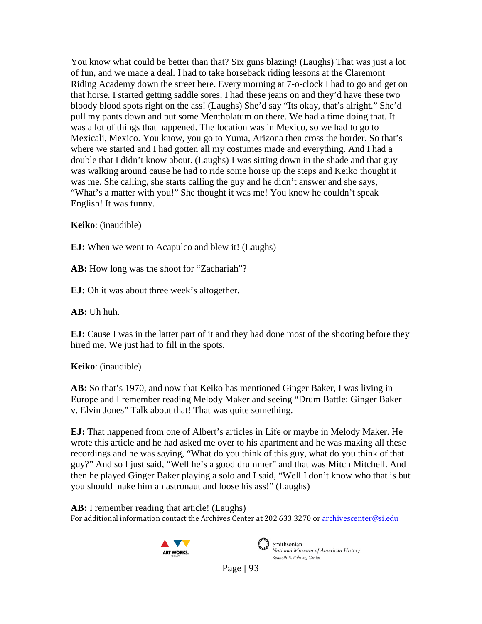You know what could be better than that? Six guns blazing! (Laughs) That was just a lot of fun, and we made a deal. I had to take horseback riding lessons at the Claremont Riding Academy down the street here. Every morning at 7-o-clock I had to go and get on that horse. I started getting saddle sores. I had these jeans on and they'd have these two bloody blood spots right on the ass! (Laughs) She'd say "Its okay, that's alright." She'd pull my pants down and put some Mentholatum on there. We had a time doing that. It was a lot of things that happened. The location was in Mexico, so we had to go to Mexicali, Mexico. You know, you go to Yuma, Arizona then cross the border. So that's where we started and I had gotten all my costumes made and everything. And I had a double that I didn't know about. (Laughs) I was sitting down in the shade and that guy was walking around cause he had to ride some horse up the steps and Keiko thought it was me. She calling, she starts calling the guy and he didn't answer and she says, "What's a matter with you!" She thought it was me! You know he couldn't speak English! It was funny.

**Keiko**: (inaudible)

**EJ:** When we went to Acapulco and blew it! (Laughs)

**AB:** How long was the shoot for "Zachariah"?

**EJ:** Oh it was about three week's altogether.

**AB:** Uh huh.

**EJ:** Cause I was in the latter part of it and they had done most of the shooting before they hired me. We just had to fill in the spots.

**Keiko**: (inaudible)

**AB:** So that's 1970, and now that Keiko has mentioned Ginger Baker, I was living in Europe and I remember reading Melody Maker and seeing "Drum Battle: Ginger Baker v. Elvin Jones" Talk about that! That was quite something.

**EJ:** That happened from one of Albert's articles in Life or maybe in Melody Maker. He wrote this article and he had asked me over to his apartment and he was making all these recordings and he was saying, "What do you think of this guy, what do you think of that guy?" And so I just said, "Well he's a good drummer" and that was Mitch Mitchell. And then he played Ginger Baker playing a solo and I said, "Well I don't know who that is but you should make him an astronaut and loose his ass!" (Laughs)

For additional information contact the Archives Center at 202.633.3270 o[r archivescenter@si.edu](mailto:archivescenter@si.edu) **AB:** I remember reading that article! (Laughs)





Smithsonian National Museum of American History Kenneth E. Behring Center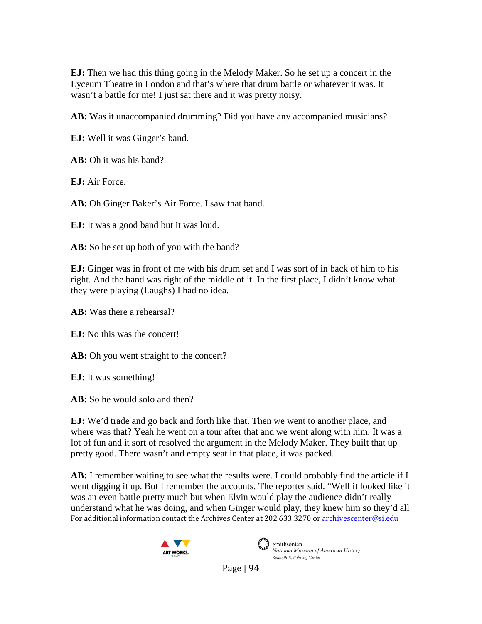**EJ:** Then we had this thing going in the Melody Maker. So he set up a concert in the Lyceum Theatre in London and that's where that drum battle or whatever it was. It wasn't a battle for me! I just sat there and it was pretty noisy.

**AB:** Was it unaccompanied drumming? Did you have any accompanied musicians?

**EJ:** Well it was Ginger's band.

**AB:** Oh it was his band?

**EJ:** Air Force.

**AB:** Oh Ginger Baker's Air Force. I saw that band.

**EJ:** It was a good band but it was loud.

**AB:** So he set up both of you with the band?

**EJ:** Ginger was in front of me with his drum set and I was sort of in back of him to his right. And the band was right of the middle of it. In the first place, I didn't know what they were playing (Laughs) I had no idea.

**AB:** Was there a rehearsal?

**EJ:** No this was the concert!

**AB:** Oh you went straight to the concert?

**EJ:** It was something!

**AB:** So he would solo and then?

**EJ:** We'd trade and go back and forth like that. Then we went to another place, and where was that? Yeah he went on a tour after that and we went along with him. It was a lot of fun and it sort of resolved the argument in the Melody Maker. They built that up pretty good. There wasn't and empty seat in that place, it was packed.

For additional information contact the Archives Center at 202.633.3270 o[r archivescenter@si.edu](mailto:archivescenter@si.edu) **AB:** I remember waiting to see what the results were. I could probably find the article if I went digging it up. But I remember the accounts. The reporter said. "Well it looked like it was an even battle pretty much but when Elvin would play the audience didn't really understand what he was doing, and when Ginger would play, they knew him so they'd all





Smithsonian<br>National Museum of American History Kenneth E. Behring Center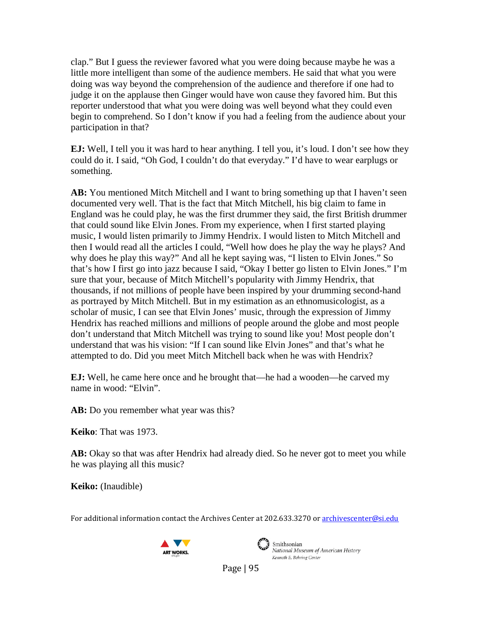clap." But I guess the reviewer favored what you were doing because maybe he was a little more intelligent than some of the audience members. He said that what you were doing was way beyond the comprehension of the audience and therefore if one had to judge it on the applause then Ginger would have won cause they favored him. But this reporter understood that what you were doing was well beyond what they could even begin to comprehend. So I don't know if you had a feeling from the audience about your participation in that?

**EJ:** Well, I tell you it was hard to hear anything. I tell you, it's loud. I don't see how they could do it. I said, "Oh God, I couldn't do that everyday." I'd have to wear earplugs or something.

**AB:** You mentioned Mitch Mitchell and I want to bring something up that I haven't seen documented very well. That is the fact that Mitch Mitchell, his big claim to fame in England was he could play, he was the first drummer they said, the first British drummer that could sound like Elvin Jones. From my experience, when I first started playing music, I would listen primarily to Jimmy Hendrix. I would listen to Mitch Mitchell and then I would read all the articles I could, "Well how does he play the way he plays? And why does he play this way?" And all he kept saying was, "I listen to Elvin Jones." So that's how I first go into jazz because I said, "Okay I better go listen to Elvin Jones." I'm sure that your, because of Mitch Mitchell's popularity with Jimmy Hendrix, that thousands, if not millions of people have been inspired by your drumming second-hand as portrayed by Mitch Mitchell. But in my estimation as an ethnomusicologist, as a scholar of music, I can see that Elvin Jones' music, through the expression of Jimmy Hendrix has reached millions and millions of people around the globe and most people don't understand that Mitch Mitchell was trying to sound like you! Most people don't understand that was his vision: "If I can sound like Elvin Jones" and that's what he attempted to do. Did you meet Mitch Mitchell back when he was with Hendrix?

**EJ:** Well, he came here once and he brought that—he had a wooden—he carved my name in wood: "Elvin".

**AB:** Do you remember what year was this?

**Keiko**: That was 1973.

**AB:** Okay so that was after Hendrix had already died. So he never got to meet you while he was playing all this music?

**Keiko:** (Inaudible)

For additional information contact the Archives Center at 202.633.3270 o[r archivescenter@si.edu](mailto:archivescenter@si.edu)





Smithsonian National Museum of American History Kenneth E. Behring Center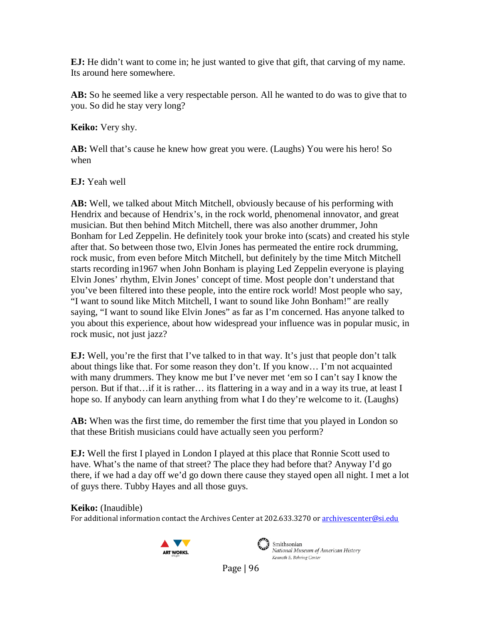**EJ:** He didn't want to come in; he just wanted to give that gift, that carving of my name. Its around here somewhere.

**AB:** So he seemed like a very respectable person. All he wanted to do was to give that to you. So did he stay very long?

**Keiko:** Very shy.

**AB:** Well that's cause he knew how great you were. (Laughs) You were his hero! So when

**EJ:** Yeah well

**AB:** Well, we talked about Mitch Mitchell, obviously because of his performing with Hendrix and because of Hendrix's, in the rock world, phenomenal innovator, and great musician. But then behind Mitch Mitchell, there was also another drummer, John Bonham for Led Zeppelin. He definitely took your broke into (scats) and created his style after that. So between those two, Elvin Jones has permeated the entire rock drumming, rock music, from even before Mitch Mitchell, but definitely by the time Mitch Mitchell starts recording in1967 when John Bonham is playing Led Zeppelin everyone is playing Elvin Jones' rhythm, Elvin Jones' concept of time. Most people don't understand that you've been filtered into these people, into the entire rock world! Most people who say, "I want to sound like Mitch Mitchell, I want to sound like John Bonham!" are really saying, "I want to sound like Elvin Jones" as far as I'm concerned. Has anyone talked to you about this experience, about how widespread your influence was in popular music, in rock music, not just jazz?

**EJ:** Well, you're the first that I've talked to in that way. It's just that people don't talk about things like that. For some reason they don't. If you know… I'm not acquainted with many drummers. They know me but I've never met 'em so I can't say I know the person. But if that…if it is rather… its flattering in a way and in a way its true, at least I hope so. If anybody can learn anything from what I do they're welcome to it. (Laughs)

**AB:** When was the first time, do remember the first time that you played in London so that these British musicians could have actually seen you perform?

**EJ:** Well the first I played in London I played at this place that Ronnie Scott used to have. What's the name of that street? The place they had before that? Anyway I'd go there, if we had a day off we'd go down there cause they stayed open all night. I met a lot of guys there. Tubby Hayes and all those guys.

#### **Keiko:** (Inaudible)

For additional information contact the Archives Center at 202.633.3270 o[r archivescenter@si.edu](mailto:archivescenter@si.edu)





Smithsonian National Museum of American History Kenneth E. Behring Center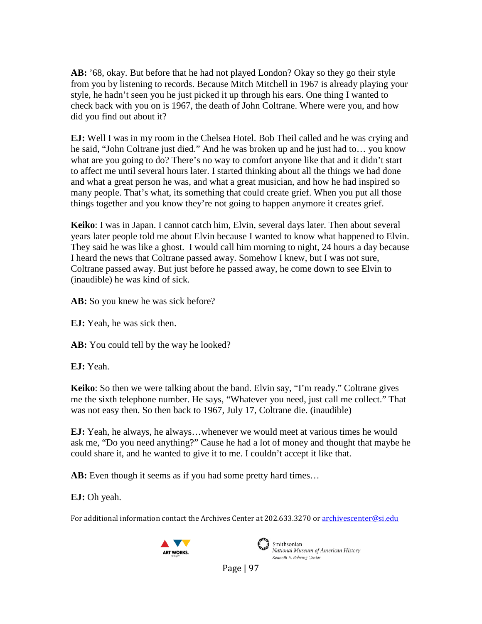**AB:** '68, okay. But before that he had not played London? Okay so they go their style from you by listening to records. Because Mitch Mitchell in 1967 is already playing your style, he hadn't seen you he just picked it up through his ears. One thing I wanted to check back with you on is 1967, the death of John Coltrane. Where were you, and how did you find out about it?

**EJ:** Well I was in my room in the Chelsea Hotel. Bob Theil called and he was crying and he said, "John Coltrane just died." And he was broken up and he just had to… you know what are you going to do? There's no way to comfort anyone like that and it didn't start to affect me until several hours later. I started thinking about all the things we had done and what a great person he was, and what a great musician, and how he had inspired so many people. That's what, its something that could create grief. When you put all those things together and you know they're not going to happen anymore it creates grief.

**Keiko**: I was in Japan. I cannot catch him, Elvin, several days later. Then about several years later people told me about Elvin because I wanted to know what happened to Elvin. They said he was like a ghost. I would call him morning to night, 24 hours a day because I heard the news that Coltrane passed away. Somehow I knew, but I was not sure, Coltrane passed away. But just before he passed away, he come down to see Elvin to (inaudible) he was kind of sick.

AB: So you knew he was sick before?

**EJ:** Yeah, he was sick then.

**AB:** You could tell by the way he looked?

**EJ:** Yeah.

**Keiko**: So then we were talking about the band. Elvin say, "I'm ready." Coltrane gives me the sixth telephone number. He says, "Whatever you need, just call me collect." That was not easy then. So then back to 1967, July 17, Coltrane die. (inaudible)

**EJ:** Yeah, he always, he always…whenever we would meet at various times he would ask me, "Do you need anything?" Cause he had a lot of money and thought that maybe he could share it, and he wanted to give it to me. I couldn't accept it like that.

**AB:** Even though it seems as if you had some pretty hard times…

**EJ:** Oh yeah.

For additional information contact the Archives Center at 202.633.3270 o[r archivescenter@si.edu](mailto:archivescenter@si.edu)





Smithsonian National Museum of American History Kenneth E. Behring Center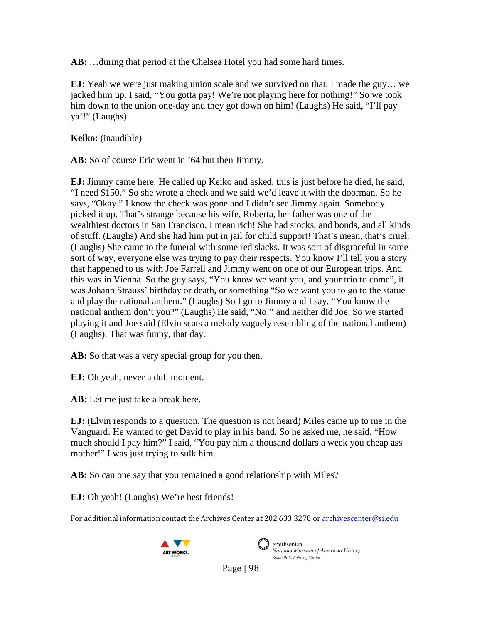**AB:** …during that period at the Chelsea Hotel you had some hard times.

**EJ:** Yeah we were just making union scale and we survived on that. I made the guy… we jacked him up. I said, "You gotta pay! We're not playing here for nothing!" So we took him down to the union one-day and they got down on him! (Laughs) He said, "I'll pay ya'!" (Laughs)

**Keiko:** (inaudible)

**AB:** So of course Eric went in '64 but then Jimmy.

**EJ:** Jimmy came here. He called up Keiko and asked, this is just before he died, he said, "I need \$150." So she wrote a check and we said we'd leave it with the doorman. So he says, "Okay." I know the check was gone and I didn't see Jimmy again. Somebody picked it up. That's strange because his wife, Roberta, her father was one of the wealthiest doctors in San Francisco, I mean rich! She had stocks, and bonds, and all kinds of stuff. (Laughs) And she had him put in jail for child support! That's mean, that's cruel. (Laughs) She came to the funeral with some red slacks. It was sort of disgraceful in some sort of way, everyone else was trying to pay their respects. You know I'll tell you a story that happened to us with Joe Farrell and Jimmy went on one of our European trips. And this was in Vienna. So the guy says, "You know we want you, and your trio to come", it was Johann Strauss' birthday or death, or something "So we want you to go to the statue and play the national anthem." (Laughs) So I go to Jimmy and I say, "You know the national anthem don't you?" (Laughs) He said, "No!" and neither did Joe. So we started playing it and Joe said (Elvin scats a melody vaguely resembling of the national anthem) (Laughs). That was funny, that day.

**AB:** So that was a very special group for you then.

**EJ:** Oh yeah, never a dull moment.

**AB:** Let me just take a break here.

**EJ:** (Elvin responds to a question. The question is not heard) Miles came up to me in the Vanguard. He wanted to get David to play in his band. So he asked me, he said, "How much should I pay him?" I said, "You pay him a thousand dollars a week you cheap ass mother!" I was just trying to sulk him.

**AB:** So can one say that you remained a good relationship with Miles?

**EJ:** Oh yeah! (Laughs) We're best friends!

For additional information contact the Archives Center at 202.633.3270 o[r archivescenter@si.edu](mailto:archivescenter@si.edu)





Smithsonian National Museum of American History Kenneth E. Behring Center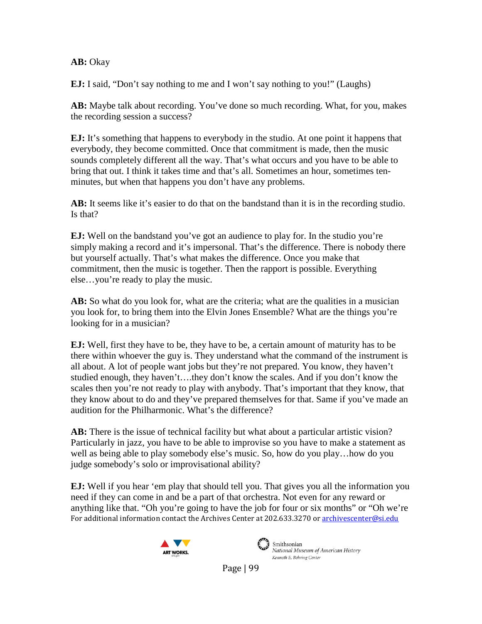#### **AB:** Okay

**EJ:** I said, "Don't say nothing to me and I won't say nothing to you!" (Laughs)

**AB:** Maybe talk about recording. You've done so much recording. What, for you, makes the recording session a success?

**EJ:** It's something that happens to everybody in the studio. At one point it happens that everybody, they become committed. Once that commitment is made, then the music sounds completely different all the way. That's what occurs and you have to be able to bring that out. I think it takes time and that's all. Sometimes an hour, sometimes tenminutes, but when that happens you don't have any problems.

**AB:** It seems like it's easier to do that on the bandstand than it is in the recording studio. Is that?

**EJ:** Well on the bandstand you've got an audience to play for. In the studio you're simply making a record and it's impersonal. That's the difference. There is nobody there but yourself actually. That's what makes the difference. Once you make that commitment, then the music is together. Then the rapport is possible. Everything else…you're ready to play the music.

**AB:** So what do you look for, what are the criteria; what are the qualities in a musician you look for, to bring them into the Elvin Jones Ensemble? What are the things you're looking for in a musician?

**EJ:** Well, first they have to be, they have to be, a certain amount of maturity has to be there within whoever the guy is. They understand what the command of the instrument is all about. A lot of people want jobs but they're not prepared. You know, they haven't studied enough, they haven't….they don't know the scales. And if you don't know the scales then you're not ready to play with anybody. That's important that they know, that they know about to do and they've prepared themselves for that. Same if you've made an audition for the Philharmonic. What's the difference?

**AB:** There is the issue of technical facility but what about a particular artistic vision? Particularly in jazz, you have to be able to improvise so you have to make a statement as well as being able to play somebody else's music. So, how do you play…how do you judge somebody's solo or improvisational ability?

For additional information contact the Archives Center at 202.633.3270 o[r archivescenter@si.edu](mailto:archivescenter@si.edu) **EJ:** Well if you hear 'em play that should tell you. That gives you all the information you need if they can come in and be a part of that orchestra. Not even for any reward or anything like that. "Oh you're going to have the job for four or six months" or "Oh we're





Smithsonian National Museum of American History Kenneth E. Behring Center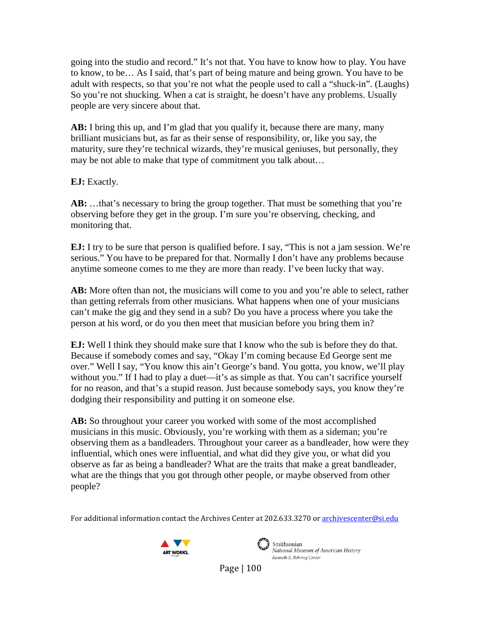going into the studio and record." It's not that. You have to know how to play. You have to know, to be… As I said, that's part of being mature and being grown. You have to be adult with respects, so that you're not what the people used to call a "shuck-in". (Laughs) So you're not shucking. When a cat is straight, he doesn't have any problems. Usually people are very sincere about that.

**AB:** I bring this up, and I'm glad that you qualify it, because there are many, many brilliant musicians but, as far as their sense of responsibility, or, like you say, the maturity, sure they're technical wizards, they're musical geniuses, but personally, they may be not able to make that type of commitment you talk about…

**EJ:** Exactly.

AB: ...that's necessary to bring the group together. That must be something that you're observing before they get in the group. I'm sure you're observing, checking, and monitoring that.

**EJ:** I try to be sure that person is qualified before. I say, "This is not a jam session. We're serious." You have to be prepared for that. Normally I don't have any problems because anytime someone comes to me they are more than ready. I've been lucky that way.

**AB:** More often than not, the musicians will come to you and you're able to select, rather than getting referrals from other musicians. What happens when one of your musicians can't make the gig and they send in a sub? Do you have a process where you take the person at his word, or do you then meet that musician before you bring them in?

**EJ:** Well I think they should make sure that I know who the sub is before they do that. Because if somebody comes and say, "Okay I'm coming because Ed George sent me over." Well I say, "You know this ain't George's band. You gotta, you know, we'll play without you." If I had to play a duet—it's as simple as that. You can't sacrifice yourself for no reason, and that's a stupid reason. Just because somebody says, you know they're dodging their responsibility and putting it on someone else.

**AB:** So throughout your career you worked with some of the most accomplished musicians in this music. Obviously, you're working with them as a sideman; you're observing them as a bandleaders. Throughout your career as a bandleader, how were they influential, which ones were influential, and what did they give you, or what did you observe as far as being a bandleader? What are the traits that make a great bandleader, what are the things that you got through other people, or maybe observed from other people?

For additional information contact the Archives Center at 202.633.3270 o[r archivescenter@si.edu](mailto:archivescenter@si.edu)





 $\sum_{i=1}^{\infty}$  Smithsonian National Museum of American History Kenneth E. Behring Center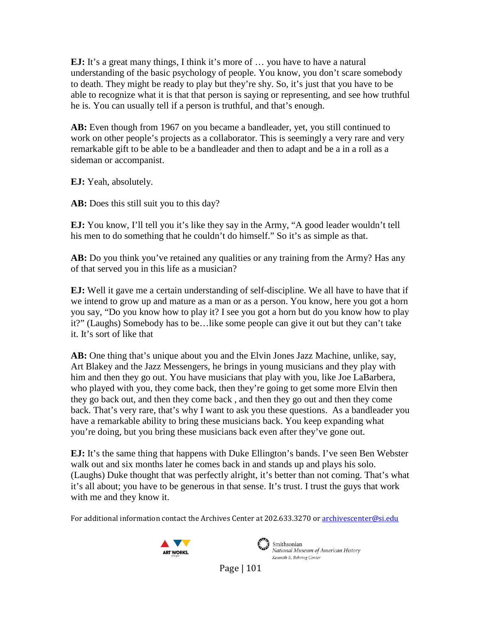**EJ:** It's a great many things, I think it's more of ... you have to have a natural understanding of the basic psychology of people. You know, you don't scare somebody to death. They might be ready to play but they're shy. So, it's just that you have to be able to recognize what it is that that person is saying or representing, and see how truthful he is. You can usually tell if a person is truthful, and that's enough.

**AB:** Even though from 1967 on you became a bandleader, yet, you still continued to work on other people's projects as a collaborator. This is seemingly a very rare and very remarkable gift to be able to be a bandleader and then to adapt and be a in a roll as a sideman or accompanist.

**EJ:** Yeah, absolutely.

**AB:** Does this still suit you to this day?

**EJ:** You know, I'll tell you it's like they say in the Army, "A good leader wouldn't tell his men to do something that he couldn't do himself." So it's as simple as that.

**AB:** Do you think you've retained any qualities or any training from the Army? Has any of that served you in this life as a musician?

**EJ:** Well it gave me a certain understanding of self-discipline. We all have to have that if we intend to grow up and mature as a man or as a person. You know, here you got a horn you say, "Do you know how to play it? I see you got a horn but do you know how to play it?" (Laughs) Somebody has to be…like some people can give it out but they can't take it. It's sort of like that

**AB:** One thing that's unique about you and the Elvin Jones Jazz Machine, unlike, say, Art Blakey and the Jazz Messengers, he brings in young musicians and they play with him and then they go out. You have musicians that play with you, like Joe LaBarbera, who played with you, they come back, then they're going to get some more Elvin then they go back out, and then they come back , and then they go out and then they come back. That's very rare, that's why I want to ask you these questions. As a bandleader you have a remarkable ability to bring these musicians back. You keep expanding what you're doing, but you bring these musicians back even after they've gone out.

**EJ:** It's the same thing that happens with Duke Ellington's bands. I've seen Ben Webster walk out and six months later he comes back in and stands up and plays his solo. (Laughs) Duke thought that was perfectly alright, it's better than not coming. That's what it's all about; you have to be generous in that sense. It's trust. I trust the guys that work with me and they know it.

For additional information contact the Archives Center at 202.633.3270 o[r archivescenter@si.edu](mailto:archivescenter@si.edu)





Smithsonian National Museum of American History Kenneth E. Behring Center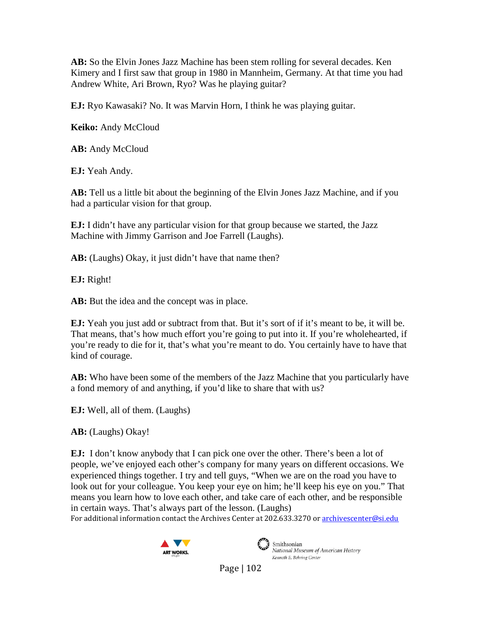**AB:** So the Elvin Jones Jazz Machine has been stem rolling for several decades. Ken Kimery and I first saw that group in 1980 in Mannheim, Germany. At that time you had Andrew White, Ari Brown, Ryo? Was he playing guitar?

**EJ:** Ryo Kawasaki? No. It was Marvin Horn, I think he was playing guitar.

**Keiko:** Andy McCloud

**AB:** Andy McCloud

**EJ:** Yeah Andy.

**AB:** Tell us a little bit about the beginning of the Elvin Jones Jazz Machine, and if you had a particular vision for that group.

**EJ:** I didn't have any particular vision for that group because we started, the Jazz Machine with Jimmy Garrison and Joe Farrell (Laughs).

**AB:** (Laughs) Okay, it just didn't have that name then?

**EJ:** Right!

**AB:** But the idea and the concept was in place.

**EJ:** Yeah you just add or subtract from that. But it's sort of if it's meant to be, it will be. That means, that's how much effort you're going to put into it. If you're wholehearted, if you're ready to die for it, that's what you're meant to do. You certainly have to have that kind of courage.

**AB:** Who have been some of the members of the Jazz Machine that you particularly have a fond memory of and anything, if you'd like to share that with us?

**EJ:** Well, all of them. (Laughs)

**AB:** (Laughs) Okay!

**EJ:** I don't know anybody that I can pick one over the other. There's been a lot of people, we've enjoyed each other's company for many years on different occasions. We experienced things together. I try and tell guys, "When we are on the road you have to look out for your colleague. You keep your eye on him; he'll keep his eye on you." That means you learn how to love each other, and take care of each other, and be responsible in certain ways. That's always part of the lesson. (Laughs)

For additional information contact the Archives Center at 202.633.3270 o[r archivescenter@si.edu](mailto:archivescenter@si.edu)





Smithsonian National Museum of American History Kenneth E. Behring Center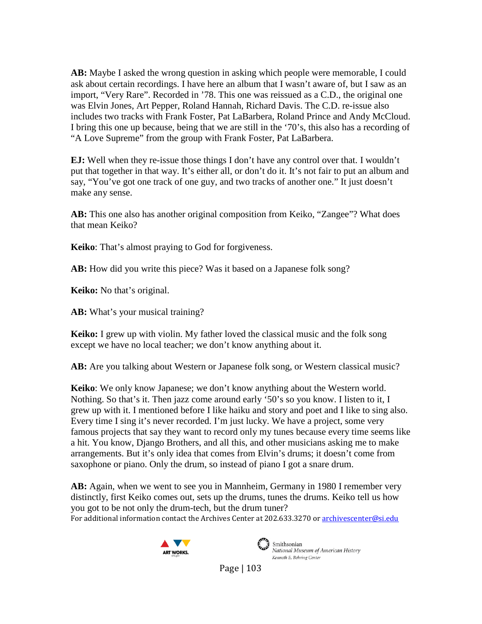**AB:** Maybe I asked the wrong question in asking which people were memorable, I could ask about certain recordings. I have here an album that I wasn't aware of, but I saw as an import, "Very Rare". Recorded in '78. This one was reissued as a C.D., the original one was Elvin Jones, Art Pepper, Roland Hannah, Richard Davis. The C.D. re-issue also includes two tracks with Frank Foster, Pat LaBarbera, Roland Prince and Andy McCloud. I bring this one up because, being that we are still in the '70's, this also has a recording of "A Love Supreme" from the group with Frank Foster, Pat LaBarbera.

**EJ:** Well when they re-issue those things I don't have any control over that. I wouldn't put that together in that way. It's either all, or don't do it. It's not fair to put an album and say, "You've got one track of one guy, and two tracks of another one." It just doesn't make any sense.

**AB:** This one also has another original composition from Keiko, "Zangee"? What does that mean Keiko?

**Keiko**: That's almost praying to God for forgiveness.

**AB:** How did you write this piece? Was it based on a Japanese folk song?

**Keiko:** No that's original.

**AB:** What's your musical training?

**Keiko:** I grew up with violin. My father loved the classical music and the folk song except we have no local teacher; we don't know anything about it.

**AB:** Are you talking about Western or Japanese folk song, or Western classical music?

**Keiko**: We only know Japanese; we don't know anything about the Western world. Nothing. So that's it. Then jazz come around early '50's so you know. I listen to it, I grew up with it. I mentioned before I like haiku and story and poet and I like to sing also. Every time I sing it's never recorded. I'm just lucky. We have a project, some very famous projects that say they want to record only my tunes because every time seems like a hit. You know, Django Brothers, and all this, and other musicians asking me to make arrangements. But it's only idea that comes from Elvin's drums; it doesn't come from saxophone or piano. Only the drum, so instead of piano I got a snare drum.

For additional information contact the Archives Center at 202.633.3270 o[r archivescenter@si.edu](mailto:archivescenter@si.edu) **AB:** Again, when we went to see you in Mannheim, Germany in 1980 I remember very distinctly, first Keiko comes out, sets up the drums, tunes the drums. Keiko tell us how you got to be not only the drum-tech, but the drum tuner?





Smithsonian<br>National Museum of American History Kenneth E. Behring Center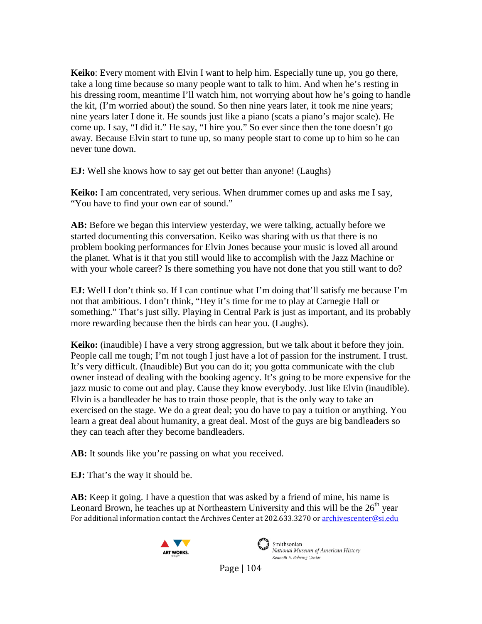**Keiko**: Every moment with Elvin I want to help him. Especially tune up, you go there, take a long time because so many people want to talk to him. And when he's resting in his dressing room, meantime I'll watch him, not worrying about how he's going to handle the kit, (I'm worried about) the sound. So then nine years later, it took me nine years; nine years later I done it. He sounds just like a piano (scats a piano's major scale). He come up. I say, "I did it." He say, "I hire you." So ever since then the tone doesn't go away. Because Elvin start to tune up, so many people start to come up to him so he can never tune down.

**EJ:** Well she knows how to say get out better than anyone! (Laughs)

**Keiko:** I am concentrated, very serious. When drummer comes up and asks me I say, "You have to find your own ear of sound."

**AB:** Before we began this interview yesterday, we were talking, actually before we started documenting this conversation. Keiko was sharing with us that there is no problem booking performances for Elvin Jones because your music is loved all around the planet. What is it that you still would like to accomplish with the Jazz Machine or with your whole career? Is there something you have not done that you still want to do?

**EJ:** Well I don't think so. If I can continue what I'm doing that'll satisfy me because I'm not that ambitious. I don't think, "Hey it's time for me to play at Carnegie Hall or something." That's just silly. Playing in Central Park is just as important, and its probably more rewarding because then the birds can hear you. (Laughs).

**Keiko:** (inaudible) I have a very strong aggression, but we talk about it before they join. People call me tough; I'm not tough I just have a lot of passion for the instrument. I trust. It's very difficult. (Inaudible) But you can do it; you gotta communicate with the club owner instead of dealing with the booking agency. It's going to be more expensive for the jazz music to come out and play. Cause they know everybody. Just like Elvin (inaudible). Elvin is a bandleader he has to train those people, that is the only way to take an exercised on the stage. We do a great deal; you do have to pay a tuition or anything. You learn a great deal about humanity, a great deal. Most of the guys are big bandleaders so they can teach after they become bandleaders.

AB: It sounds like you're passing on what you received.

**EJ:** That's the way it should be.

For additional information contact the Archives Center at 202.633.3270 o[r archivescenter@si.edu](mailto:archivescenter@si.edu) **AB:** Keep it going. I have a question that was asked by a friend of mine, his name is Leonard Brown, he teaches up at Northeastern University and this will be the  $26<sup>th</sup>$  year





Smithsonian National Museum of American History Kenneth E. Behring Center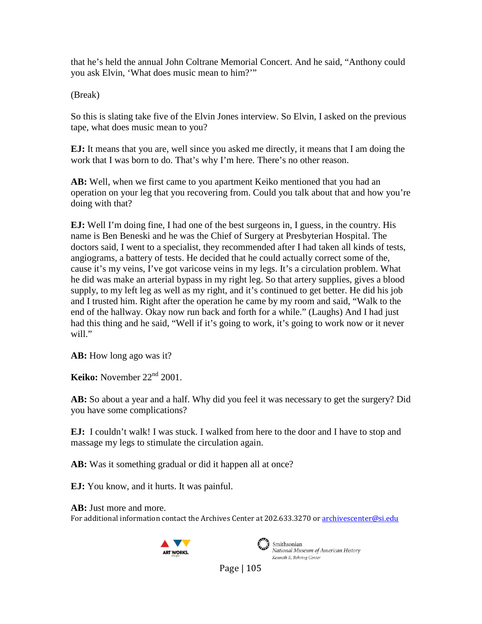that he's held the annual John Coltrane Memorial Concert. And he said, "Anthony could you ask Elvin, 'What does music mean to him?'"

(Break)

So this is slating take five of the Elvin Jones interview. So Elvin, I asked on the previous tape, what does music mean to you?

**EJ:** It means that you are, well since you asked me directly, it means that I am doing the work that I was born to do. That's why I'm here. There's no other reason.

**AB:** Well, when we first came to you apartment Keiko mentioned that you had an operation on your leg that you recovering from. Could you talk about that and how you're doing with that?

**EJ:** Well I'm doing fine, I had one of the best surgeons in, I guess, in the country. His name is Ben Beneski and he was the Chief of Surgery at Presbyterian Hospital. The doctors said, I went to a specialist, they recommended after I had taken all kinds of tests, angiograms, a battery of tests. He decided that he could actually correct some of the, cause it's my veins, I've got varicose veins in my legs. It's a circulation problem. What he did was make an arterial bypass in my right leg. So that artery supplies, gives a blood supply, to my left leg as well as my right, and it's continued to get better. He did his job and I trusted him. Right after the operation he came by my room and said, "Walk to the end of the hallway. Okay now run back and forth for a while." (Laughs) And I had just had this thing and he said, "Well if it's going to work, it's going to work now or it never will."

AB: How long ago was it?

**Keiko:** November 22<sup>nd</sup> 2001.

**AB:** So about a year and a half. Why did you feel it was necessary to get the surgery? Did you have some complications?

**EJ:** I couldn't walk! I was stuck. I walked from here to the door and I have to stop and massage my legs to stimulate the circulation again.

**AB:** Was it something gradual or did it happen all at once?

**EJ:** You know, and it hurts. It was painful.

For additional information contact the Archives Center at 202.633.3270 o[r archivescenter@si.edu](mailto:archivescenter@si.edu) **AB:** Just more and more.





Smithsonian National Museum of American History Kenneth E. Behring Center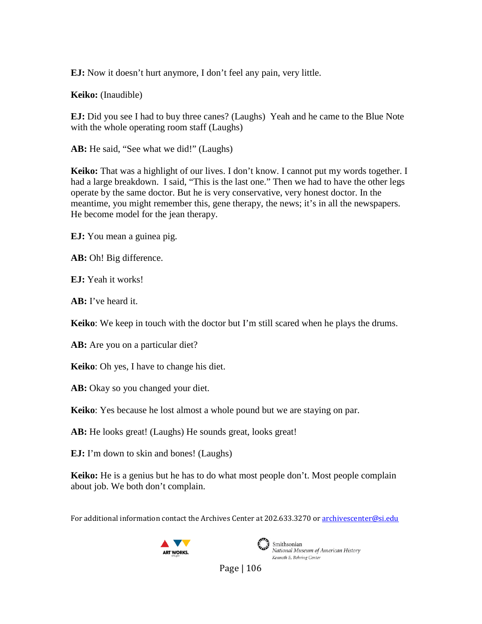**EJ:** Now it doesn't hurt anymore, I don't feel any pain, very little.

**Keiko:** (Inaudible)

**EJ:** Did you see I had to buy three canes? (Laughs) Yeah and he came to the Blue Note with the whole operating room staff (Laughs)

AB: He said, "See what we did!" (Laughs)

Keiko: That was a highlight of our lives. I don't know. I cannot put my words together. I had a large breakdown. I said, "This is the last one." Then we had to have the other legs operate by the same doctor. But he is very conservative, very honest doctor. In the meantime, you might remember this, gene therapy, the news; it's in all the newspapers. He become model for the jean therapy.

**EJ:** You mean a guinea pig.

**AB:** Oh! Big difference.

**EJ:** Yeah it works!

**AB:** I've heard it.

**Keiko**: We keep in touch with the doctor but I'm still scared when he plays the drums.

**AB:** Are you on a particular diet?

**Keiko**: Oh yes, I have to change his diet.

AB: Okay so you changed your diet.

**Keiko**: Yes because he lost almost a whole pound but we are staying on par.

**AB:** He looks great! (Laughs) He sounds great, looks great!

**EJ:** I'm down to skin and bones! (Laughs)

**Keiko:** He is a genius but he has to do what most people don't. Most people complain about job. We both don't complain.

For additional information contact the Archives Center at 202.633.3270 o[r archivescenter@si.edu](mailto:archivescenter@si.edu)





Smithsonian National Museum of American History Kenneth E. Behring Center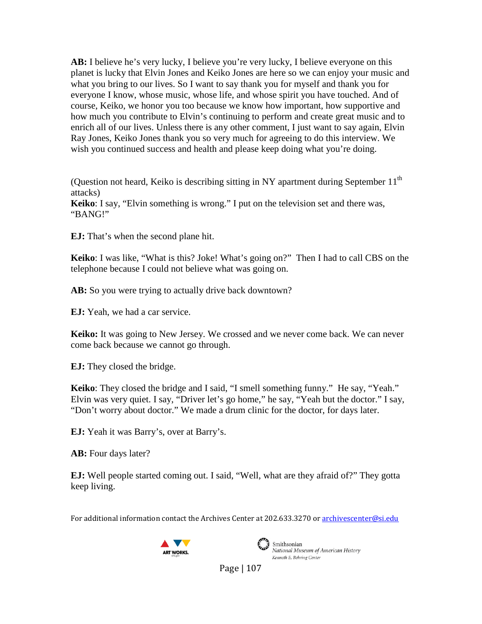**AB:** I believe he's very lucky, I believe you're very lucky, I believe everyone on this planet is lucky that Elvin Jones and Keiko Jones are here so we can enjoy your music and what you bring to our lives. So I want to say thank you for myself and thank you for everyone I know, whose music, whose life, and whose spirit you have touched. And of course, Keiko, we honor you too because we know how important, how supportive and how much you contribute to Elvin's continuing to perform and create great music and to enrich all of our lives. Unless there is any other comment, I just want to say again, Elvin Ray Jones, Keiko Jones thank you so very much for agreeing to do this interview. We wish you continued success and health and please keep doing what you're doing.

(Question not heard, Keiko is describing sitting in NY apartment during September  $11<sup>th</sup>$ attacks)

**Keiko**: I say, "Elvin something is wrong." I put on the television set and there was, "BANG!"

**EJ:** That's when the second plane hit.

**Keiko**: I was like, "What is this? Joke! What's going on?" Then I had to call CBS on the telephone because I could not believe what was going on.

AB: So you were trying to actually drive back downtown?

**EJ:** Yeah, we had a car service.

**Keiko:** It was going to New Jersey. We crossed and we never come back. We can never come back because we cannot go through.

**EJ:** They closed the bridge.

**Keiko:** They closed the bridge and I said, "I smell something funny." He say, "Yeah." Elvin was very quiet. I say, "Driver let's go home," he say, "Yeah but the doctor." I say, "Don't worry about doctor." We made a drum clinic for the doctor, for days later.

**EJ:** Yeah it was Barry's, over at Barry's.

**AB:** Four days later?

**EJ:** Well people started coming out. I said, "Well, what are they afraid of?" They gotta keep living.

For additional information contact the Archives Center at 202.633.3270 o[r archivescenter@si.edu](mailto:archivescenter@si.edu)





Smithsonian National Museum of American History Kenneth E. Behring Center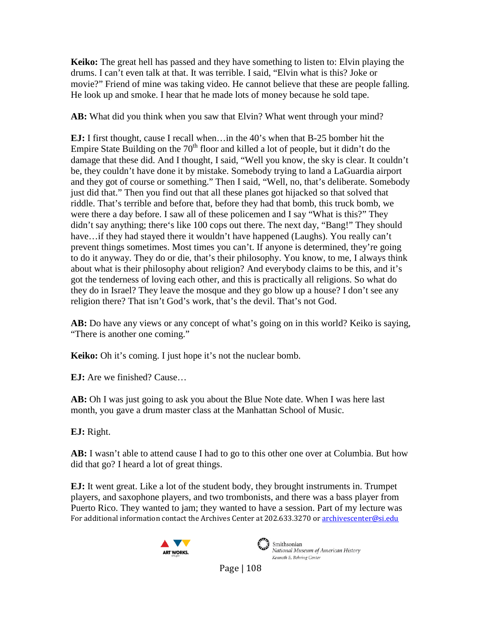**Keiko:** The great hell has passed and they have something to listen to: Elvin playing the drums. I can't even talk at that. It was terrible. I said, "Elvin what is this? Joke or movie?" Friend of mine was taking video. He cannot believe that these are people falling. He look up and smoke. I hear that he made lots of money because he sold tape.

**AB:** What did you think when you saw that Elvin? What went through your mind?

**EJ:** I first thought, cause I recall when…in the 40's when that B-25 bomber hit the Empire State Building on the  $70<sup>th</sup>$  floor and killed a lot of people, but it didn't do the damage that these did. And I thought, I said, "Well you know, the sky is clear. It couldn't be, they couldn't have done it by mistake. Somebody trying to land a LaGuardia airport and they got of course or something." Then I said, "Well, no, that's deliberate. Somebody just did that." Then you find out that all these planes got hijacked so that solved that riddle. That's terrible and before that, before they had that bomb, this truck bomb, we were there a day before. I saw all of these policemen and I say "What is this?" They didn't say anything; there's like 100 cops out there. The next day, "Bang!" They should have…if they had stayed there it wouldn't have happened (Laughs). You really can't prevent things sometimes. Most times you can't. If anyone is determined, they're going to do it anyway. They do or die, that's their philosophy. You know, to me, I always think about what is their philosophy about religion? And everybody claims to be this, and it's got the tenderness of loving each other, and this is practically all religions. So what do they do in Israel? They leave the mosque and they go blow up a house? I don't see any religion there? That isn't God's work, that's the devil. That's not God.

**AB:** Do have any views or any concept of what's going on in this world? Keiko is saying, "There is another one coming."

**Keiko:** Oh it's coming. I just hope it's not the nuclear bomb.

**EJ:** Are we finished? Cause…

**AB:** Oh I was just going to ask you about the Blue Note date. When I was here last month, you gave a drum master class at the Manhattan School of Music.

**EJ:** Right.

**AB:** I wasn't able to attend cause I had to go to this other one over at Columbia. But how did that go? I heard a lot of great things.

For additional information contact the Archives Center at 202.633.3270 o[r archivescenter@si.edu](mailto:archivescenter@si.edu) **EJ:** It went great. Like a lot of the student body, they brought instruments in. Trumpet players, and saxophone players, and two trombonists, and there was a bass player from Puerto Rico. They wanted to jam; they wanted to have a session. Part of my lecture was





Smithsonian<br>National Museum of American History Kenneth E. Behring Center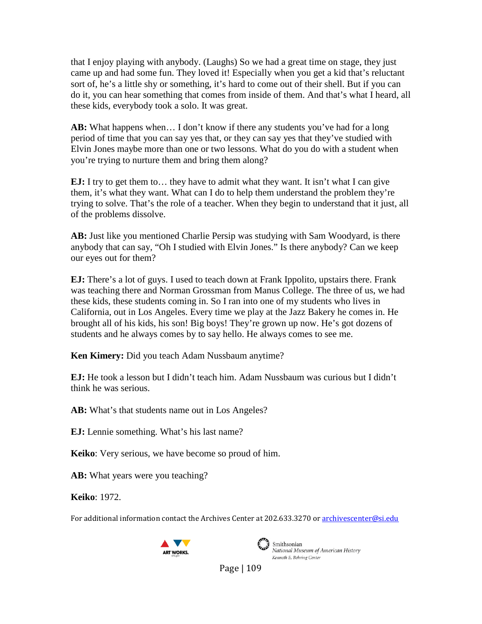that I enjoy playing with anybody. (Laughs) So we had a great time on stage, they just came up and had some fun. They loved it! Especially when you get a kid that's reluctant sort of, he's a little shy or something, it's hard to come out of their shell. But if you can do it, you can hear something that comes from inside of them. And that's what I heard, all these kids, everybody took a solo. It was great.

**AB:** What happens when… I don't know if there any students you've had for a long period of time that you can say yes that, or they can say yes that they've studied with Elvin Jones maybe more than one or two lessons. What do you do with a student when you're trying to nurture them and bring them along?

**EJ:** I try to get them to... they have to admit what they want. It isn't what I can give them, it's what they want. What can I do to help them understand the problem they're trying to solve. That's the role of a teacher. When they begin to understand that it just, all of the problems dissolve.

**AB:** Just like you mentioned Charlie Persip was studying with Sam Woodyard, is there anybody that can say, "Oh I studied with Elvin Jones." Is there anybody? Can we keep our eyes out for them?

**EJ:** There's a lot of guys. I used to teach down at Frank Ippolito, upstairs there. Frank was teaching there and Norman Grossman from Manus College. The three of us, we had these kids, these students coming in. So I ran into one of my students who lives in California, out in Los Angeles. Every time we play at the Jazz Bakery he comes in. He brought all of his kids, his son! Big boys! They're grown up now. He's got dozens of students and he always comes by to say hello. He always comes to see me.

**Ken Kimery:** Did you teach Adam Nussbaum anytime?

**EJ:** He took a lesson but I didn't teach him. Adam Nussbaum was curious but I didn't think he was serious.

**AB:** What's that students name out in Los Angeles?

**EJ:** Lennie something. What's his last name?

**Keiko**: Very serious, we have become so proud of him.

**AB:** What years were you teaching?

**Keiko**: 1972.

For additional information contact the Archives Center at 202.633.3270 o[r archivescenter@si.edu](mailto:archivescenter@si.edu)





Smithsonian National Museum of American History Kenneth E. Behring Center

Page | 109